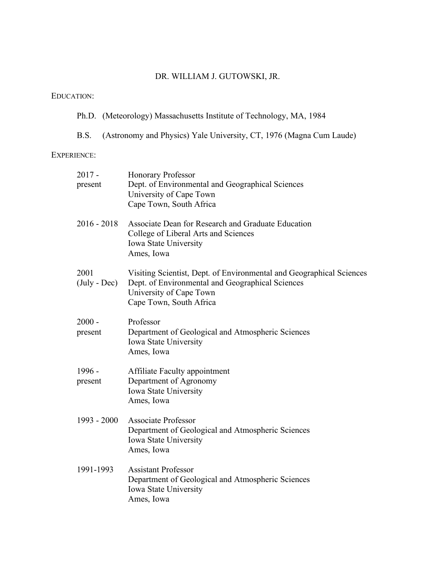# DR. WILLIAM J. GUTOWSKI, JR.

## EDUCATION:

# Ph.D. (Meteorology) Massachusetts Institute of Technology, MA, 1984

B.S. (Astronomy and Physics) Yale University, CT, 1976 (Magna Cum Laude)

#### EXPERIENCE:

| $2017 -$<br>present           | Honorary Professor<br>Dept. of Environmental and Geographical Sciences<br>University of Cape Town<br>Cape Town, South Africa                                                   |
|-------------------------------|--------------------------------------------------------------------------------------------------------------------------------------------------------------------------------|
| $2016 - 2018$                 | Associate Dean for Research and Graduate Education<br>College of Liberal Arts and Sciences<br>Iowa State University<br>Ames, Iowa                                              |
| 2001<br>$(\text{July - Dec})$ | Visiting Scientist, Dept. of Environmental and Geographical Sciences<br>Dept. of Environmental and Geographical Sciences<br>University of Cape Town<br>Cape Town, South Africa |
| $2000 -$<br>present           | Professor<br>Department of Geological and Atmospheric Sciences<br>Iowa State University<br>Ames, Iowa                                                                          |
| 1996 -<br>present             | <b>Affiliate Faculty appointment</b><br>Department of Agronomy<br>Iowa State University<br>Ames, Iowa                                                                          |
| 1993 - 2000                   | <b>Associate Professor</b><br>Department of Geological and Atmospheric Sciences<br>Iowa State University<br>Ames, Iowa                                                         |
| 1991-1993                     | <b>Assistant Professor</b><br>Department of Geological and Atmospheric Sciences<br>Iowa State University<br>Ames, Iowa                                                         |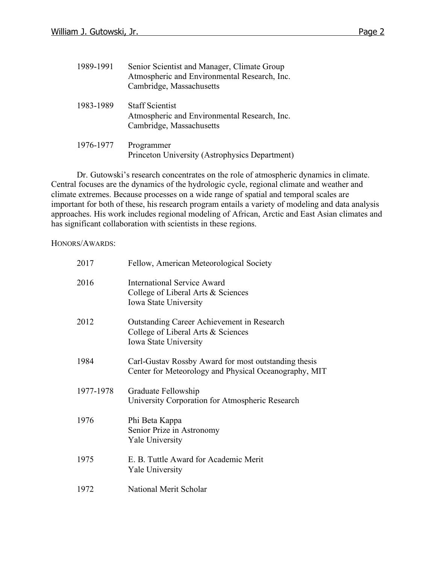| 1989-1991 | Senior Scientist and Manager, Climate Group<br>Atmospheric and Environmental Research, Inc.<br>Cambridge, Massachusetts |
|-----------|-------------------------------------------------------------------------------------------------------------------------|
| 1983-1989 | <b>Staff Scientist</b><br>Atmospheric and Environmental Research, Inc.<br>Cambridge, Massachusetts                      |
| 1976-1977 | Programmer<br>Princeton University (Astrophysics Department)                                                            |

Dr. Gutowski's research concentrates on the role of atmospheric dynamics in climate. Central focuses are the dynamics of the hydrologic cycle, regional climate and weather and climate extremes. Because processes on a wide range of spatial and temporal scales are important for both of these, his research program entails a variety of modeling and data analysis approaches. His work includes regional modeling of African, Arctic and East Asian climates and has significant collaboration with scientists in these regions.

HONORS/AWARDS:

| 2017      | Fellow, American Meteorological Society                                                                          |
|-----------|------------------------------------------------------------------------------------------------------------------|
| 2016      | International Service Award<br>College of Liberal Arts & Sciences<br>Iowa State University                       |
| 2012      | <b>Outstanding Career Achievement in Research</b><br>College of Liberal Arts & Sciences<br>Iowa State University |
| 1984      | Carl-Gustav Rossby Award for most outstanding thesis<br>Center for Meteorology and Physical Oceanography, MIT    |
| 1977-1978 | Graduate Fellowship<br>University Corporation for Atmospheric Research                                           |
| 1976      | Phi Beta Kappa<br>Senior Prize in Astronomy<br><b>Yale University</b>                                            |
| 1975      | E. B. Tuttle Award for Academic Merit<br><b>Yale University</b>                                                  |
| 1972      | National Merit Scholar                                                                                           |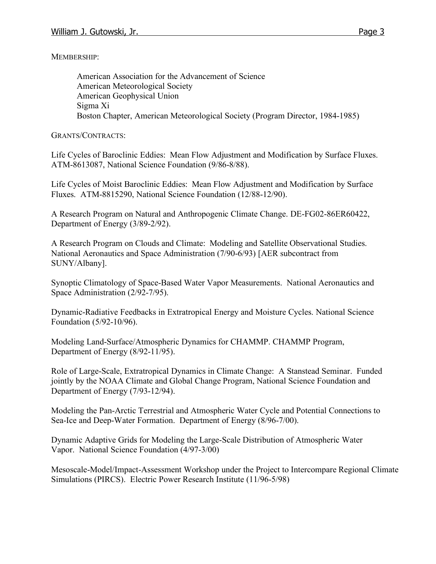MEMBERSHIP:

American Association for the Advancement of Science American Meteorological Society American Geophysical Union Sigma Xi Boston Chapter, American Meteorological Society (Program Director, 1984-1985)

GRANTS/CONTRACTS:

Life Cycles of Baroclinic Eddies: Mean Flow Adjustment and Modification by Surface Fluxes. ATM-8613087, National Science Foundation (9/86-8/88).

Life Cycles of Moist Baroclinic Eddies: Mean Flow Adjustment and Modification by Surface Fluxes. ATM-8815290, National Science Foundation (12/88-12/90).

A Research Program on Natural and Anthropogenic Climate Change. DE-FG02-86ER60422, Department of Energy (3/89-2/92).

A Research Program on Clouds and Climate: Modeling and Satellite Observational Studies. National Aeronautics and Space Administration (7/90-6/93) [AER subcontract from SUNY/Albany].

Synoptic Climatology of Space-Based Water Vapor Measurements. National Aeronautics and Space Administration (2/92-7/95).

Dynamic-Radiative Feedbacks in Extratropical Energy and Moisture Cycles. National Science Foundation (5/92-10/96).

Modeling Land-Surface/Atmospheric Dynamics for CHAMMP. CHAMMP Program, Department of Energy (8/92-11/95).

Role of Large-Scale, Extratropical Dynamics in Climate Change: A Stanstead Seminar. Funded jointly by the NOAA Climate and Global Change Program, National Science Foundation and Department of Energy (7/93-12/94).

Modeling the Pan-Arctic Terrestrial and Atmospheric Water Cycle and Potential Connections to Sea-Ice and Deep-Water Formation. Department of Energy (8/96-7/00).

Dynamic Adaptive Grids for Modeling the Large-Scale Distribution of Atmospheric Water Vapor. National Science Foundation (4/97-3/00)

Mesoscale-Model/Impact-Assessment Workshop under the Project to Intercompare Regional Climate Simulations (PIRCS). Electric Power Research Institute (11/96-5/98)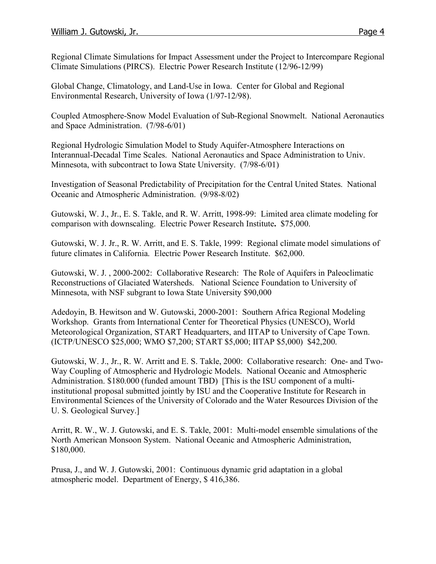Regional Climate Simulations for Impact Assessment under the Project to Intercompare Regional Climate Simulations (PIRCS). Electric Power Research Institute (12/96-12/99)

Global Change, Climatology, and Land-Use in Iowa. Center for Global and Regional Environmental Research, University of Iowa (1/97-12/98).

Coupled Atmosphere-Snow Model Evaluation of Sub-Regional Snowmelt. National Aeronautics and Space Administration. (7/98-6/01)

Regional Hydrologic Simulation Model to Study Aquifer-Atmosphere Interactions on Interannual-Decadal Time Scales. National Aeronautics and Space Administration to Univ. Minnesota, with subcontract to Iowa State University. (7/98-6/01)

Investigation of Seasonal Predictability of Precipitation for the Central United States. National Oceanic and Atmospheric Administration. (9/98-8/02)

Gutowski, W. J., Jr., E. S. Takle, and R. W. Arritt, 1998-99: Limited area climate modeling for comparison with downscaling. Electric Power Research Institute**.** \$75,000.

Gutowski, W. J. Jr., R. W. Arritt, and E. S. Takle, 1999: Regional climate model simulations of future climates in California. Electric Power Research Institute. \$62,000.

Gutowski, W. J. , 2000-2002: Collaborative Research: The Role of Aquifers in Paleoclimatic Reconstructions of Glaciated Watersheds. National Science Foundation to University of Minnesota, with NSF subgrant to Iowa State University \$90,000

Adedoyin, B. Hewitson and W. Gutowski, 2000-2001: Southern Africa Regional Modeling Workshop. Grants from International Center for Theoretical Physics (UNESCO), World Meteorological Organization, START Headquarters, and IITAP to University of Cape Town. (ICTP/UNESCO \$25,000; WMO \$7,200; START \$5,000; IITAP \$5,000) \$42,200.

Gutowski, W. J., Jr., R. W. Arritt and E. S. Takle, 2000: Collaborative research: One- and Two-Way Coupling of Atmospheric and Hydrologic Models. National Oceanic and Atmospheric Administration. \$180.000 (funded amount TBD) [This is the ISU component of a multiinstitutional proposal submitted jointly by ISU and the Cooperative Institute for Research in Environmental Sciences of the University of Colorado and the Water Resources Division of the U. S. Geological Survey.]

Arritt, R. W., W. J. Gutowski, and E. S. Takle, 2001: Multi-model ensemble simulations of the North American Monsoon System. National Oceanic and Atmospheric Administration, \$180,000.

Prusa, J., and W. J. Gutowski, 2001: Continuous dynamic grid adaptation in a global atmospheric model. Department of Energy, \$ 416,386.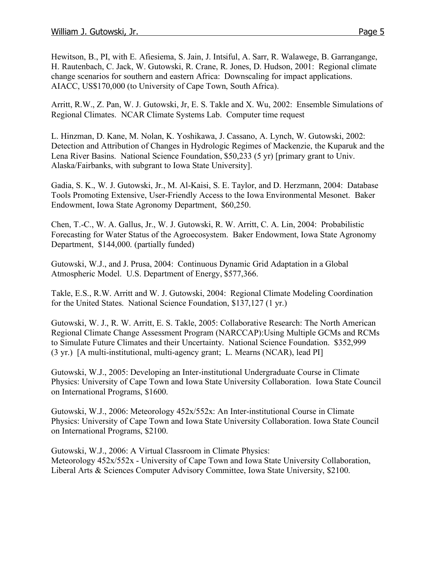Hewitson, B., PI, with E. Afiesiema, S. Jain, J. Intsiful, A. Sarr, R. Walawege, B. Garrangange, H. Rautenbach, C. Jack, W. Gutowski, R. Crane, R. Jones, D. Hudson, 2001: Regional climate change scenarios for southern and eastern Africa: Downscaling for impact applications. AIACC, US\$170,000 (to University of Cape Town, South Africa).

Arritt, R.W., Z. Pan, W. J. Gutowski, Jr, E. S. Takle and X. Wu, 2002: Ensemble Simulations of Regional Climates. NCAR Climate Systems Lab. Computer time request

L. Hinzman, D. Kane, M. Nolan, K. Yoshikawa, J. Cassano, A. Lynch, W. Gutowski, 2002: Detection and Attribution of Changes in Hydrologic Regimes of Mackenzie, the Kuparuk and the Lena River Basins. National Science Foundation, \$50,233 (5 yr) [primary grant to Univ. Alaska/Fairbanks, with subgrant to Iowa State University].

Gadia, S. K., W. J. Gutowski, Jr., M. Al-Kaisi, S. E. Taylor, and D. Herzmann, 2004: Database Tools Promoting Extensive, User-Friendly Access to the Iowa Environmental Mesonet. Baker Endowment, Iowa State Agronomy Department, \$60,250.

Chen, T.-C., W. A. Gallus, Jr., W. J. Gutowski, R. W. Arritt, C. A. Lin, 2004: Probabilistic Forecasting for Water Status of the Agroecosystem. Baker Endowment, Iowa State Agronomy Department, \$144,000. (partially funded)

Gutowski, W.J., and J. Prusa, 2004: Continuous Dynamic Grid Adaptation in a Global Atmospheric Model. U.S. Department of Energy, \$577,366.

Takle, E.S., R.W. Arritt and W. J. Gutowski, 2004: Regional Climate Modeling Coordination for the United States. National Science Foundation, \$137,127 (1 yr.)

Gutowski, W. J., R. W. Arritt, E. S. Takle, 2005: Collaborative Research: The North American Regional Climate Change Assessment Program (NARCCAP):Using Multiple GCMs and RCMs to Simulate Future Climates and their Uncertainty. National Science Foundation. \$352,999 (3 yr.) [A multi-institutional, multi-agency grant; L. Mearns (NCAR), lead PI]

Gutowski, W.J., 2005: Developing an Inter-institutional Undergraduate Course in Climate Physics: University of Cape Town and Iowa State University Collaboration. Iowa State Council on International Programs, \$1600.

Gutowski, W.J., 2006: Meteorology 452x/552x: An Inter-institutional Course in Climate Physics: University of Cape Town and Iowa State University Collaboration. Iowa State Council on International Programs, \$2100.

Gutowski, W.J., 2006: A Virtual Classroom in Climate Physics: Meteorology 452x/552x - University of Cape Town and Iowa State University Collaboration, Liberal Arts & Sciences Computer Advisory Committee, Iowa State University, \$2100.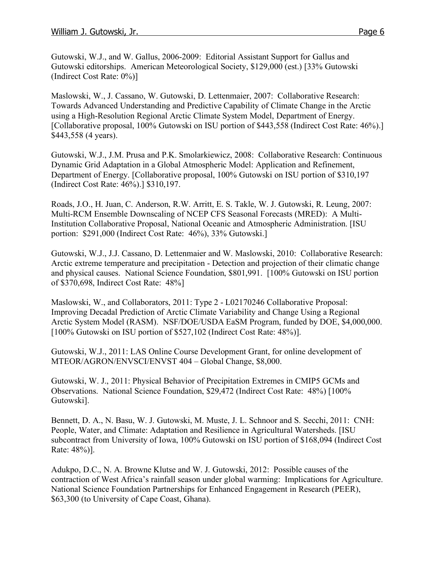Gutowski, W.J., and W. Gallus, 2006-2009: Editorial Assistant Support for Gallus and Gutowski editorships. American Meteorological Society, \$129,000 (est.) [33% Gutowski (Indirect Cost Rate: 0%)]

Maslowski, W., J. Cassano, W. Gutowski, D. Lettenmaier, 2007: Collaborative Research: Towards Advanced Understanding and Predictive Capability of Climate Change in the Arctic using a High-Resolution Regional Arctic Climate System Model, Department of Energy. [Collaborative proposal, 100% Gutowski on ISU portion of \$443,558 (Indirect Cost Rate: 46%).] \$443,558 (4 years).

Gutowski, W.J., J.M. Prusa and P.K. Smolarkiewicz, 2008: Collaborative Research: Continuous Dynamic Grid Adaptation in a Global Atmospheric Model: Application and Refinement, Department of Energy. [Collaborative proposal, 100% Gutowski on ISU portion of \$310,197 (Indirect Cost Rate: 46%).] \$310,197.

Roads, J.O., H. Juan, C. Anderson, R.W. Arritt, E. S. Takle, W. J. Gutowski, R. Leung, 2007: Multi-RCM Ensemble Downscaling of NCEP CFS Seasonal Forecasts (MRED): A Multi-Institution Collaborative Proposal, National Oceanic and Atmospheric Administration. [ISU portion: \$291,000 (Indirect Cost Rate: 46%), 33% Gutowski.]

Gutowski, W.J., J.J. Cassano, D. Lettenmaier and W. Maslowski, 2010: Collaborative Research: Arctic extreme temperature and precipitation - Detection and projection of their climatic change and physical causes. National Science Foundation, \$801,991. [100% Gutowski on ISU portion of \$370,698, Indirect Cost Rate: 48%]

Maslowski, W., and Collaborators, 2011: Type 2 - L02170246 Collaborative Proposal: Improving Decadal Prediction of Arctic Climate Variability and Change Using a Regional Arctic System Model (RASM). NSF/DOE/USDA EaSM Program, funded by DOE, \$4,000,000. [100% Gutowski on ISU portion of \$527,102 (Indirect Cost Rate: 48%)].

Gutowski, W.J., 2011: LAS Online Course Development Grant, for online development of MTEOR/AGRON/ENVSCI/ENVST 404 – Global Change, \$8,000.

Gutowski, W. J., 2011: Physical Behavior of Precipitation Extremes in CMIP5 GCMs and Observations. National Science Foundation, \$29,472 (Indirect Cost Rate: 48%) [100% Gutowski].

Bennett, D. A., N. Basu, W. J. Gutowski, M. Muste, J. L. Schnoor and S. Secchi, 2011: CNH: People, Water, and Climate: Adaptation and Resilience in Agricultural Watersheds. [ISU subcontract from University of Iowa, 100% Gutowski on ISU portion of \$168,094 (Indirect Cost Rate: 48%)].

Adukpo, D.C., N. A. Browne Klutse and W. J. Gutowski, 2012: Possible causes of the contraction of West Africa's rainfall season under global warming: Implications for Agriculture. National Science Foundation Partnerships for Enhanced Engagement in Research (PEER), \$63,300 (to University of Cape Coast, Ghana).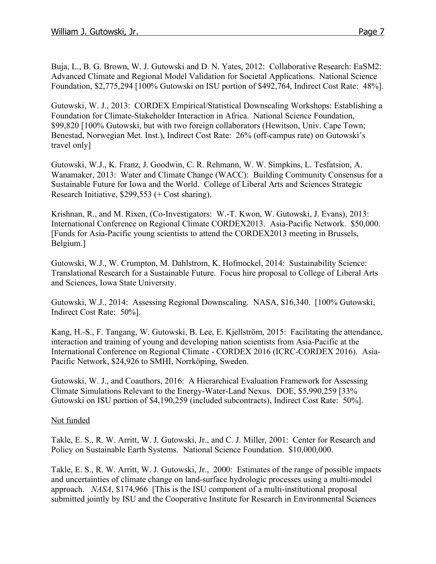Buja, L., B. G. Brown, W. J. Gutowski and D. N. Yates, 2012: Collaborative Research: EaSM2: Advanced Climate and Regional Model Validation for Societal Applications. National Science Foundation, \$2,775,294 [100% Gutowski on ISU portion of \$492,764, Indirect Cost Rate: 48%].

Gutowski, W. J., 2013: CORDEX Empirical/Statistical Downscaling Workshops: Establishing a Foundation for Climate-Stakeholder Interaction in Africa. National Science Foundation, \$99,820 [100% Gutowski, but with two foreign collaborators (Hewitson, Univ. Cape Town; Benestad, Norwegian Met. Inst.), Indirect Cost Rate: 26% (off-campus rate) on Gutowski's travel only]

Gutowski, W.J., K. Franz, J. Goodwin, C. R. Rehmann, W. W. Simpkins, L. Tesfatsion, A. Wanamaker, 2013: Water and Climate Change (WACC): Building Community Consensus for a Sustainable Future for Iowa and the World. College of Liberal Arts and Sciences Strategic Research Initiative, \$299,553 (+ Cost sharing).

Krishnan, R., and M. Rixen, (Co-Investigators: W.-T. Kwon, W. Gutowski, J. Evans), 2013: International Conference on Regional Climate CORDEX2013. Asia-Pacific Network. \$50,000. [Funds for Asia-Pacific young scientists to attend the CORDEX2013 meeting in Brussels, Belgium.]

Gutowski, W.J., W. Crumpton, M. Dahlstrom, K. Hofmockel, 2014: Sustainability Science: Translational Research for a Sustainable Future. Focus hire proposal to College of Liberal Arts and Sciences, Iowa State University.

Gutowski, W.J., 2014: Assessing Regional Downscaling. NASA, \$16,340. [100% Gutowski, Indirect Cost Rate: 50%].

Kang, H.-S., F. Tangang, W. Gutowski, B. Lee, E. Kjellström, 2015: Facilitating the attendance, interaction and training of young and developing nation scientists from Asia-Pacific at the International Conference on Regional Climate - CORDEX 2016 (ICRC-CORDEX 2016). Asia-Pacific Network, \$24,926 to SMHI, Norrköping, Sweden.

Gutowski, W. J., and Coauthors, 2016: A Hierarchical Evaluation Framework for Assessing Climate Simulations Relevant to the Energy-Water-Land Nexus. DOE, \$5,990,259 [33% Gutowski on ISU portion of \$4,190,259 (included subcontracts), Indirect Cost Rate: 50%].

## Not funded

Takle, E. S., R. W. Arritt, W. J. Gutowski, Jr., and C. J. Miller, 2001: Center for Research and Policy on Sustainable Earth Systems. National Science Foundation. \$10,000,000.

Takle, E. S., R. W. Arritt, W. J. Gutowski, Jr., 2000: Estimates of the range of possible impacts and uncertainties of climate change on land-surface hydrologic processes using a multi-model approach. *NASA*, \$174,966 [This is the ISU component of a multi-institutional proposal submitted jointly by ISU and the Cooperative Institute for Research in Environmental Sciences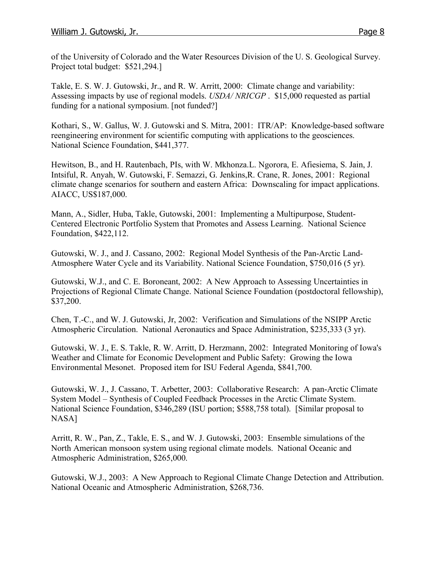of the University of Colorado and the Water Resources Division of the U. S. Geological Survey. Project total budget: \$521,294.]

Takle, E. S. W. J. Gutowski, Jr., and R. W. Arritt, 2000: Climate change and variability: Assessing impacts by use of regional models. *USDA/ NRICGP* . \$15,000 requested as partial funding for a national symposium. [not funded?]

Kothari, S., W. Gallus, W. J. Gutowski and S. Mitra, 2001: ITR/AP: Knowledge-based software reengineering environment for scientific computing with applications to the geosciences. National Science Foundation, \$441,377.

Hewitson, B., and H. Rautenbach, PIs, with W. Mkhonza.L. Ngorora, E. Afiesiema, S. Jain, J. Intsiful, R. Anyah, W. Gutowski, F. Semazzi, G. Jenkins,R. Crane, R. Jones, 2001: Regional climate change scenarios for southern and eastern Africa: Downscaling for impact applications. AIACC, US\$187,000.

Mann, A., Sidler, Huba, Takle, Gutowski, 2001: Implementing a Multipurpose, Student-Centered Electronic Portfolio System that Promotes and Assess Learning. National Science Foundation, \$422,112.

Gutowski, W. J., and J. Cassano, 2002: Regional Model Synthesis of the Pan-Arctic Land-Atmosphere Water Cycle and its Variability. National Science Foundation, \$750,016 (5 yr).

Gutowski, W.J., and C. E. Boroneant, 2002: A New Approach to Assessing Uncertainties in Projections of Regional Climate Change. National Science Foundation (postdoctoral fellowship), \$37,200.

Chen, T.-C., and W. J. Gutowski, Jr, 2002: Verification and Simulations of the NSIPP Arctic Atmospheric Circulation. National Aeronautics and Space Administration, \$235,333 (3 yr).

Gutowski, W. J., E. S. Takle, R. W. Arritt, D. Herzmann, 2002: Integrated Monitoring of Iowa's Weather and Climate for Economic Development and Public Safety: Growing the Iowa Environmental Mesonet. Proposed item for ISU Federal Agenda, \$841,700.

Gutowski, W. J., J. Cassano, T. Arbetter, 2003: Collaborative Research: A pan-Arctic Climate System Model – Synthesis of Coupled Feedback Processes in the Arctic Climate System. National Science Foundation, \$346,289 (ISU portion; \$588,758 total). [Similar proposal to NASA]

Arritt, R. W., Pan, Z., Takle, E. S., and W. J. Gutowski, 2003: Ensemble simulations of the North American monsoon system using regional climate models. National Oceanic and Atmospheric Administration, \$265,000.

Gutowski, W.J., 2003: A New Approach to Regional Climate Change Detection and Attribution. National Oceanic and Atmospheric Administration, \$268,736.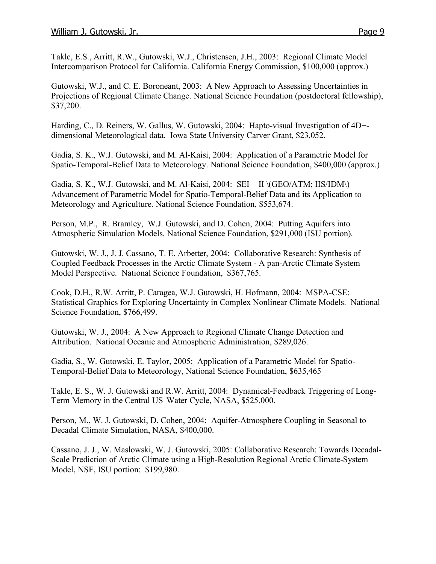Takle, E.S., Arritt, R.W., Gutowski, W.J., Christensen, J.H., 2003: Regional Climate Model Intercomparison Protocol for California. California Energy Commission, \$100,000 (approx.)

Gutowski, W.J., and C. E. Boroneant, 2003: A New Approach to Assessing Uncertainties in Projections of Regional Climate Change. National Science Foundation (postdoctoral fellowship), \$37,200.

Harding, C., D. Reiners, W. Gallus, W. Gutowski, 2004: Hapto-visual Investigation of 4D+ dimensional Meteorological data. Iowa State University Carver Grant, \$23,052.

Gadia, S. K., W.J. Gutowski, and M. Al-Kaisi, 2004: Application of a Parametric Model for Spatio-Temporal-Belief Data to Meteorology. National Science Foundation, \$400,000 (approx.)

Gadia, S. K., W.J. Gutowski, and M. Al-Kaisi, 2004:  $SEI + II \ (GEO/ATM; IIS/IDM)$ Advancement of Parametric Model for Spatio-Temporal-Belief Data and its Application to Meteorology and Agriculture. National Science Foundation, \$553,674.

Person, M.P., R. Bramley, W.J. Gutowski, and D. Cohen, 2004: Putting Aquifers into Atmospheric Simulation Models. National Science Foundation, \$291,000 (ISU portion).

Gutowski, W. J., J. J. Cassano, T. E. Arbetter, 2004: Collaborative Research: Synthesis of Coupled Feedback Processes in the Arctic Climate System - A pan-Arctic Climate System Model Perspective. National Science Foundation, \$367,765.

Cook, D.H., R.W. Arritt, P. Caragea, W.J. Gutowski, H. Hofmann, 2004: MSPA-CSE: Statistical Graphics for Exploring Uncertainty in Complex Nonlinear Climate Models. National Science Foundation, \$766,499.

Gutowski, W. J., 2004: A New Approach to Regional Climate Change Detection and Attribution. National Oceanic and Atmospheric Administration, \$289,026.

Gadia, S., W. Gutowski, E. Taylor, 2005: Application of a Parametric Model for Spatio-Temporal-Belief Data to Meteorology, National Science Foundation, \$635,465

Takle, E. S., W. J. Gutowski and R.W. Arritt, 2004: Dynamical-Feedback Triggering of Long-Term Memory in the Central US Water Cycle, NASA, \$525,000.

Person, M., W. J. Gutowski, D. Cohen, 2004: Aquifer-Atmosphere Coupling in Seasonal to Decadal Climate Simulation, NASA, \$400,000.

Cassano, J. J., W. Maslowski, W. J. Gutowski, 2005: Collaborative Research: Towards Decadal-Scale Prediction of Arctic Climate using a High-Resolution Regional Arctic Climate-System Model, NSF, ISU portion: \$199,980.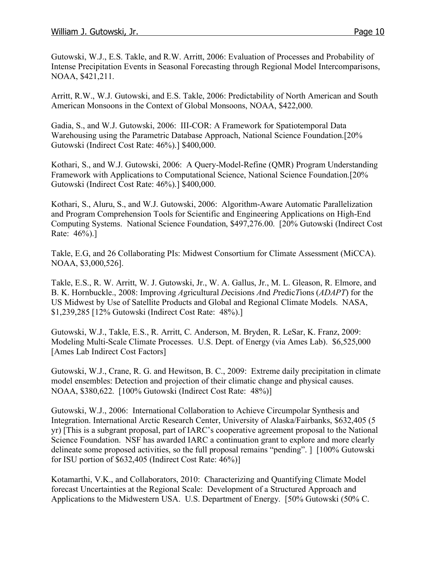Gutowski, W.J., E.S. Takle, and R.W. Arritt, 2006: Evaluation of Processes and Probability of Intense Precipitation Events in Seasonal Forecasting through Regional Model Intercomparisons, NOAA, \$421,211.

Arritt, R.W., W.J. Gutowski, and E.S. Takle, 2006: Predictability of North American and South American Monsoons in the Context of Global Monsoons, NOAA, \$422,000.

Gadia, S., and W.J. Gutowski, 2006: III-COR: A Framework for Spatiotemporal Data Warehousing using the Parametric Database Approach, National Science Foundation.[20% Gutowski (Indirect Cost Rate: 46%).] \$400,000.

Kothari, S., and W.J. Gutowski, 2006: A Query-Model-Refine (QMR) Program Understanding Framework with Applications to Computational Science, National Science Foundation.[20% Gutowski (Indirect Cost Rate: 46%).] \$400,000.

Kothari, S., Aluru, S., and W.J. Gutowski, 2006: Algorithm-Aware Automatic Parallelization and Program Comprehension Tools for Scientific and Engineering Applications on High-End Computing Systems. National Science Foundation, \$497,276.00. [20% Gutowski (Indirect Cost Rate: 46%).]

Takle, E.G, and 26 Collaborating PIs: Midwest Consortium for Climate Assessment (MiCCA). NOAA, \$3,000,526].

Takle, E.S., R. W. Arritt, W. J. Gutowski, Jr., W. A. Gallus, Jr., M. L. Gleason, R. Elmore, and B. K. Hornbuckle., 2008: Improving *A*gricultural *D*ecisions *A*nd *P*redic*T*ions (*ADAPT*) for the US Midwest by Use of Satellite Products and Global and Regional Climate Models. NASA, \$1,239,285 [12% Gutowski (Indirect Cost Rate: 48%).]

Gutowski, W.J., Takle, E.S., R. Arritt, C. Anderson, M. Bryden, R. LeSar, K. Franz, 2009: Modeling Multi-Scale Climate Processes. U.S. Dept. of Energy (via Ames Lab). \$6,525,000 [Ames Lab Indirect Cost Factors]

Gutowski, W.J., Crane, R. G. and Hewitson, B. C., 2009: Extreme daily precipitation in climate model ensembles: Detection and projection of their climatic change and physical causes. NOAA, \$380,622. [100% Gutowski (Indirect Cost Rate: 48%)]

Gutowski, W.J., 2006: International Collaboration to Achieve Circumpolar Synthesis and Integration. International Arctic Research Center, University of Alaska/Fairbanks, \$632,405 (5 yr) [This is a subgrant proposal, part of IARC's cooperative agreement proposal to the National Science Foundation. NSF has awarded IARC a continuation grant to explore and more clearly delineate some proposed activities, so the full proposal remains "pending". ] [100% Gutowski for ISU portion of \$632,405 (Indirect Cost Rate: 46%)]

Kotamarthi, V.K., and Collaborators, 2010: Characterizing and Quantifying Climate Model forecast Uncertainties at the Regional Scale: Development of a Structured Approach and Applications to the Midwestern USA. U.S. Department of Energy. [50% Gutowski (50% C.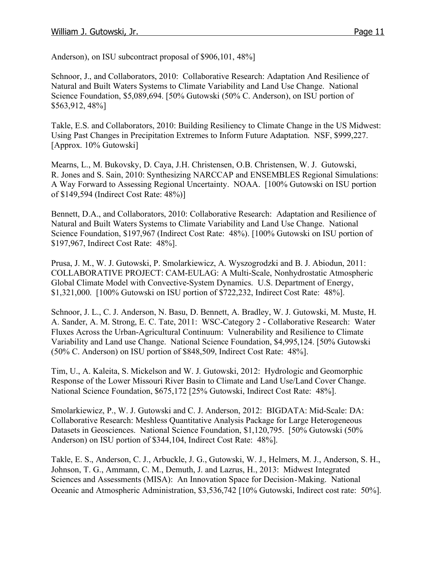Anderson), on ISU subcontract proposal of \$906,101, 48%]

Schnoor, J., and Collaborators, 2010: Collaborative Research: Adaptation And Resilience of Natural and Built Waters Systems to Climate Variability and Land Use Change. National Science Foundation, \$5,089,694. [50% Gutowski (50% C. Anderson), on ISU portion of \$563,912, 48%]

Takle, E.S. and Collaborators, 2010: Building Resiliency to Climate Change in the US Midwest: Using Past Changes in Precipitation Extremes to Inform Future Adaptation. NSF, \$999,227. [Approx. 10% Gutowski]

Mearns, L., M. Bukovsky, D. Caya, J.H. Christensen, O.B. Christensen, W. J. Gutowski, R. Jones and S. Sain, 2010: Synthesizing NARCCAP and ENSEMBLES Regional Simulations: A Way Forward to Assessing Regional Uncertainty. NOAA. [100% Gutowski on ISU portion of \$149,594 (Indirect Cost Rate: 48%)]

Bennett, D.A., and Collaborators, 2010: Collaborative Research: Adaptation and Resilience of Natural and Built Waters Systems to Climate Variability and Land Use Change. National Science Foundation, \$197,967 (Indirect Cost Rate: 48%). [100% Gutowski on ISU portion of \$197,967, Indirect Cost Rate: 48%].

Prusa, J. M., W. J. Gutowski, P. Smolarkiewicz, A. Wyszogrodzki and B. J. Abiodun, 2011: COLLABORATIVE PROJECT: CAM-EULAG: A Multi-Scale, Nonhydrostatic Atmospheric Global Climate Model with Convective-System Dynamics. U.S. Department of Energy, \$1,321,000. [100% Gutowski on ISU portion of \$722,232, Indirect Cost Rate: 48%].

Schnoor, J. L., C. J. Anderson, N. Basu, D. Bennett, A. Bradley, W. J. Gutowski, M. Muste, H. A. Sander, A. M. Strong, E. C. Tate, 2011: WSC-Category 2 - Collaborative Research: Water Fluxes Across the Urban-Agricultural Continuum: Vulnerability and Resilience to Climate Variability and Land use Change. National Science Foundation, \$4,995,124. [50% Gutowski (50% C. Anderson) on ISU portion of \$848,509, Indirect Cost Rate: 48%].

Tim, U., A. Kaleita, S. Mickelson and W. J. Gutowski, 2012: Hydrologic and Geomorphic Response of the Lower Missouri River Basin to Climate and Land Use/Land Cover Change. National Science Foundation, \$675,172 [25% Gutowski, Indirect Cost Rate: 48%].

Smolarkiewicz, P., W. J. Gutowski and C. J. Anderson, 2012: BIGDATA: Mid-Scale: DA: Collaborative Research: Meshless Quantitative Analysis Package for Large Heterogeneous Datasets in Geosciences. National Science Foundation, \$1,120,795. [50% Gutowski (50% Anderson) on ISU portion of \$344,104, Indirect Cost Rate: 48%].

Takle, E. S., Anderson, C. J., Arbuckle, J. G., Gutowski, W. J., Helmers, M. J., Anderson, S. H., Johnson, T. G., Ammann, C. M., Demuth, J. and Lazrus, H., 2013: Midwest Integrated Sciences and Assessments (MISA): An Innovation Space for Decision-Making. National Oceanic and Atmospheric Administration, \$3,536,742 [10% Gutowski, Indirect cost rate: 50%].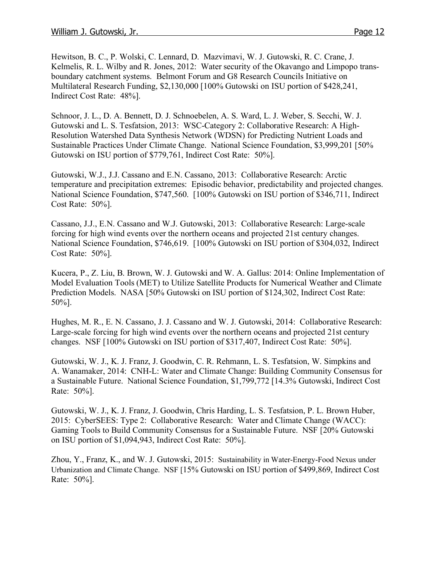Hewitson, B. C., P. Wolski, C. Lennard, D. Mazvimavi, W. J. Gutowski, R. C. Crane, J. Kelmelis, R. L. Wilby and R. Jones, 2012: Water security of the Okavango and Limpopo transboundary catchment systems. Belmont Forum and G8 Research Councils Initiative on Multilateral Research Funding, \$2,130,000 [100% Gutowski on ISU portion of \$428,241, Indirect Cost Rate: 48%].

Schnoor, J. L., D. A. Bennett, D. J. Schnoebelen, A. S. Ward, L. J. Weber, S. Secchi, W. J. Gutowski and L. S. Tesfatsion, 2013: WSC-Category 2: Collaborative Research: A High-Resolution Watershed Data Synthesis Network (WDSN) for Predicting Nutrient Loads and Sustainable Practices Under Climate Change. National Science Foundation, \$3,999,201 [50% Gutowski on ISU portion of \$779,761, Indirect Cost Rate: 50%].

Gutowski, W.J., J.J. Cassano and E.N. Cassano, 2013: Collaborative Research: Arctic temperature and precipitation extremes: Episodic behavior, predictability and projected changes. National Science Foundation, \$747,560. [100% Gutowski on ISU portion of \$346,711, Indirect Cost Rate: 50%].

Cassano, J.J., E.N. Cassano and W.J. Gutowski, 2013: Collaborative Research: Large-scale forcing for high wind events over the northern oceans and projected 21st century changes. National Science Foundation, \$746,619. [100% Gutowski on ISU portion of \$304,032, Indirect Cost Rate: 50%].

Kucera, P., Z. Liu, B. Brown, W. J. Gutowski and W. A. Gallus: 2014: Online Implementation of Model Evaluation Tools (MET) to Utilize Satellite Products for Numerical Weather and Climate Prediction Models. NASA [50% Gutowski on ISU portion of \$124,302, Indirect Cost Rate: 50%].

Hughes, M. R., E. N. Cassano, J. J. Cassano and W. J. Gutowski, 2014: Collaborative Research: Large-scale forcing for high wind events over the northern oceans and projected 21st century changes. NSF [100% Gutowski on ISU portion of \$317,407, Indirect Cost Rate: 50%].

Gutowski, W. J., K. J. Franz, J. Goodwin, C. R. Rehmann, L. S. Tesfatsion, W. Simpkins and A. Wanamaker, 2014: CNH-L: Water and Climate Change: Building Community Consensus for a Sustainable Future. National Science Foundation, \$1,799,772 [14.3% Gutowski, Indirect Cost Rate: 50%].

Gutowski, W. J., K. J. Franz, J. Goodwin, Chris Harding, L. S. Tesfatsion, P. L. Brown Huber, 2015: CyberSEES: Type 2: Collaborative Research: Water and Climate Change (WACC): Gaming Tools to Build Community Consensus for a Sustainable Future. NSF [20% Gutowski on ISU portion of \$1,094,943, Indirect Cost Rate: 50%].

Zhou, Y., Franz, K., and W. J. Gutowski, 2015: Sustainability in Water-Energy-Food Nexus under Urbanization and Climate Change. NSF [15% Gutowski on ISU portion of \$499,869, Indirect Cost Rate: 50%].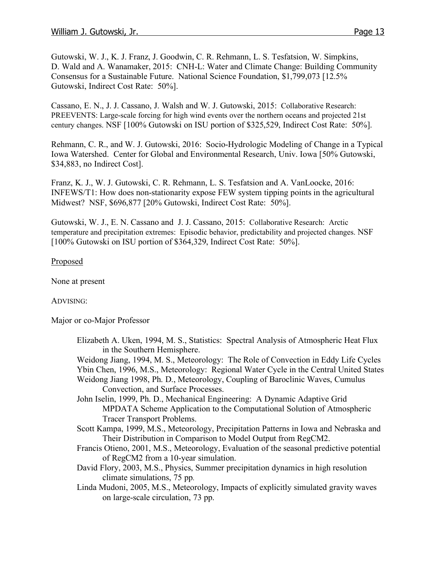Gutowski, W. J., K. J. Franz, J. Goodwin, C. R. Rehmann, L. S. Tesfatsion, W. Simpkins, D. Wald and A. Wanamaker, 2015: CNH-L: Water and Climate Change: Building Community Consensus for a Sustainable Future. National Science Foundation, \$1,799,073 [12.5% Gutowski, Indirect Cost Rate: 50%].

Cassano, E. N., J. J. Cassano, J. Walsh and W. J. Gutowski, 2015: Collaborative Research: PREEVENTS: Large-scale forcing for high wind events over the northern oceans and projected 21st century changes. NSF [100% Gutowski on ISU portion of \$325,529, Indirect Cost Rate: 50%].

Rehmann, C. R., and W. J. Gutowski, 2016: Socio-Hydrologic Modeling of Change in a Typical Iowa Watershed. Center for Global and Environmental Research, Univ. Iowa [50% Gutowski, \$34,883, no Indirect Cost].

Franz, K. J., W. J. Gutowski, C. R. Rehmann, L. S. Tesfatsion and A. VanLoocke, 2016: INFEWS/T1: How does non-stationarity expose FEW system tipping points in the agricultural Midwest? NSF, \$696,877 [20% Gutowski, Indirect Cost Rate: 50%].

Gutowski, W. J., E. N. Cassano and J. J. Cassano, 2015: Collaborative Research: Arctic temperature and precipitation extremes: Episodic behavior, predictability and projected changes. NSF [100% Gutowski on ISU portion of \$364,329, Indirect Cost Rate: 50%].

#### Proposed

None at present

#### ADVISING:

Major or co-Major Professor

- Elizabeth A. Uken, 1994, M. S., Statistics: Spectral Analysis of Atmospheric Heat Flux in the Southern Hemisphere.
- Weidong Jiang, 1994, M. S., Meteorology: The Role of Convection in Eddy Life Cycles
- Ybin Chen, 1996, M.S., Meteorology: Regional Water Cycle in the Central United States Weidong Jiang 1998, Ph. D., Meteorology, Coupling of Baroclinic Waves, Cumulus

Convection, and Surface Processes.

- John Iselin, 1999, Ph. D., Mechanical Engineering: A Dynamic Adaptive Grid MPDATA Scheme Application to the Computational Solution of Atmospheric Tracer Transport Problems.
- Scott Kampa, 1999, M.S., Meteorology, Precipitation Patterns in Iowa and Nebraska and Their Distribution in Comparison to Model Output from RegCM2.
- Francis Otieno, 2001, M.S., Meteorology, Evaluation of the seasonal predictive potential of RegCM2 from a 10-year simulation.
- David Flory, 2003, M.S., Physics, Summer precipitation dynamics in high resolution climate simulations, 75 pp.
- Linda Mudoni, 2005, M.S., Meteorology, Impacts of explicitly simulated gravity waves on large-scale circulation, 73 pp.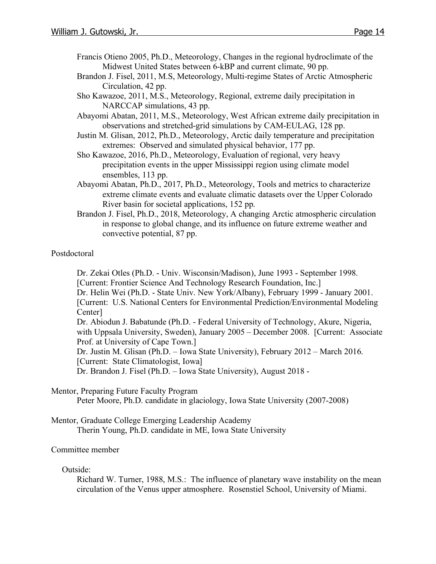- Francis Otieno 2005, Ph.D., Meteorology, Changes in the regional hydroclimate of the Midwest United States between 6-kBP and current climate, 90 pp.
- Brandon J. Fisel, 2011, M.S, Meteorology, Multi-regime States of Arctic Atmospheric Circulation, 42 pp.
- Sho Kawazoe, 2011, M.S., Meteorology, Regional, extreme daily precipitation in NARCCAP simulations, 43 pp.
- Abayomi Abatan, 2011, M.S., Meteorology, West African extreme daily precipitation in observations and stretched-grid simulations by CAM-EULAG, 128 pp.
- Justin M. Glisan, 2012, Ph.D., Meteorology, Arctic daily temperature and precipitation extremes: Observed and simulated physical behavior, 177 pp.
- Sho Kawazoe, 2016, Ph.D., Meteorology, Evaluation of regional, very heavy precipitation events in the upper Mississippi region using climate model ensembles, 113 pp.
- Abayomi Abatan, Ph.D., 2017, Ph.D., Meteorology, Tools and metrics to characterize extreme climate events and evaluate climatic datasets over the Upper Colorado River basin for societal applications, 152 pp.
- Brandon J. Fisel, Ph.D., 2018, Meteorology, A changing Arctic atmospheric circulation in response to global change, and its influence on future extreme weather and convective potential, 87 pp.

#### Postdoctoral

Dr. Zekai Otles (Ph.D. - Univ. Wisconsin/Madison), June 1993 - September 1998. [Current: Frontier Science And Technology Research Foundation, Inc.]

Dr. Helin Wei (Ph.D. - State Univ. New York/Albany), February 1999 - January 2001. [Current: U.S. National Centers for Environmental Prediction/Environmental Modeling Center]

Dr. Abiodun J. Babatunde (Ph.D. - Federal University of Technology, Akure, Nigeria, with Uppsala University, Sweden), January 2005 – December 2008. [Current: Associate Prof. at University of Cape Town.]

Dr. Justin M. Glisan (Ph.D. – Iowa State University), February 2012 – March 2016. [Current: State Climatologist, Iowa]

Dr. Brandon J. Fisel (Ph.D. – Iowa State University), August 2018 -

#### Mentor, Preparing Future Faculty Program

Peter Moore, Ph.D. candidate in glaciology, Iowa State University (2007-2008)

Mentor, Graduate College Emerging Leadership Academy Therin Young, Ph.D. candidate in ME, Iowa State University

#### Committee member

#### Outside:

Richard W. Turner, 1988, M.S.: The influence of planetary wave instability on the mean circulation of the Venus upper atmosphere. Rosenstiel School, University of Miami.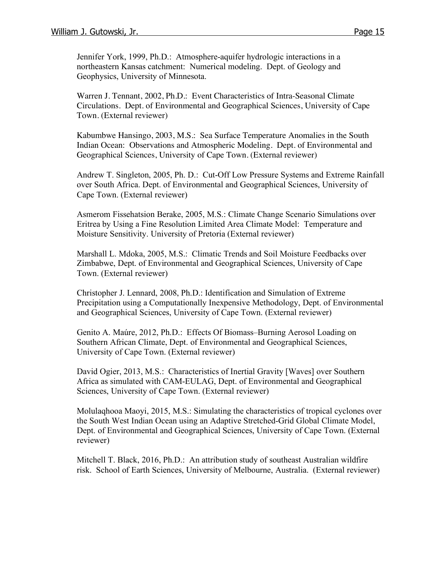Jennifer York, 1999, Ph.D.: Atmosphere-aquifer hydrologic interactions in a northeastern Kansas catchment: Numerical modeling. Dept. of Geology and Geophysics, University of Minnesota.

Warren J. Tennant, 2002, Ph.D.: Event Characteristics of Intra-Seasonal Climate Circulations. Dept. of Environmental and Geographical Sciences, University of Cape Town. (External reviewer)

Kabumbwe Hansingo, 2003, M.S.: Sea Surface Temperature Anomalies in the South Indian Ocean: Observations and Atmospheric Modeling. Dept. of Environmental and Geographical Sciences, University of Cape Town. (External reviewer)

Andrew T. Singleton, 2005, Ph. D.: Cut-Off Low Pressure Systems and Extreme Rainfall over South Africa. Dept. of Environmental and Geographical Sciences, University of Cape Town. (External reviewer)

Asmerom Fissehatsion Berake, 2005, M.S.: Climate Change Scenario Simulations over Eritrea by Using a Fine Resolution Limited Area Climate Model: Temperature and Moisture Sensitivity. University of Pretoria (External reviewer)

Marshall L. Mdoka, 2005, M.S.: Climatic Trends and Soil Moisture Feedbacks over Zimbabwe, Dept. of Environmental and Geographical Sciences, University of Cape Town. (External reviewer)

Christopher J. Lennard, 2008, Ph.D.: Identification and Simulation of Extreme Precipitation using a Computationally Inexpensive Methodology, Dept. of Environmental and Geographical Sciences, University of Cape Town. (External reviewer)

Genito A. Maúre, 2012, Ph.D.: Effects Of Biomass–Burning Aerosol Loading on Southern African Climate, Dept. of Environmental and Geographical Sciences, University of Cape Town. (External reviewer)

David Ogier, 2013, M.S.: Characteristics of Inertial Gravity [Waves] over Southern Africa as simulated with CAM-EULAG, Dept. of Environmental and Geographical Sciences, University of Cape Town. (External reviewer)

Molulaqhooa Maoyi, 2015, M.S.: Simulating the characteristics of tropical cyclones over the South West Indian Ocean using an Adaptive Stretched-Grid Global Climate Model, Dept. of Environmental and Geographical Sciences, University of Cape Town. (External reviewer)

Mitchell T. Black, 2016, Ph.D.: An attribution study of southeast Australian wildfire risk. School of Earth Sciences, University of Melbourne, Australia. (External reviewer)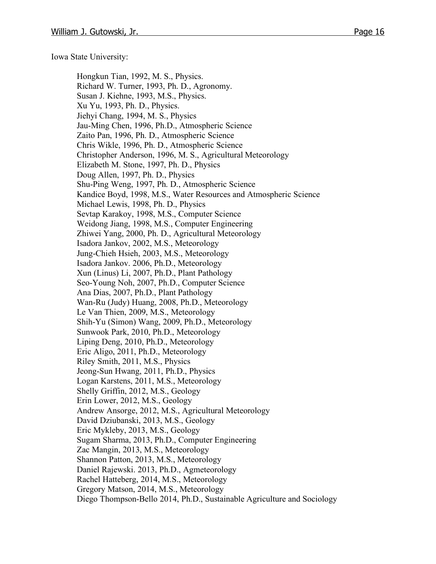Iowa State University:

Hongkun Tian, 1992, M. S., Physics. Richard W. Turner, 1993, Ph. D., Agronomy. Susan J. Kiehne, 1993, M.S., Physics. Xu Yu, 1993, Ph. D., Physics. Jiehyi Chang, 1994, M. S., Physics Jau-Ming Chen, 1996, Ph.D., Atmospheric Science Zaito Pan, 1996, Ph. D., Atmospheric Science Chris Wikle, 1996, Ph. D., Atmospheric Science Christopher Anderson, 1996, M. S., Agricultural Meteorology Elizabeth M. Stone, 1997, Ph. D., Physics Doug Allen, 1997, Ph. D., Physics Shu-Ping Weng, 1997, Ph. D., Atmospheric Science Kandice Boyd, 1998, M.S., Water Resources and Atmospheric Science Michael Lewis, 1998, Ph. D., Physics Sevtap Karakoy, 1998, M.S., Computer Science Weidong Jiang, 1998, M.S., Computer Engineering Zhiwei Yang, 2000, Ph. D., Agricultural Meteorology Isadora Jankov, 2002, M.S., Meteorology Jung-Chieh Hsieh, 2003, M.S., Meteorology Isadora Jankov. 2006, Ph.D., Meteorology Xun (Linus) Li, 2007, Ph.D., Plant Pathology Seo-Young Noh, 2007, Ph.D., Computer Science Ana Dias, 2007, Ph.D., Plant Pathology Wan-Ru (Judy) Huang, 2008, Ph.D., Meteorology Le Van Thien, 2009, M.S., Meteorology Shih-Yu (Simon) Wang, 2009, Ph.D., Meteorology Sunwook Park, 2010, Ph.D., Meteorology Liping Deng, 2010, Ph.D., Meteorology Eric Aligo, 2011, Ph.D., Meteorology Riley Smith, 2011, M.S., Physics Jeong-Sun Hwang, 2011, Ph.D., Physics Logan Karstens, 2011, M.S., Meteorology Shelly Griffin, 2012, M.S., Geology Erin Lower, 2012, M.S., Geology Andrew Ansorge, 2012, M.S., Agricultural Meteorology David Dziubanski, 2013, M.S., Geology Eric Mykleby, 2013, M.S., Geology Sugam Sharma, 2013, Ph.D., Computer Engineering Zac Mangin, 2013, M.S., Meteorology Shannon Patton, 2013, M.S., Meteorology Daniel Rajewski. 2013, Ph.D., Agmeteorology Rachel Hatteberg, 2014, M.S., Meteorology Gregory Matson, 2014, M.S., Meteorology Diego Thompson-Bello 2014, Ph.D., Sustainable Agriculture and Sociology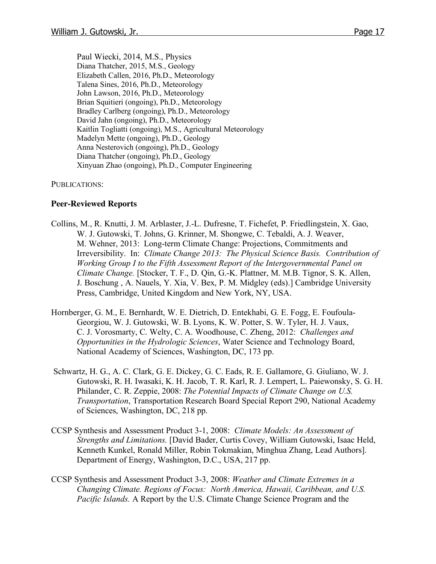Paul Wiecki, 2014, M.S., Physics Diana Thatcher, 2015, M.S., Geology Elizabeth Callen, 2016, Ph.D., Meteorology Talena Sines, 2016, Ph.D., Meteorology John Lawson, 2016, Ph.D., Meteorology Brian Squitieri (ongoing), Ph.D., Meteorology Bradley Carlberg (ongoing), Ph.D., Meteorology David Jahn (ongoing), Ph.D., Meteorology Kaitlin Togliatti (ongoing), M.S., Agricultural Meteorology Madelyn Mette (ongoing), Ph.D., Geology Anna Nesterovich (ongoing), Ph.D., Geology Diana Thatcher (ongoing), Ph.D., Geology Xinyuan Zhao (ongoing), Ph.D., Computer Engineering

PUBLICATIONS:

#### **Peer-Reviewed Reports**

- Collins, M., R. Knutti, J. M. Arblaster, J.-L. Dufresne, T. Fichefet, P. Friedlingstein, X. Gao, W. J. Gutowski, T. Johns, G. Krinner, M. Shongwe, C. Tebaldi, A. J. Weaver, M. Wehner, 2013: Long-term Climate Change: Projections, Commitments and Irreversibility. In: *Climate Change 2013: The Physical Science Basis. Contribution of Working Group I to the Fifth Assessment Report of the Intergovernmental Panel on Climate Change.* [Stocker, T. F., D. Qin, G.-K. Plattner, M. M.B. Tignor, S. K. Allen, J. Boschung , A. Nauels, Y. Xia, V. Bex, P. M. Midgley (eds).] Cambridge University Press, Cambridge, United Kingdom and New York, NY, USA.
- Hornberger, G. M., E. Bernhardt, W. E. Dietrich, D. Entekhabi, G. E. Fogg, E. Foufoula-Georgiou, W. J. Gutowski, W. B. Lyons, K. W. Potter, S. W. Tyler, H. J. Vaux, C. J. Vorosmarty, C. Welty, C. A. Woodhouse, C. Zheng, 2012: *Challenges and Opportunities in the Hydrologic Sciences*, Water Science and Technology Board, National Academy of Sciences, Washington, DC, 173 pp.
- Schwartz, H. G., A. C. Clark, G. E. Dickey, G. C. Eads, R. E. Gallamore, G. Giuliano, W. J. Gutowski, R. H. Iwasaki, K. H. Jacob, T. R. Karl, R. J. Lempert, L. Paiewonsky, S. G. H. Philander, C. R. Zeppie, 2008: *The Potential Impacts of Climate Change on U.S. Transportation*, Transportation Research Board Special Report 290, National Academy of Sciences, Washington, DC, 218 pp.
- CCSP Synthesis and Assessment Product 3-1, 2008: *Climate Models: An Assessment of Strengths and Limitations.* [David Bader, Curtis Covey, William Gutowski, Isaac Held, Kenneth Kunkel, Ronald Miller, Robin Tokmakian, Minghua Zhang, Lead Authors]. Department of Energy, Washington, D.C., USA, 217 pp.
- CCSP Synthesis and Assessment Product 3-3, 2008: *Weather and Climate Extremes in a Changing Climate. Regions of Focus: North America, Hawaii, Caribbean, and U.S. Pacific Islands.* A Report by the U.S. Climate Change Science Program and the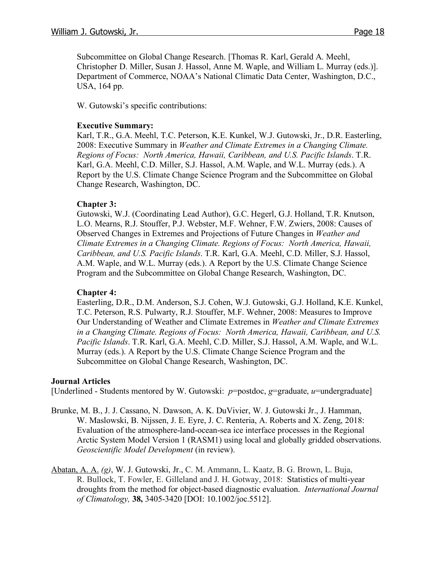Subcommittee on Global Change Research. [Thomas R. Karl, Gerald A. Meehl, Christopher D. Miller, Susan J. Hassol, Anne M. Waple, and William L. Murray (eds.)]. Department of Commerce, NOAA's National Climatic Data Center, Washington, D.C., USA, 164 pp.

W. Gutowski's specific contributions:

#### **Executive Summary:**

Karl, T.R., G.A. Meehl, T.C. Peterson, K.E. Kunkel, W.J. Gutowski, Jr., D.R. Easterling, 2008: Executive Summary in *Weather and Climate Extremes in a Changing Climate. Regions of Focus: North America, Hawaii, Caribbean, and U.S. Pacific Islands*. T.R. Karl, G.A. Meehl, C.D. Miller, S.J. Hassol, A.M. Waple, and W.L. Murray (eds.). A Report by the U.S. Climate Change Science Program and the Subcommittee on Global Change Research, Washington, DC.

#### **Chapter 3:**

Gutowski, W.J. (Coordinating Lead Author), G.C. Hegerl, G.J. Holland, T.R. Knutson, L.O. Mearns, R.J. Stouffer, P.J. Webster, M.F. Wehner, F.W. Zwiers, 2008: Causes of Observed Changes in Extremes and Projections of Future Changes in *Weather and Climate Extremes in a Changing Climate. Regions of Focus: North America, Hawaii, Caribbean, and U.S. Pacific Islands*. T.R. Karl, G.A. Meehl, C.D. Miller, S.J. Hassol, A.M. Waple, and W.L. Murray (eds.). A Report by the U.S. Climate Change Science Program and the Subcommittee on Global Change Research, Washington, DC.

#### **Chapter 4:**

Easterling, D.R., D.M. Anderson, S.J. Cohen, W.J. Gutowski, G.J. Holland, K.E. Kunkel, T.C. Peterson, R.S. Pulwarty, R.J. Stouffer, M.F. Wehner, 2008: Measures to Improve Our Understanding of Weather and Climate Extremes in *Weather and Climate Extremes in a Changing Climate. Regions of Focus: North America, Hawaii, Caribbean, and U.S. Pacific Islands*. T.R. Karl, G.A. Meehl, C.D. Miller, S.J. Hassol, A.M. Waple, and W.L. Murray (eds.). A Report by the U.S. Climate Change Science Program and the Subcommittee on Global Change Research, Washington, DC.

#### **Journal Articles**

[Underlined - Students mentored by W. Gutowski: *p*=postdoc, *g*=graduate, *u*=undergraduate]

- Brunke, M. B., J. J. Cassano, N. Dawson, A. K. DuVivier, W. J. Gutowski Jr., J. Hamman, W. Maslowski, B. Nijssen, J. E. Eyre, J. C. Renteria, A. Roberts and X. Zeng, 2018: Evaluation of the atmosphere-land-ocean-sea ice interface processes in the Regional Arctic System Model Version 1 (RASM1) using local and globally gridded observations. *Geoscientific Model Development* (in review).
- Abatan, A. A. *(g)*, W. J. Gutowski, Jr., C. M. Ammann, L. Kaatz, B. G. Brown, L. Buja, R. Bullock, T. Fowler, E. Gilleland and J. H. Gotway, 2018: Statistics of multi-year droughts from the method for object-based diagnostic evaluation. *International Journal of Climatology,* **38,** 3405-3420 [DOI: 10.1002/joc.5512].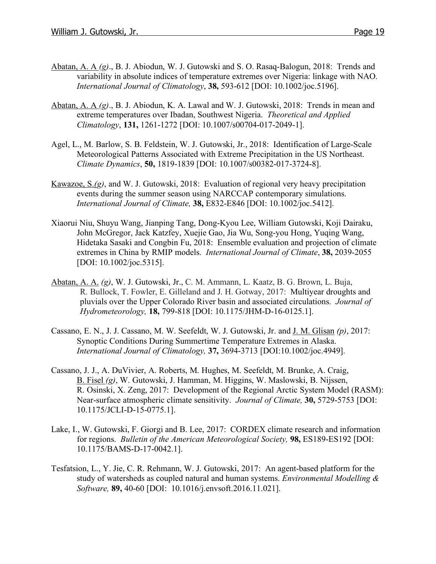- Abatan, A. A *(g)*., B. J. Abiodun, W. J. Gutowski and S. O. Rasaq-Balogun, 2018: Trends and variability in absolute indices of temperature extremes over Nigeria: linkage with NAO. *International Journal of Climatology*, **38,** 593-612 [DOI: 10.1002/joc.5196].
- Abatan, A. A *(g)*., B. J. Abiodun, K. A. Lawal and W. J. Gutowski, 2018: Trends in mean and extreme temperatures over Ibadan, Southwest Nigeria. *Theoretical and Applied Climatology*, **131,** 1261-1272 [DOI: 10.1007/s00704-017-2049-1].
- Agel, L., M. Barlow, S. B. Feldstein, W. J. Gutowski, Jr., 2018: Identification of Large-Scale Meteorological Patterns Associated with Extreme Precipitation in the US Northeast. *Climate Dynamics*, **50,** 1819-1839 [DOI: 10.1007/s00382-017-3724-8].
- Kawazoe, S.*(g)*, and W. J. Gutowski, 2018: Evaluation of regional very heavy precipitation events during the summer season using NARCCAP contemporary simulations. *International Journal of Climate,* **38,** E832-E846 [DOI: 10.1002/joc.5412].
- Xiaorui Niu, Shuyu Wang, Jianping Tang, Dong-Kyou Lee, William Gutowski, Koji Dairaku, John McGregor, Jack Katzfey, Xuejie Gao, Jia Wu, Song-you Hong, Yuqing Wang, Hidetaka Sasaki and Congbin Fu, 2018: Ensemble evaluation and projection of climate extremes in China by RMIP models. *International Journal of Climate*, **38,** 2039-2055 [DOI: 10.1002/joc.5315].
- Abatan, A. A. *(g)*, W. J. Gutowski, Jr., C. M. Ammann, L. Kaatz, B. G. Brown, L. Buja, R. Bullock, T. Fowler, E. Gilleland and J. H. Gotway, 2017: Multiyear droughts and pluvials over the Upper Colorado River basin and associated circulations. *Journal of Hydrometeorology,* **18,** 799-818 [DOI: 10.1175/JHM-D-16-0125.1].
- Cassano, E. N., J. J. Cassano, M. W. Seefeldt, W. J. Gutowski, Jr. and J. M. Glisan *(p)*, 2017: Synoptic Conditions During Summertime Temperature Extremes in Alaska. *International Journal of Climatology,* **37,** 3694-3713 [DOI:10.1002/joc.4949].
- Cassano, J. J., A. DuVivier, A. Roberts, M. Hughes, M. Seefeldt, M. Brunke, A. Craig, B. Fisel *(g)*, W. Gutowski, J. Hamman, M. Higgins, W. Maslowski, B. Nijssen, R. Osinski, X. Zeng, 2017: Development of the Regional Arctic System Model (RASM): Near-surface atmospheric climate sensitivity. *Journal of Climate,* **30,** 5729-5753 [DOI: 10.1175/JCLI-D-15-0775.1].
- Lake, I., W. Gutowski, F. Giorgi and B. Lee, 2017: CORDEX climate research and information for regions. *Bulletin of the American Meteorological Society,* **98,** ES189-ES192 [DOI: 10.1175/BAMS-D-17-0042.1].
- Tesfatsion, L., Y. Jie, C. R. Rehmann, W. J. Gutowski, 2017: An agent-based platform for the study of watersheds as coupled natural and human systems. *Environmental Modelling & Software,* **89,** 40-60 [DOI: 10.1016/j.envsoft.2016.11.021].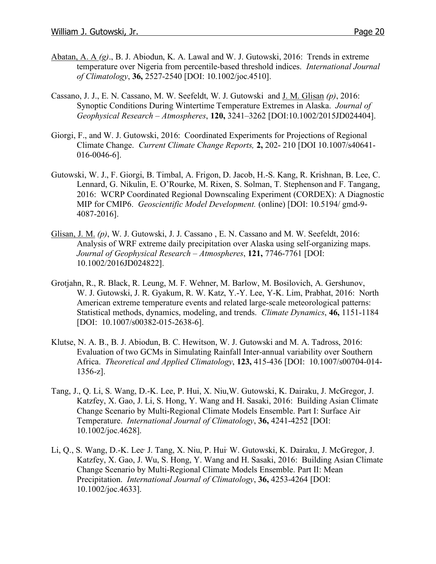- Abatan, A. A *(g)*., B. J. Abiodun, K. A. Lawal and W. J. Gutowski, 2016: Trends in extreme temperature over Nigeria from percentile-based threshold indices. *International Journal of Climatology*, **36,** 2527-2540 [DOI: 10.1002/joc.4510].
- Cassano, J. J., E. N. Cassano, M. W. Seefeldt, W. J. Gutowski and J. M. Glisan *(p)*, 2016: Synoptic Conditions During Wintertime Temperature Extremes in Alaska. *Journal of Geophysical Research – Atmospheres*, **120,** 3241–3262 [DOI:10.1002/2015JD024404].
- Giorgi, F., and W. J. Gutowski, 2016: Coordinated Experiments for Projections of Regional Climate Change. *Current Climate Change Reports,* **2,** 202- 210 [DOI 10.1007/s40641- 016-0046-6].
- Gutowski, W. J., F. Giorgi, B. Timbal, A. Frigon, D. Jacob, H.-S. Kang, R. Krishnan, B. Lee, C. Lennard, G. Nikulin, E. O'Rourke, M. Rixen, S. Solman, T. Stephenson and F. Tangang, 2016: WCRP Coordinated Regional Downscaling Experiment (CORDEX): A Diagnostic MIP for CMIP6. *Geoscientific Model Development.* (online) [DOI: 10.5194/ gmd-9- 4087-2016].
- Glisan, J. M. *(p)*, W. J. Gutowski, J. J. Cassano , E. N. Cassano and M. W. Seefeldt, 2016: Analysis of WRF extreme daily precipitation over Alaska using self-organizing maps. *Journal of Geophysical Research – Atmospheres*, **121,** 7746-7761 [DOI: 10.1002/2016JD024822].
- Grotjahn, R., R. Black, R. Leung, M. F. Wehner, M. Barlow, M. Bosilovich, A. Gershunov, W. J. Gutowski, J. R. Gyakum, R. W. Katz, Y.-Y. Lee, Y-K. Lim, Prabhat, 2016: North American extreme temperature events and related large-scale meteorological patterns: Statistical methods, dynamics, modeling, and trends. *Climate Dynamics*, **46,** 1151-1184 [DOI: 10.1007/s00382-015-2638-6].
- Klutse, N. A. B., B. J. Abiodun, B. C. Hewitson, W. J. Gutowski and M. A. Tadross, 2016: Evaluation of two GCMs in Simulating Rainfall Inter-annual variability over Southern Africa. *Theoretical and Applied Climatology*, **123,** 415-436 [DOI: 10.1007/s00704-014- 1356-z].
- Tang, J., Q. Li, S. Wang, D.-K. Lee, P. Hui, X. Niu,W. Gutowski, K. Dairaku, J. McGregor, J. Katzfey, X. Gao, J. Li, S. Hong, Y. Wang and H. Sasaki, 2016: Building Asian Climate Change Scenario by Multi-Regional Climate Models Ensemble. Part I: Surface Air Temperature. *International Journal of Climatology*, **36,** 4241-4252 [DOI: 10.1002/joc.4628].
- Li, Q., S. Wang, D.-K. Lee, J. Tang, X. Niu, P. Hui, W. Gutowski, K. Dairaku, J. McGregor, J. Katzfey, X. Gao, J. Wu, S. Hong, Y. Wang and H. Sasaki, 2016: Building Asian Climate Change Scenario by Multi-Regional Climate Models Ensemble. Part II: Mean Precipitation. *International Journal of Climatology*, **36,** 4253-4264 [DOI: 10.1002/joc.4633].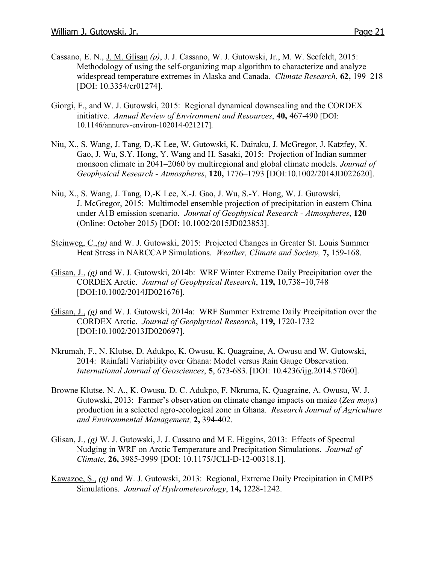- Cassano, E. N., J. M. Glisan *(p)*, J. J. Cassano, W. J. Gutowski, Jr., M. W. Seefeldt, 2015: Methodology of using the self-organizing map algorithm to characterize and analyze widespread temperature extremes in Alaska and Canada. *Climate Research*, **62,** 199–218 [DOI: 10.3354/cr01274].
- Giorgi, F., and W. J. Gutowski, 2015: Regional dynamical downscaling and the CORDEX initiative. *Annual Review of Environment and Resources*, **40,** 467-490 [DOI: 10.1146/annurev-environ-102014-021217].
- Niu, X., S. Wang, J. Tang, D,-K Lee, W. Gutowski, K. Dairaku, J. McGregor, J. Katzfey, X. Gao, J. Wu, S.Y. Hong, Y. Wang and H. Sasaki, 2015: Projection of Indian summer monsoon climate in 2041–2060 by multiregional and global climate models. *Journal of Geophysical Research - Atmospheres*, **120,** 1776–1793 [DOI:10.1002/2014JD022620].
- Niu, X., S. Wang, J. Tang, D,-K Lee, X.-J. Gao, J. Wu, S.-Y. Hong, W. J. Gutowski, J. McGregor, 2015: Multimodel ensemble projection of precipitation in eastern China under A1B emission scenario. *Journal of Geophysical Research - Atmospheres*, **120** (Online: October 2015) [DOI: 10.1002/2015JD023853].
- Steinweg, C., (u) and W. J. Gutowski, 2015: Projected Changes in Greater St. Louis Summer Heat Stress in NARCCAP Simulations. *Weather, Climate and Society,* **7,** 159-168.
- Glisan, J., *(g)* and W. J. Gutowski, 2014b: WRF Winter Extreme Daily Precipitation over the CORDEX Arctic. *Journal of Geophysical Research*, **119,** 10,738–10,748 [DOI:10.1002/2014JD021676].
- Glisan, J., *(g)* and W. J. Gutowski, 2014a: WRF Summer Extreme Daily Precipitation over the CORDEX Arctic. *Journal of Geophysical Research*, **119,** 1720-1732 [DOI:10.1002/2013JD020697].
- Nkrumah, F., N. Klutse, D. Adukpo, K. Owusu, K. Quagraine, A. Owusu and W. Gutowski, 2014: Rainfall Variability over Ghana: Model versus Rain Gauge Observation. *International Journal of Geosciences*, **5**, 673-683. [DOI: 10.4236/ijg.2014.57060].
- Browne Klutse, N. A., K. Owusu, D. C. Adukpo, F. Nkruma, K. Quagraine, A. Owusu, W. J. Gutowski, 2013: Farmer's observation on climate change impacts on maize (*Zea mays*) production in a selected agro-ecological zone in Ghana. *Research Journal of Agriculture and Environmental Management,* **2,** 394-402.
- Glisan, J., *(g)* W. J. Gutowski, J. J. Cassano and M E. Higgins, 2013: Effects of Spectral Nudging in WRF on Arctic Temperature and Precipitation Simulations. *Journal of Climate*, **26,** 3985-3999 [DOI: 10.1175/JCLI-D-12-00318.1].
- Kawazoe, S., *(g)* and W. J. Gutowski, 2013: Regional, Extreme Daily Precipitation in CMIP5 Simulations. *Journal of Hydrometeorology*, **14,** 1228-1242.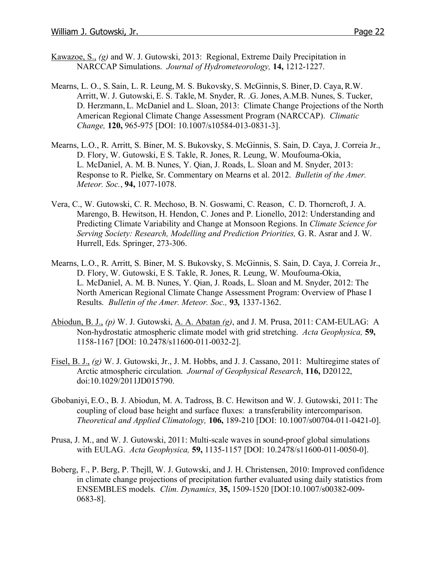- Kawazoe, S., *(g)* and W. J. Gutowski, 2013: Regional, Extreme Daily Precipitation in NARCCAP Simulations. *Journal of Hydrometeorology,* **14,** 1212-1227.
- Mearns, L. O., S. Sain, L. R. Leung, M. S. Bukovsky, S. McGinnis, S. Biner, D. Caya, R.W. Arritt, W. J. Gutowski, E. S. Takle, M. Snyder, R. .G. Jones, A.M.B. Nunes, S. Tucker, D. Herzmann, L. McDaniel and L. Sloan, 2013: Climate Change Projections of the North American Regional Climate Change Assessment Program (NARCCAP). *Climatic Change,* **120,** 965-975 [DOI: 10.1007/s10584-013-0831-3].
- Mearns, L.O., R. Arritt, S. Biner, M. S. Bukovsky, S. McGinnis, S. Sain, D. Caya, J. Correia Jr., D. Flory, W. Gutowski, E S. Takle, R. Jones, R. Leung, W. Moufouma-Okia, L. McDaniel, A. M. B. Nunes, Y. Qian, J. Roads, L. Sloan and M. Snyder, 2013: Response to R. Pielke, Sr. Commentary on Mearns et al. 2012. *Bulletin of the Amer. Meteor. Soc.*, **94,** 1077-1078.
- Vera, C., W. Gutowski, C. R. Mechoso, B. N. Goswami, C. Reason, C. D. Thorncroft, J. A. Marengo, B. Hewitson, H. Hendon, C. Jones and P. Lionello, 2012: Understanding and Predicting Climate Variability and Change at Monsoon Regions. In *Climate Science for Serving Society: Research, Modelling and Prediction Priorities,* G. R. Asrar and J. W. Hurrell, Eds. Springer, 273-306.
- Mearns, L.O., R. Arritt, S. Biner, M. S. Bukovsky, S. McGinnis, S. Sain, D. Caya, J. Correia Jr., D. Flory, W. Gutowski, E S. Takle, R. Jones, R. Leung, W. Moufouma-Okia, L. McDaniel, A. M. B. Nunes, Y. Qian, J. Roads, L. Sloan and M. Snyder, 2012: The North American Regional Climate Change Assessment Program: Overview of Phase I Results. *Bulletin of the Amer. Meteor. Soc.,* **93***,* 1337-1362.
- Abiodun, B. J., *(p)* W. J. Gutowski, A. A. Abatan *(g)*, and J. M. Prusa, 2011: CAM-EULAG: A Non-hydrostatic atmospheric climate model with grid stretching. *Acta Geophysica,* **59,** 1158-1167 [DOI: 10.2478/s11600-011-0032-2].
- Fisel, B. J., *(g)* W. J. Gutowski, Jr., J. M. Hobbs, and J. J. Cassano, 2011: Multiregime states of Arctic atmospheric circulation. *Journal of Geophysical Research*, **116,** D20122, doi:10.1029/2011JD015790.
- Gbobaniyi, E.O., B. J. Abiodun, M. A. Tadross, B. C. Hewitson and W. J. Gutowski, 2011: The coupling of cloud base height and surface fluxes: a transferability intercomparison. *Theoretical and Applied Climatology,* **106,** 189-210 [DOI: 10.1007/s00704-011-0421-0].
- Prusa, J. M., and W. J. Gutowski, 2011: Multi-scale waves in sound-proof global simulations with EULAG. *Acta Geophysica,* **59,** 1135-1157 [DOI: 10.2478/s11600-011-0050-0].
- Boberg, F., P. Berg, P. Thejll, W. J. Gutowski, and J. H. Christensen, 2010: Improved confidence in climate change projections of precipitation further evaluated using daily statistics from ENSEMBLES models. *Clim. Dynamics,* **35,** 1509-1520 [DOI:10.1007/s00382-009- 0683-8].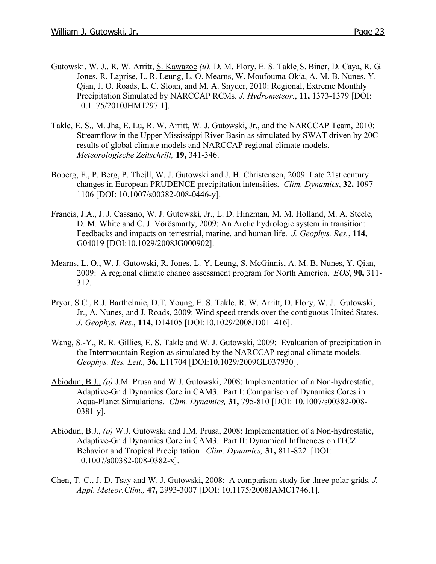- Gutowski, W. J., R. W. Arritt, S. Kawazoe *(u),* D. M. Flory, E. S. Takle, S. Biner, D. Caya, R. G. Jones, R. Laprise, L. R. Leung, L. O. Mearns, W. Moufouma-Okia, A. M. B. Nunes, Y. Qian, J. O. Roads, L. C. Sloan, and M. A. Snyder, 2010: Regional, Extreme Monthly Precipitation Simulated by NARCCAP RCMs. *J. Hydrometeor.*, **11,** 1373-1379 [DOI: 10.1175/2010JHM1297.1].
- Takle, E. S., M. Jha, E. Lu, R. W. Arritt, W. J. Gutowski, Jr., and the NARCCAP Team, 2010: Streamflow in the Upper Mississippi River Basin as simulated by SWAT driven by 20C results of global climate models and NARCCAP regional climate models. *Meteorologische Zeitschrift,* **19,** 341-346.
- Boberg, F., P. Berg, P. Thejll, W. J. Gutowski and J. H. Christensen, 2009: Late 21st century changes in European PRUDENCE precipitation intensities. *Clim. Dynamics*, **32,** 1097- 1106 [DOI: 10.1007/s00382-008-0446-y].
- Francis, J.A., J. J. Cassano, W. J. Gutowski, Jr., L. D. Hinzman, M. M. Holland, M. A. Steele, D. M. White and C. J. Vörösmarty, 2009: An Arctic hydrologic system in transition: Feedbacks and impacts on terrestrial, marine, and human life. *J. Geophys. Res.*, **114,** G04019 [DOI:10.1029/2008JG000902].
- Mearns, L. O., W. J. Gutowski, R. Jones, L.-Y. Leung, S. McGinnis, A. M. B. Nunes, Y. Qian, 2009: A regional climate change assessment program for North America. *EOS*, **90,** 311- 312.
- Pryor, S.C., R.J. Barthelmie, D.T. Young, E. S. Takle, R. W. Arritt, D. Flory, W. J. Gutowski, Jr., A. Nunes, and J. Roads, 2009: Wind speed trends over the contiguous United States. *J. Geophys. Res.*, **114,** D14105 [DOI:10.1029/2008JD011416].
- Wang, S.-Y., R. R. Gillies, E. S. Takle and W. J. Gutowski, 2009: Evaluation of precipitation in the Intermountain Region as simulated by the NARCCAP regional climate models. *Geophys. Res. Lett.,* **36,** L11704 [DOI:10.1029/2009GL037930].
- Abiodun, B.J., *(p)* J.M. Prusa and W.J. Gutowski, 2008: Implementation of a Non-hydrostatic, Adaptive-Grid Dynamics Core in CAM3. Part I: Comparison of Dynamics Cores in Aqua-Planet Simulations. *Clim. Dynamics,* **31,** 795-810 [DOI: 10.1007/s00382-008- 0381-y].
- Abiodun, B.J., *(p)* W.J. Gutowski and J.M. Prusa, 2008: Implementation of a Non-hydrostatic, Adaptive-Grid Dynamics Core in CAM3. Part II: Dynamical Influences on ITCZ Behavior and Tropical Precipitation*. Clim. Dynamics,* **31,** 811-822 [DOI: 10.1007/s00382-008-0382-x].
- Chen, T.-C., J.-D. Tsay and W. J. Gutowski, 2008: A comparison study for three polar grids. *J. Appl. Meteor.Clim.,* **47,** 2993-3007 [DOI: 10.1175/2008JAMC1746.1].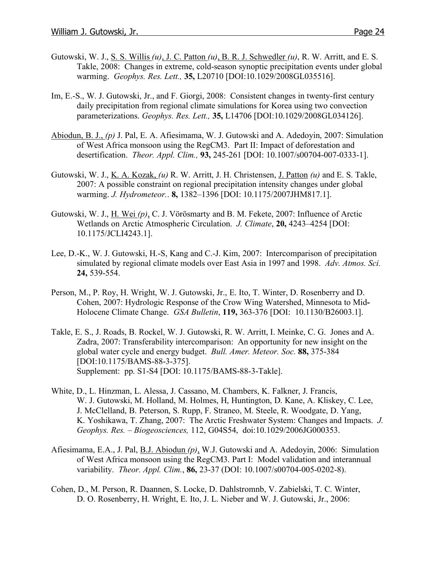- Gutowski, W. J., S. S. Willis *(u)*, J. C. Patton *(u)*, B. R. J. Schwedler *(u)*, R. W. Arritt, and E. S. Takle, 2008: Changes in extreme, cold-season synoptic precipitation events under global warming. *Geophys. Res. Lett.,* **35,** L20710 [DOI:10.1029/2008GL035516].
- Im, E.-S., W. J. Gutowski, Jr., and F. Giorgi, 2008: Consistent changes in twenty-first century daily precipitation from regional climate simulations for Korea using two convection parameterizations. *Geophys. Res. Lett.,* **35,** L14706 [DOI:10.1029/2008GL034126].
- Abiodun, B. J., *(p)* J. Pal, E. A. Afiesimama, W. J. Gutowski and A. Adedoyin, 2007: Simulation of West Africa monsoon using the RegCM3. Part II: Impact of deforestation and desertification. *Theor. Appl. Clim.,* **93,** 245-261 [DOI: 10.1007/s00704-007-0333-1].
- Gutowski, W. J., K. A. Kozak, *(u)* R. W. Arritt, J. H. Christensen, J. Patton *(u)* and E. S. Takle, 2007: A possible constraint on regional precipitation intensity changes under global warming. *J. Hydrometeor.*. **8,** 1382–1396 [DOI: 10.1175/2007JHM817.1].
- Gutowski, W. J., H. Wei *(p)*, C. J. Vörösmarty and B. M. Fekete, 2007: Influence of Arctic Wetlands on Arctic Atmospheric Circulation. *J. Climate*, **20,** 4243–4254 [DOI: 10.1175/JCLI4243.1].
- Lee, D.-K., W. J. Gutowski, H.-S, Kang and C.-J. Kim, 2007: Intercomparison of precipitation simulated by regional climate models over East Asia in 1997 and 1998. *Adv. Atmos. Sci.* **24,** 539-554.
- Person, M., P. Roy, H. Wright, W. J. Gutowski, Jr., E. Ito, T. Winter, D. Rosenberry and D. Cohen, 2007: Hydrologic Response of the Crow Wing Watershed, Minnesota to Mid**-**Holocene Climate Change. *GSA Bulletin*, **119,** 363-376 [DOI: 10.1130/B26003.1].
- Takle, E. S., J. Roads, B. Rockel, W. J. Gutowski, R. W. Arritt, I. Meinke, C. G. Jones and A. Zadra, 2007: Transferability intercomparison: An opportunity for new insight on the global water cycle and energy budget. *Bull. Amer. Meteor. Soc.* **88,** 375-384 [DOI:10.1175/BAMS-88-3-375]. Supplement: pp. S1-S4 [DOI: 10.1175/BAMS-88-3-Takle].
- White, D., L. Hinzman, L. Alessa, J. Cassano, M. Chambers, K. Falkner, J. Francis, W. J. Gutowski, M. Holland, M. Holmes, H, Huntington, D. Kane, A. Kliskey, C. Lee, J. McClelland, B. Peterson, S. Rupp, F. Straneo, M. Steele, R. Woodgate, D. Yang, K. Yoshikawa, T. Zhang, 2007: The Arctic Freshwater System: Changes and Impacts. *J. Geophys. Res. – Biogeosciences,* 112, G04S54, doi:10.1029/2006JG000353.
- Afiesimama, E.A., J. Pal, B.J. Abiodun *(p)*, W.J. Gutowski and A. Adedoyin, 2006: Simulation of West Africa monsoon using the RegCM3. Part I: Model validation and interannual variability. *Theor. Appl. Clim.*, **86,** 23-37 (DOI: 10.1007/s00704-005-0202-8).
- Cohen, D., M. Person, R. Daannen, S. Locke, D. Dahlstromnb, V. Zabielski, T. C. Winter, D. O. Rosenberry, H. Wright, E. Ito, J. L. Nieber and W. J. Gutowski, Jr., 2006: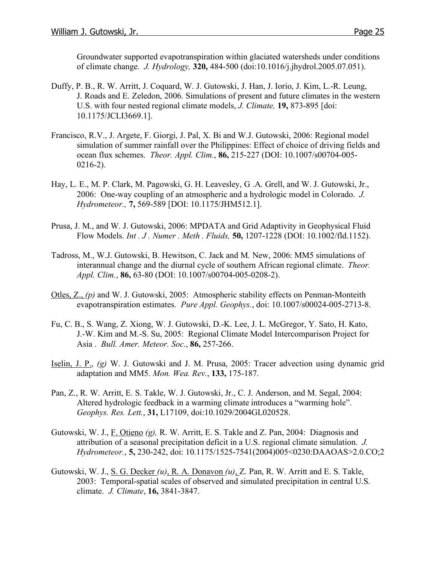Groundwater supported evapotranspiration within glaciated watersheds under conditions of climate change. *J. Hydrology,* **320,** 484-500 (doi:10.1016/j.jhydrol.2005.07.051).

- Duffy, P. B., R. W. Arritt, J. Coquard, W. J. Gutowski, J. Han, J. Iorio, J. Kim, L.-R. Leung, J. Roads and E. Zeledon, 2006. Simulations of present and future climates in the western U.S. with four nested regional climate models, *J. Climate,* **19,** 873-895 [doi: 10.1175/JCLI3669.1].
- Francisco, R.V., J. Argete, F. Giorgi, J. Pal, X. Bi and W.J. Gutowski, 2006: Regional model simulation of summer rainfall over the Philippines: Effect of choice of driving fields and ocean flux schemes. *Theor. Appl. Clim.*, **86,** 215-227 (DOI: 10.1007/s00704-005- 0216-2).
- Hay, L. E., M. P. Clark, M. Pagowski, G. H. Leavesley, G .A. Grell, and W. J. Gutowski, Jr., 2006: One-way coupling of an atmospheric and a hydrologic model in Colorado. *J. Hydrometeor.,* **7,** 569-589 [DOI: 10.1175/JHM512.1].
- Prusa, J. M., and W. J. Gutowski, 2006: MPDATA and Grid Adaptivity in Geophysical Fluid Flow Models. *Int . J . Numer . Meth . Fluids,* **50,** 1207-1228 (DOI: 10.1002/fld.1152).
- Tadross, M., W.J. Gutowski, B. Hewitson, C. Jack and M. New, 2006: MM5 simulations of interannual change and the diurnal cycle of southern African regional climate. *Theor. Appl. Clim.*, **86,** 63-80 (DOI: 10.1007/s00704-005-0208-2).
- Otles, Z., *(p)* and W. J. Gutowski, 2005: Atmospheric stability effects on Penman-Monteith evapotranspiration estimates. *Pure Appl. Geophys.*, doi: 10.1007/s00024-005-2713-8.
- Fu, C. B., S. Wang, Z. Xiong, W. J. Gutowski, D.-K. Lee, J. L. McGregor, Y. Sato, H. Kato, J.-W. Kim and M.-S. Su, 2005: Regional Climate Model Intercomparison Project for Asia . *Bull. Amer. Meteor. Soc*., **86,** 257-266.
- Iselin, J. P., *(g)* W. J. Gutowski and J. M. Prusa, 2005: Tracer advection using dynamic grid adaptation and MM5. *Mon. Wea. Rev.*, **133,** 175-187.
- Pan, Z., R. W. Arritt, E. S. Takle, W. J. Gutowski, Jr., C. J. Anderson, and M. Segal, 2004: Altered hydrologic feedback in a warming climate introduces a "warming hole". *Geophys. Res. Lett.*, **31,** L17109, doi:10.1029/2004GL020528.
- Gutowski, W. J., F. Otieno *(g),* R. W. Arritt, E. S. Takle and Z. Pan, 2004: Diagnosis and attribution of a seasonal precipitation deficit in a U.S. regional climate simulation. *J. Hydrometeor.*, **5,** 230-242, doi: 10.1175/1525-7541(2004)005<0230:DAAOAS>2.0.CO;2
- Gutowski, W. J., S. G. Decker *(u)*, R. A. Donavon *(u)*, Z. Pan, R. W. Arritt and E. S. Takle, 2003: Temporal-spatial scales of observed and simulated precipitation in central U.S. climate. *J. Climate*, **16,** 3841-3847.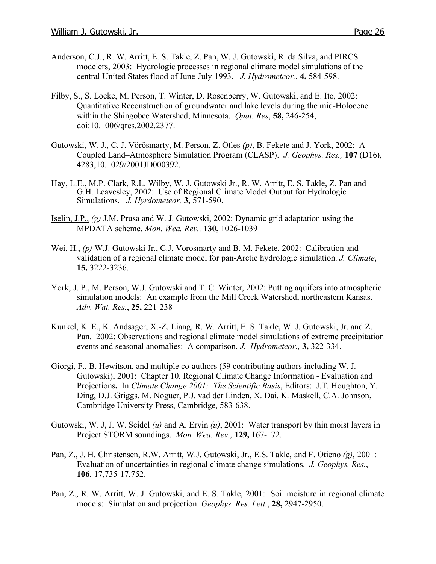- Anderson, C.J., R. W. Arritt, E. S. Takle, Z. Pan, W. J. Gutowski, R. da Silva, and PIRCS modelers, 2003: Hydrologic processes in regional climate model simulations of the central United States flood of June-July 1993. *J. Hydrometeor.*, **4,** 584-598.
- Filby, S., S. Locke, M. Person, T. Winter, D. Rosenberry, W. Gutowski, and E. Ito, 2002: Quantitative Reconstruction of groundwater and lake levels during the mid-Holocene within the Shingobee Watershed, Minnesota. *Quat. Res*, **58,** 246-254, doi:10.1006/qres.2002.2377.
- Gutowski, W. J., C. J. Vörösmarty, M. Person, Z. Ötles *(p)*, B. Fekete and J. York, 2002: A Coupled Land–Atmosphere Simulation Program (CLASP). *J. Geophys. Res.,* **107** (D16), 4283,10.1029/2001JD000392.
- Hay, L.E., M.P. Clark, R.L. Wilby, W. J. Gutowski Jr., R. W. Arritt, E. S. Takle, Z. Pan and G.H. Leavesley, 2002: Use of Regional Climate Model Output for Hydrologic Simulations. *J. Hyrdometeor,* **3,** 571-590.
- Iselin, J.P., *(g)* J.M. Prusa and W. J. Gutowski, 2002: Dynamic grid adaptation using the MPDATA scheme. *Mon. Wea. Rev.,* **130,** 1026-1039
- Wei, H., *(p)* W.J. Gutowski Jr., C.J. Vorosmarty and B. M. Fekete, 2002: Calibration and validation of a regional climate model for pan-Arctic hydrologic simulation. *J. Climate*, **15,** 3222-3236.
- York, J. P., M. Person, W.J. Gutowski and T. C. Winter, 2002: Putting aquifers into atmospheric simulation models: An example from the Mill Creek Watershed, northeastern Kansas. *Adv. Wat. Res.*, **25,** 221-238
- Kunkel, K. E., K. Andsager, X.-Z. Liang, R. W. Arritt, E. S. Takle, W. J. Gutowski, Jr. and Z. Pan. 2002: Observations and regional climate model simulations of extreme precipitation events and seasonal anomalies: A comparison. *J. Hydrometeor.,* **3,** 322-334.
- Giorgi, F., B. Hewitson, and multiple co-authors (59 contributing authors including W. J. Gutowski), 2001: Chapter 10. Regional Climate Change Information - Evaluation and Projections**.** In *Climate Change 2001: The Scientific Basis*, Editors: J.T. Houghton, Y. Ding, D.J. Griggs, M. Noguer, P.J. vad der Linden, X. Dai, K. Maskell, C.A. Johnson, Cambridge University Press, Cambridge, 583-638.
- Gutowski, W. J, J. W. Seidel *(u)* and A. Ervin *(u)*, 2001: Water transport by thin moist layers in Project STORM soundings. *Mon. Wea. Rev.*, **129,** 167-172.
- Pan, Z., J. H. Christensen, R.W. Arritt, W.J. Gutowski, Jr., E.S. Takle, and F. Otieno *(g)*, 2001: Evaluation of uncertainties in regional climate change simulations. *J. Geophys. Res.*, **106**, 17,735-17,752.
- Pan, Z., R. W. Arritt, W. J. Gutowski, and E. S. Takle, 2001: Soil moisture in regional climate models: Simulation and projection. *Geophys. Res. Lett.*, **28,** 2947-2950.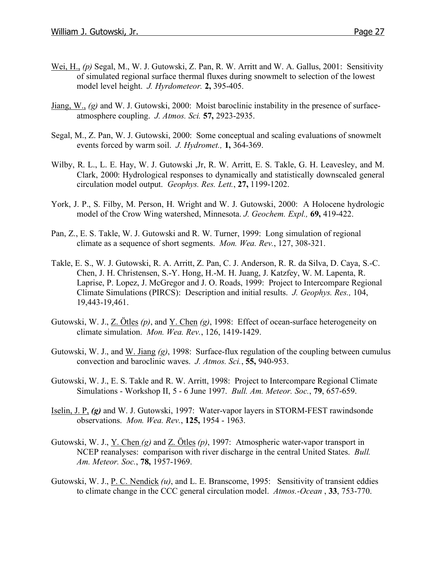- Wei, H., *(p)* Segal, M., W. J. Gutowski, Z. Pan, R. W. Arritt and W. A. Gallus, 2001: Sensitivity of simulated regional surface thermal fluxes during snowmelt to selection of the lowest model level height. *J. Hyrdometeor.* **2,** 395-405.
- Jiang, W., *(g)* and W. J. Gutowski, 2000: Moist baroclinic instability in the presence of surfaceatmosphere coupling. *J. Atmos. Sci.* **57,** 2923-2935.
- Segal, M., Z. Pan, W. J. Gutowski, 2000: Some conceptual and scaling evaluations of snowmelt events forced by warm soil. *J. Hydromet.,* **1,** 364-369.
- Wilby, R. L., L. E. Hay, W. J. Gutowski ,Jr, R. W. Arritt, E. S. Takle, G. H. Leavesley, and M. Clark, 2000: Hydrological responses to dynamically and statistically downscaled general circulation model output. *Geophys. Res. Lett.*, **27,** 1199-1202.
- York, J. P., S. Filby, M. Person, H. Wright and W. J. Gutowski, 2000: A Holocene hydrologic model of the Crow Wing watershed, Minnesota. *J. Geochem. Expl.,* **69,** 419-422.
- Pan, Z., E. S. Takle, W. J. Gutowski and R. W. Turner, 1999: Long simulation of regional climate as a sequence of short segments. *Mon. Wea. Rev.*, 127, 308-321.
- Takle, E. S., W. J. Gutowski, R. A. Arritt, Z. Pan, C. J. Anderson, R. R. da Silva, D. Caya, S.-C. Chen, J. H. Christensen, S.-Y. Hong, H.-M. H. Juang, J. Katzfey, W. M. Lapenta, R. Laprise, P. Lopez, J. McGregor and J. O. Roads, 1999: Project to Intercompare Regional Climate Simulations (PIRCS): Description and initial results. *J. Geophys. Res.,* 104, 19,443-19,461.
- Gutowski, W. J., Z. Ötles *(p)*, and Y. Chen *(g)*, 1998: Effect of ocean-surface heterogeneity on climate simulation. *Mon. Wea. Rev.*, 126, 1419-1429.
- Gutowski, W. J., and W. Jiang *(g)*, 1998: Surface-flux regulation of the coupling between cumulus convection and baroclinic waves. *J. Atmos. Sci.*, **55,** 940-953.
- Gutowski, W. J., E. S. Takle and R. W. Arritt, 1998: Project to Intercompare Regional Climate Simulations - Workshop II, 5 - 6 June 1997. *Bull. Am. Meteor. Soc.*, **79**, 657-659.
- Iselin, J. P, *(g)* and W. J. Gutowski, 1997: Water-vapor layers in STORM-FEST rawindsonde observations. *Mon. Wea. Rev.*, **125,** 1954 - 1963.
- Gutowski, W. J., Y. Chen *(g)* and Z. Ötles *(p)*, 1997: Atmospheric water-vapor transport in NCEP reanalyses: comparison with river discharge in the central United States. *Bull. Am. Meteor. Soc.*, **78,** 1957-1969.
- Gutowski, W. J., P. C. Nendick *(u)*, and L. E. Branscome, 1995: Sensitivity of transient eddies to climate change in the CCC general circulation model. *Atmos.-Ocean* , **33**, 753-770.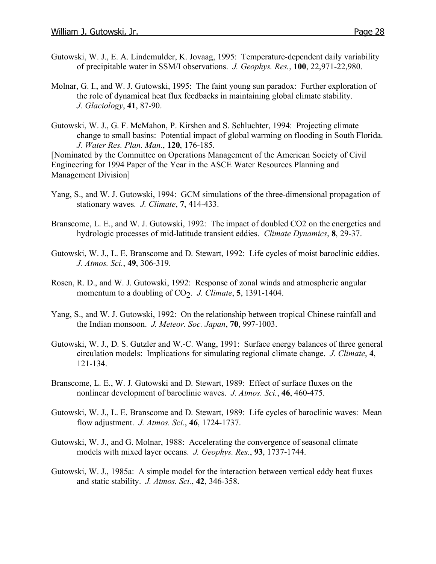- Gutowski, W. J., E. A. Lindemulder, K. Jovaag, 1995: Temperature-dependent daily variability of precipitable water in SSM/I observations. *J. Geophys. Res.*, **100**, 22,971-22,980.
- Molnar, G. I., and W. J. Gutowski, 1995: The faint young sun paradox: Further exploration of the role of dynamical heat flux feedbacks in maintaining global climate stability. *J. Glaciology*, **41**, 87-90.
- Gutowski, W. J., G. F. McMahon, P. Kirshen and S. Schluchter, 1994: Projecting climate change to small basins: Potential impact of global warming on flooding in South Florida. *J. Water Res. Plan. Man.*, **120**, 176-185.

[Nominated by the Committee on Operations Management of the American Society of Civil Engineering for 1994 Paper of the Year in the ASCE Water Resources Planning and Management Division]

- Yang, S., and W. J. Gutowski, 1994: GCM simulations of the three-dimensional propagation of stationary waves. *J. Climate*, **7**, 414-433.
- Branscome, L. E., and W. J. Gutowski, 1992: The impact of doubled CO2 on the energetics and hydrologic processes of mid-latitude transient eddies. *Climate Dynamics*, **8**, 29-37.
- Gutowski, W. J., L. E. Branscome and D. Stewart, 1992: Life cycles of moist baroclinic eddies. *J. Atmos. Sci.*, **49**, 306-319.
- Rosen, R. D., and W. J. Gutowski, 1992: Response of zonal winds and atmospheric angular momentum to a doubling of  $CO<sub>2</sub>$ . *J. Climate*, **5**, 1391-1404.
- Yang, S., and W. J. Gutowski, 1992: On the relationship between tropical Chinese rainfall and the Indian monsoon. *J. Meteor. Soc. Japan*, **70**, 997-1003.
- Gutowski, W. J., D. S. Gutzler and W.-C. Wang, 1991: Surface energy balances of three general circulation models: Implications for simulating regional climate change. *J. Climate*, **4**, 121-134.
- Branscome, L. E., W. J. Gutowski and D. Stewart, 1989: Effect of surface fluxes on the nonlinear development of baroclinic waves. *J. Atmos. Sci.*, **46**, 460-475.
- Gutowski, W. J., L. E. Branscome and D. Stewart, 1989: Life cycles of baroclinic waves: Mean flow adjustment. *J. Atmos. Sci.*, **46**, 1724-1737.
- Gutowski, W. J., and G. Molnar, 1988: Accelerating the convergence of seasonal climate models with mixed layer oceans. *J. Geophys. Res.*, **93**, 1737-1744.
- Gutowski, W. J., 1985a: A simple model for the interaction between vertical eddy heat fluxes and static stability. *J. Atmos. Sci.*, **42**, 346-358.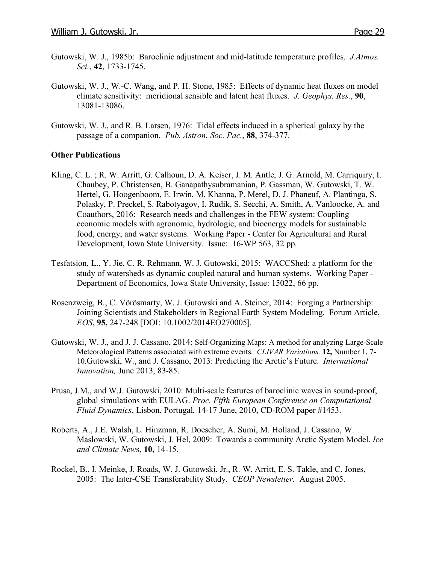- Gutowski, W. J., 1985b: Baroclinic adjustment and mid-latitude temperature profiles. *J.Atmos. Sci.*, **42**, 1733-1745.
- Gutowski, W. J., W.-C. Wang, and P. H. Stone, 1985: Effects of dynamic heat fluxes on model climate sensitivity: meridional sensible and latent heat fluxes. *J. Geophys. Res.*, **90**, 13081-13086.
- Gutowski, W. J., and R. B. Larsen, 1976: Tidal effects induced in a spherical galaxy by the passage of a companion. *Pub. Astron. Soc. Pac.*, **88**, 374-377.

## **Other Publications**

- Kling, C. L. ; R. W. Arritt, G. Calhoun, D. A. Keiser, J. M. Antle, J. G. Arnold, M. Carriquiry, I. Chaubey, P. Christensen, B. Ganapathysubramanian, P. Gassman, W. Gutowski, T. W. Hertel, G. Hoogenboom, E. Irwin, M. Khanna, P. Merel, D. J. Phaneuf, A. Plantinga, S. Polasky, P. Preckel, S. Rabotyagov, I. Rudik, S. Secchi, A. Smith, A. Vanloocke, A. and Coauthors, 2016: Research needs and challenges in the FEW system: Coupling economic models with agronomic, hydrologic, and bioenergy models for sustainable food, energy, and water systems. Working Paper - Center for Agricultural and Rural Development, Iowa State University. Issue: 16-WP 563, 32 pp.
- Tesfatsion, L., Y. Jie, C. R. Rehmann, W. J. Gutowski, 2015: WACCShed: a platform for the study of watersheds as dynamic coupled natural and human systems. Working Paper - Department of Economics, Iowa State University, Issue: 15022, 66 pp.
- Rosenzweig, B., C. Vörösmarty, W. J. Gutowski and A. Steiner, 2014: Forging a Partnership: Joining Scientists and Stakeholders in Regional Earth System Modeling. Forum Article, *EOS*, **95,** 247-248 [DOI: 10.1002/2014EO270005].
- Gutowski, W. J., and J. J. Cassano, 2014: Self-Organizing Maps: A method for analyzing Large-Scale Meteorological Patterns associated with extreme events. *CLIVAR Variations,* **12,** Number 1, 7- 10.Gutowski, W., and J. Cassano, 2013: Predicting the Arctic's Future. *International Innovation,* June 2013, 83-85.
- Prusa, J.M., and W.J. Gutowski, 2010: Multi-scale features of baroclinic waves in sound-proof, global simulations with EULAG. *Proc. Fifth European Conference on Computational Fluid Dynamics*, Lisbon, Portugal, 14-17 June, 2010, CD-ROM paper #1453.
- Roberts, A., J.E. Walsh, L. Hinzman, R. Doescher, A. Sumi, M. Holland, J. Cassano, W. Maslowski, W. Gutowski, J. Hel, 2009: Towards a community Arctic System Model. *Ice and Climate New*s, **10,** 14-15.
- Rockel, B., I. Meinke, J. Roads, W. J. Gutowski, Jr., R. W. Arritt, E. S. Takle, and C. Jones, 2005: The Inter-CSE Transferability Study. *CEOP Newsletter.* August 2005.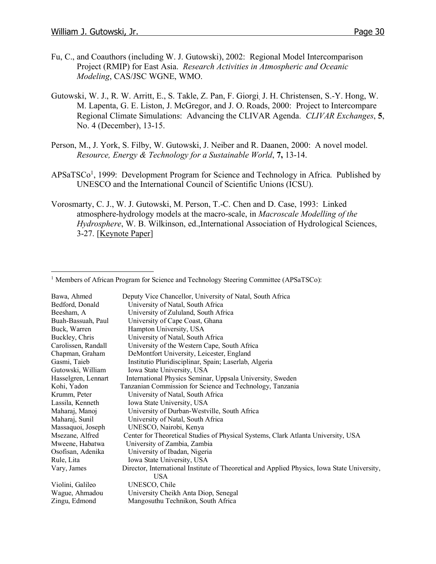- Fu, C., and Coauthors (including W. J. Gutowski), 2002: Regional Model Intercomparison Project (RMIP) for East Asia. *Research Activities in Atmospheric and Oceanic Modeling*, CAS/JSC WGNE, WMO.
- Gutowski, W. J., R. W. Arritt, E., S. Takle, Z. Pan, F. Giorgi, J. H. Christensen, S.-Y. Hong, W. M. Lapenta, G. E. Liston, J. McGregor, and J. O. Roads, 2000: Project to Intercompare Regional Climate Simulations: Advancing the CLIVAR Agenda. *CLIVAR Exchanges*, **5**, No. 4 (December), 13-15.
- Person, M., J. York, S. Filby, W. Gutowski, J. Neiber and R. Daanen, 2000: A novel model. *Resource, Energy & Technology for a Sustainable World*, **7,** 13-14.
- APSaTSCo<sup>1</sup>, 1999: Development Program for Science and Technology in Africa. Published by UNESCO and the International Council of Scientific Unions (ICSU).
- Vorosmarty, C. J., W. J. Gutowski, M. Person, T.-C. Chen and D. Case, 1993: Linked atmosphere-hydrology models at the macro-scale, in *Macroscale Modelling of the Hydrosphere*, W. B. Wilkinson, ed.,International Association of Hydrological Sciences, 3-27. [Keynote Paper]

| Deputy Vice Chancellor, University of Natal, South Africa                                    |
|----------------------------------------------------------------------------------------------|
| University of Natal, South Africa                                                            |
| University of Zululand, South Africa                                                         |
| University of Cape Coast, Ghana                                                              |
| Hampton University, USA                                                                      |
| University of Natal, South Africa                                                            |
| University of the Western Cape, South Africa                                                 |
| DeMontfort University, Leicester, England                                                    |
| Institutio Pluridisciplinar, Spain; Laserlab, Algeria                                        |
| Iowa State University, USA                                                                   |
| International Physics Seminar, Uppsala University, Sweden                                    |
| Tanzanian Commission for Science and Technology, Tanzania                                    |
| University of Natal, South Africa                                                            |
| Iowa State University, USA                                                                   |
| University of Durban-Westville, South Africa                                                 |
| University of Natal, South Africa                                                            |
| UNESCO, Nairobi, Kenya                                                                       |
| Center for Theoretical Studies of Physical Systems, Clark Atlanta University, USA            |
| University of Zambia, Zambia                                                                 |
| University of Ibadan, Nigeria                                                                |
| Iowa State University, USA                                                                   |
| Director, International Institute of Theoretical and Applied Physics, Iowa State University, |
| <b>USA</b>                                                                                   |
| UNESCO, Chile                                                                                |
| University Cheikh Anta Diop, Senegal                                                         |
| Mangosuthu Technikon, South Africa                                                           |
|                                                                                              |

<sup>&</sup>lt;sup>1</sup> Members of African Program for Science and Technology Steering Committee (APSaTSCo):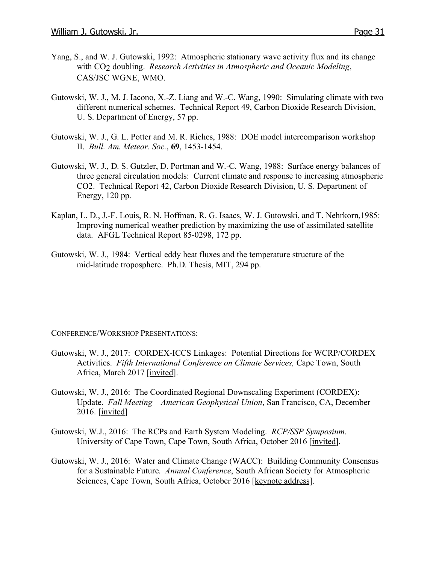- Yang, S., and W. J. Gutowski, 1992: Atmospheric stationary wave activity flux and its change with CO2 doubling. *Research Activities in Atmospheric and Oceanic Modeling*, CAS/JSC WGNE, WMO.
- Gutowski, W. J., M. J. Iacono, X.-Z. Liang and W.-C. Wang, 1990: Simulating climate with two different numerical schemes. Technical Report 49, Carbon Dioxide Research Division, U. S. Department of Energy, 57 pp.
- Gutowski, W. J., G. L. Potter and M. R. Riches, 1988: DOE model intercomparison workshop II. *Bull. Am. Meteor. Soc.*, **69**, 1453-1454.
- Gutowski, W. J., D. S. Gutzler, D. Portman and W.-C. Wang, 1988: Surface energy balances of three general circulation models: Current climate and response to increasing atmospheric CO2. Technical Report 42, Carbon Dioxide Research Division, U. S. Department of Energy, 120 pp.
- Kaplan, L. D., J.-F. Louis, R. N. Hoffman, R. G. Isaacs, W. J. Gutowski, and T. Nehrkorn,1985: Improving numerical weather prediction by maximizing the use of assimilated satellite data. AFGL Technical Report 85-0298, 172 pp.
- Gutowski, W. J., 1984: Vertical eddy heat fluxes and the temperature structure of the mid-latitude troposphere. Ph.D. Thesis, MIT, 294 pp.

CONFERENCE/WORKSHOP PRESENTATIONS:

- Gutowski, W. J., 2017: CORDEX-ICCS Linkages: Potential Directions for WCRP/CORDEX Activities. *Fifth International Conference on Climate Services,* Cape Town, South Africa, March 2017 [invited].
- Gutowski, W. J., 2016: The Coordinated Regional Downscaling Experiment (CORDEX): Update. *Fall Meeting – American Geophysical Union*, San Francisco, CA, December 2016. [invited]
- Gutowski, W.J., 2016: The RCPs and Earth System Modeling. *RCP/SSP Symposium*. University of Cape Town, Cape Town, South Africa, October 2016 [invited].
- Gutowski, W. J., 2016: Water and Climate Change (WACC): Building Community Consensus for a Sustainable Future. *Annual Conference*, South African Society for Atmospheric Sciences, Cape Town, South Africa, October 2016 [keynote address].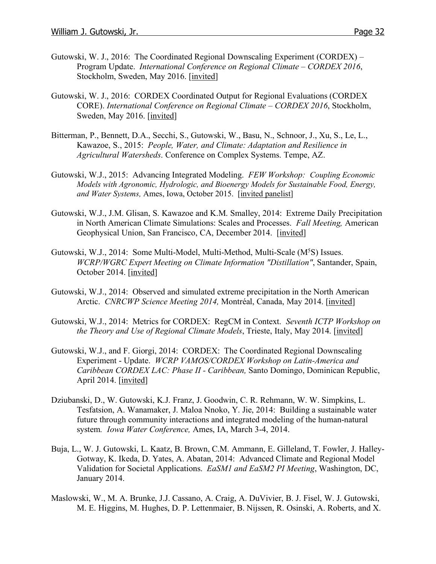- Gutowski, W. J., 2016: The Coordinated Regional Downscaling Experiment (CORDEX) Program Update. *International Conference on Regional Climate – CORDEX 2016*, Stockholm, Sweden, May 2016. [invited]
- Gutowski, W. J., 2016: CORDEX Coordinated Output for Regional Evaluations (CORDEX CORE). *International Conference on Regional Climate – CORDEX 2016*, Stockholm, Sweden, May 2016. [invited]
- Bitterman, P., Bennett, D.A., Secchi, S., Gutowski, W., Basu, N., Schnoor, J., Xu, S., Le, L., Kawazoe, S., 2015: *People, Water, and Climate: Adaptation and Resilience in Agricultural Watersheds*. Conference on Complex Systems. Tempe, AZ.
- Gutowski, W.J., 2015: Advancing Integrated Modeling. *FEW Workshop: Coupling Economic Models with Agronomic, Hydrologic, and Bioenergy Models for Sustainable Food, Energy, and Water Systems,* Ames, Iowa, October 2015. [invited panelist]
- Gutowski, W.J., J.M. Glisan, S. Kawazoe and K.M. Smalley, 2014: Extreme Daily Precipitation in North American Climate Simulations: Scales and Processes. *Fall Meeting,* American Geophysical Union, San Francisco, CA, December 2014. [invited]
- Gutowski, W.J., 2014: Some Multi-Model, Multi-Method, Multi-Scale (M<sup>5</sup>S) Issues. *WCRP/WGRC Expert Meeting on Climate Information "Distillation"*, Santander, Spain, October 2014. [invited]
- Gutowski, W.J., 2014: Observed and simulated extreme precipitation in the North American Arctic. *CNRCWP Science Meeting 2014,* Montréal, Canada, May 2014. [invited]
- Gutowski, W.J., 2014: Metrics for CORDEX: RegCM in Context. *Seventh ICTP Workshop on the Theory and Use of Regional Climate Models*, Trieste, Italy, May 2014. [invited]
- Gutowski, W.J., and F. Giorgi, 2014: CORDEX: The Coordinated Regional Downscaling Experiment - Update. *WCRP VAMOS/CORDEX Workshop on Latin-America and Caribbean CORDEX LAC: Phase II - Caribbean,* Santo Domingo, Dominican Republic, April 2014. [invited]
- Dziubanski, D., W. Gutowski, K.J. Franz, J. Goodwin, C. R. Rehmann, W. W. Simpkins, L. Tesfatsion, A. Wanamaker, J. Maloa Nnoko, Y. Jie, 2014: Building a sustainable water future through community interactions and integrated modeling of the human-natural system*. Iowa Water Conference,* Ames, IA, March 3-4, 2014.
- Buja, L., W. J. Gutowski, L. Kaatz, B. Brown, C.M. Ammann, E. Gilleland, T. Fowler, J. Halley-Gotway, K. Ikeda, D. Yates, A. Abatan, 2014: Advanced Climate and Regional Model Validation for Societal Applications. *EaSM1 and EaSM2 PI Meeting*, Washington, DC, January 2014.
- Maslowski, W., M. A. Brunke, J.J. Cassano, A. Craig, A. DuVivier, B. J. Fisel, W. J. Gutowski, M. E. Higgins, M. Hughes, D. P. Lettenmaier, B. Nijssen, R. Osinski, A. Roberts, and X.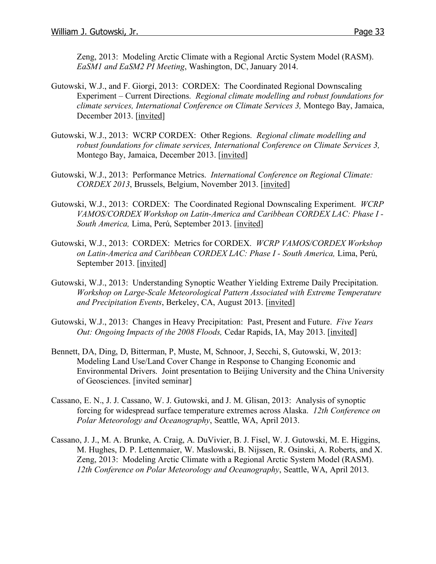Zeng, 2013: Modeling Arctic Climate with a Regional Arctic System Model (RASM). *EaSM1 and EaSM2 PI Meeting*, Washington, DC, January 2014.

- Gutowski, W.J., and F. Giorgi, 2013: CORDEX: The Coordinated Regional Downscaling Experiment – Current Directions. *Regional climate modelling and robust foundations for climate services, International Conference on Climate Services 3,* Montego Bay, Jamaica, December 2013. [invited]
- Gutowski, W.J., 2013: WCRP CORDEX: Other Regions. *Regional climate modelling and robust foundations for climate services, International Conference on Climate Services 3,* Montego Bay, Jamaica, December 2013. [invited]
- Gutowski, W.J., 2013: Performance Metrics. *International Conference on Regional Climate: CORDEX 2013*, Brussels, Belgium, November 2013. [invited]
- Gutowski, W.J., 2013: CORDEX: The Coordinated Regional Downscaling Experiment. *WCRP VAMOS/CORDEX Workshop on Latin-America and Caribbean CORDEX LAC: Phase I - South America,* Lima, Perú, September 2013. [invited]
- Gutowski, W.J., 2013: CORDEX: Metrics for CORDEX. *WCRP VAMOS/CORDEX Workshop on Latin-America and Caribbean CORDEX LAC: Phase I - South America,* Lima, Perú, September 2013. [invited]
- Gutowski, W.J., 2013: Understanding Synoptic Weather Yielding Extreme Daily Precipitation. *Workshop on Large-Scale Meteorological Pattern Associated with Extreme Temperature and Precipitation Events*, Berkeley, CA, August 2013. [invited]
- Gutowski, W.J., 2013: Changes in Heavy Precipitation: Past, Present and Future. *Five Years Out: Ongoing Impacts of the 2008 Floods,* Cedar Rapids, IA, May 2013. [invited]
- Bennett, DA, Ding, D, Bitterman, P, Muste, M, Schnoor, J, Secchi, S, Gutowski, W, 2013: Modeling Land Use/Land Cover Change in Response to Changing Economic and Environmental Drivers. Joint presentation to Beijing University and the China University of Geosciences. [invited seminar]
- Cassano, E. N., J. J. Cassano, W. J. Gutowski, and J. M. Glisan, 2013: Analysis of synoptic forcing for widespread surface temperature extremes across Alaska. *12th Conference on Polar Meteorology and Oceanography*, Seattle, WA, April 2013.
- Cassano, J. J., M. A. Brunke, A. Craig, A. DuVivier, B. J. Fisel, W. J. Gutowski, M. E. Higgins, M. Hughes, D. P. Lettenmaier, W. Maslowski, B. Nijssen, R. Osinski, A. Roberts, and X. Zeng, 2013: Modeling Arctic Climate with a Regional Arctic System Model (RASM). *12th Conference on Polar Meteorology and Oceanography*, Seattle, WA, April 2013.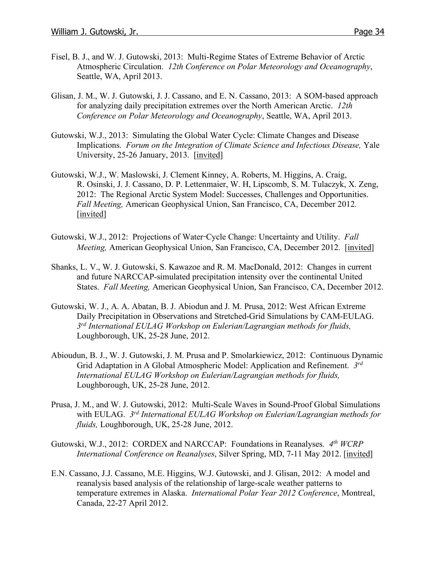- Fisel, B. J., and W. J. Gutowski, 2013: Multi-Regime States of Extreme Behavior of Arctic Atmospheric Circulation. *12th Conference on Polar Meteorology and Oceanography*, Seattle, WA, April 2013.
- Glisan, J. M., W. J. Gutowski, J. J. Cassano, and E. N. Cassano, 2013: A SOM-based approach for analyzing daily precipitation extremes over the North American Arctic. *12th Conference on Polar Meteorology and Oceanography*, Seattle, WA, April 2013.
- Gutowski, W.J., 2013: Simulating the Global Water Cycle: Climate Changes and Disease Implications. *Forum on the Integration of Climate Science and Infectious Disease,* Yale University, 25-26 January, 2013. [invited]
- Gutowski, W.J., W. Maslowski, J. Clement Kinney, A. Roberts, M. Higgins, A. Craig, R. Osinski, J. J. Cassano, D. P. Lettenmaier, W. H, Lipscomb, S. M. Tulaczyk, X. Zeng, 2012: The Regional Arctic System Model: Successes, Challenges and Opportunities. *Fall Meeting,* American Geophysical Union, San Francisco, CA, December 2012. [invited]
- Gutowski, W.J., 2012: Projections of Water-Cycle Change: Uncertainty and Utility. *Fall Meeting,* American Geophysical Union, San Francisco, CA, December 2012. [invited]
- Shanks, L. V., W. J. Gutowski, S. Kawazoe and R. M. MacDonald, 2012: Changes in current and future NARCCAP-simulated precipitation intensity over the continental United States. *Fall Meeting,* American Geophysical Union, San Francisco, CA, December 2012.
- Gutowski, W. J., A. A. Abatan, B. J. Abiodun and J. M. Prusa, 2012: West African Extreme Daily Precipitation in Observations and Stretched-Grid Simulations by CAM-EULAG. *3rd International EULAG Workshop on Eulerian/Lagrangian methods for fluids,*  Loughborough, UK, 25-28 June, 2012.
- Abioudun, B. J., W. J. Gutowski, J. M. Prusa and P. Smolarkiewicz, 2012: Continuous Dynamic Grid Adaptation in A Global Atmospheric Model: Application and Refinement. *3rd International EULAG Workshop on Eulerian/Lagrangian methods for fluids,*  Loughborough, UK, 25-28 June, 2012.
- Prusa, J. M., and W. J. Gutowski, 2012: Multi-Scale Waves in Sound-Proof Global Simulations with EULAG. *3rd International EULAG Workshop on Eulerian/Lagrangian methods for fluids,* Loughborough, UK, 25-28 June, 2012.
- Gutowski, W.J., 2012: CORDEX and NARCCAP: Foundations in Reanalyses. *4th WCRP International Conference on Reanalyses*, Silver Spring, MD, 7-11 May 2012. [invited]
- E.N. Cassano, J.J. Cassano, M.E. Higgins, W.J. Gutowski, and J. Glisan, 2012: A model and reanalysis based analysis of the relationship of large-scale weather patterns to temperature extremes in Alaska. *International Polar Year 2012 Conference*, Montreal, Canada, 22-27 April 2012.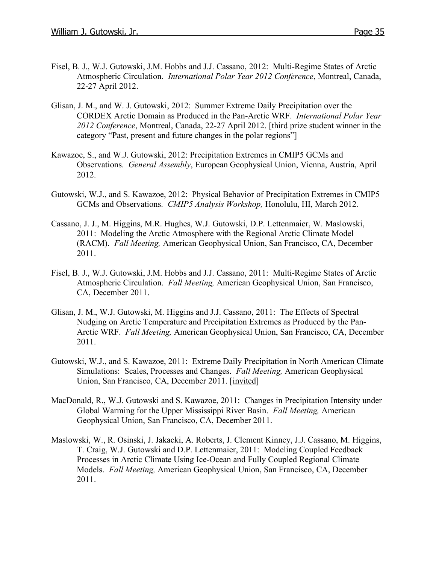- Fisel, B. J., W.J. Gutowski, J.M. Hobbs and J.J. Cassano, 2012: Multi-Regime States of Arctic Atmospheric Circulation. *International Polar Year 2012 Conference*, Montreal, Canada, 22-27 April 2012.
- Glisan, J. M., and W. J. Gutowski, 2012: Summer Extreme Daily Precipitation over the CORDEX Arctic Domain as Produced in the Pan-Arctic WRF. *International Polar Year 2012 Conference*, Montreal, Canada, 22-27 April 2012. [third prize student winner in the category "Past, present and future changes in the polar regions"]
- Kawazoe, S., and W.J. Gutowski, 2012: Precipitation Extremes in CMIP5 GCMs and Observations. *General Assembly*, European Geophysical Union, Vienna, Austria, April 2012.
- Gutowski, W.J., and S. Kawazoe, 2012: Physical Behavior of Precipitation Extremes in CMIP5 GCMs and Observations. *CMIP5 Analysis Workshop,* Honolulu, HI, March 2012.
- Cassano, J. J., M. Higgins, M.R. Hughes, W.J. Gutowski, D.P. Lettenmaier, W. Maslowski, 2011: Modeling the Arctic Atmosphere with the Regional Arctic Climate Model (RACM). *Fall Meeting,* American Geophysical Union, San Francisco, CA, December 2011.
- Fisel, B. J., W.J. Gutowski, J.M. Hobbs and J.J. Cassano, 2011: Multi-Regime States of Arctic Atmospheric Circulation. *Fall Meeting,* American Geophysical Union, San Francisco, CA, December 2011.
- Glisan, J. M., W.J. Gutowski, M. Higgins and J.J. Cassano, 2011: The Effects of Spectral Nudging on Arctic Temperature and Precipitation Extremes as Produced by the Pan-Arctic WRF. *Fall Meeting,* American Geophysical Union, San Francisco, CA, December 2011.
- Gutowski, W.J., and S. Kawazoe, 2011: Extreme Daily Precipitation in North American Climate Simulations: Scales, Processes and Changes. *Fall Meeting,* American Geophysical Union, San Francisco, CA, December 2011. [invited]
- MacDonald, R., W.J. Gutowski and S. Kawazoe, 2011: Changes in Precipitation Intensity under Global Warming for the Upper Mississippi River Basin. *Fall Meeting,* American Geophysical Union, San Francisco, CA, December 2011.
- Maslowski, W., R. Osinski, J. Jakacki, A. Roberts, J. Clement Kinney, J.J. Cassano, M. Higgins, T. Craig, W.J. Gutowski and D.P. Lettenmaier, 2011: Modeling Coupled Feedback Processes in Arctic Climate Using Ice-Ocean and Fully Coupled Regional Climate Models. *Fall Meeting,* American Geophysical Union, San Francisco, CA, December 2011.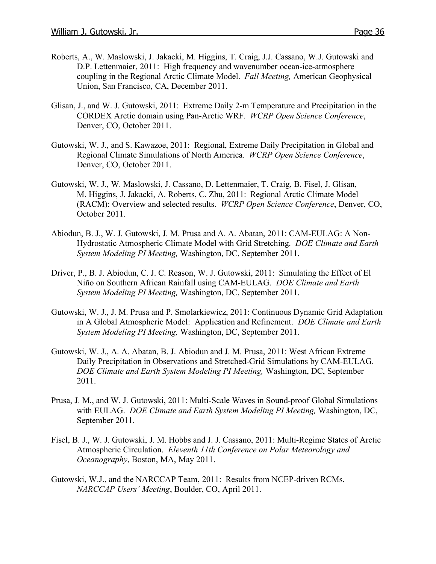- Roberts, A., W. Maslowski, J. Jakacki, M. Higgins, T. Craig, J.J. Cassano, W.J. Gutowski and D.P. Lettenmaier, 2011: High frequency and wavenumber ocean-ice-atmosphere coupling in the Regional Arctic Climate Model. *Fall Meeting,* American Geophysical Union, San Francisco, CA, December 2011.
- Glisan, J., and W. J. Gutowski, 2011: Extreme Daily 2-m Temperature and Precipitation in the CORDEX Arctic domain using Pan-Arctic WRF. *WCRP Open Science Conference*, Denver, CO, October 2011.
- Gutowski, W. J., and S. Kawazoe, 2011: Regional, Extreme Daily Precipitation in Global and Regional Climate Simulations of North America. *WCRP Open Science Conference*, Denver, CO, October 2011.
- Gutowski, W. J., W. Maslowski, J. Cassano, D. Lettenmaier, T. Craig, B. Fisel, J. Glisan, M. Higgins, J. Jakacki, A. Roberts, C. Zhu, 2011: Regional Arctic Climate Model (RACM): Overview and selected results. *WCRP Open Science Conference*, Denver, CO, October 2011.
- Abiodun, B. J., W. J. Gutowski, J. M. Prusa and A. A. Abatan, 2011: CAM-EULAG: A Non-Hydrostatic Atmospheric Climate Model with Grid Stretching. *DOE Climate and Earth System Modeling PI Meeting,* Washington, DC, September 2011.
- Driver, P., B. J. Abiodun, C. J. C. Reason, W. J. Gutowski, 2011: Simulating the Effect of El Niño on Southern African Rainfall using CAM-EULAG. *DOE Climate and Earth System Modeling PI Meeting,* Washington, DC, September 2011.
- Gutowski, W. J., J. M. Prusa and P. Smolarkiewicz, 2011: Continuous Dynamic Grid Adaptation in A Global Atmospheric Model: Application and Refinement. *DOE Climate and Earth System Modeling PI Meeting,* Washington, DC, September 2011.
- Gutowski, W. J., A. A. Abatan, B. J. Abiodun and J. M. Prusa, 2011: West African Extreme Daily Precipitation in Observations and Stretched-Grid Simulations by CAM-EULAG. *DOE Climate and Earth System Modeling PI Meeting,* Washington, DC, September 2011.
- Prusa, J. M., and W. J. Gutowski, 2011: Multi-Scale Waves in Sound-proof Global Simulations with EULAG. *DOE Climate and Earth System Modeling PI Meeting,* Washington, DC, September 2011.
- Fisel, B. J., W. J. Gutowski, J. M. Hobbs and J. J. Cassano, 2011: Multi-Regime States of Arctic Atmospheric Circulation. *Eleventh 11th Conference on Polar Meteorology and Oceanography*, Boston, MA, May 2011.
- Gutowski, W.J., and the NARCCAP Team, 2011: Results from NCEP-driven RCMs. *NARCCAP Users' Meeting*, Boulder, CO, April 2011.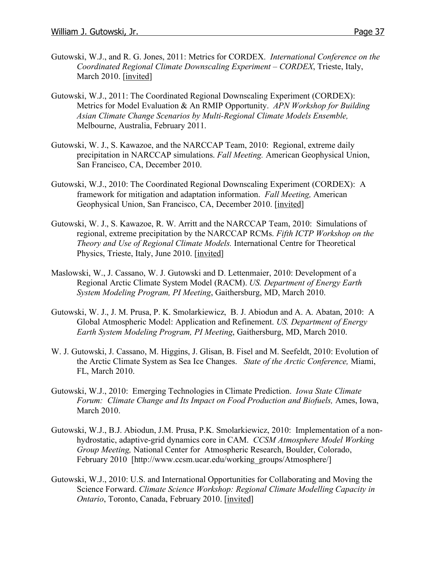- Gutowski, W.J., and R. G. Jones, 2011: Metrics for CORDEX. *International Conference on the Coordinated Regional Climate Downscaling Experiment – CORDEX*, Trieste, Italy, March 2010. [invited]
- Gutowski, W.J., 2011: The Coordinated Regional Downscaling Experiment (CORDEX): Metrics for Model Evaluation & An RMIP Opportunity. *APN Workshop for Building Asian Climate Change Scenarios by Multi-Regional Climate Models Ensemble,* Melbourne, Australia, February 2011.
- Gutowski, W. J., S. Kawazoe, and the NARCCAP Team, 2010: Regional, extreme daily precipitation in NARCCAP simulations. *Fall Meeting.* American Geophysical Union, San Francisco, CA, December 2010.
- Gutowski, W.J., 2010: The Coordinated Regional Downscaling Experiment (CORDEX): A framework for mitigation and adaptation information. *Fall Meeting,* American Geophysical Union, San Francisco, CA, December 2010. [invited]
- Gutowski, W. J., S. Kawazoe, R. W. Arritt and the NARCCAP Team, 2010: Simulations of regional, extreme precipitation by the NARCCAP RCMs. *Fifth ICTP Workshop on the Theory and Use of Regional Climate Models.* International Centre for Theoretical Physics, Trieste, Italy, June 2010. [invited]
- Maslowski, W., J. Cassano, W. J. Gutowski and D. Lettenmaier, 2010: Development of a Regional Arctic Climate System Model (RACM). *US. Department of Energy Earth System Modeling Program, PI Meeting*, Gaithersburg, MD, March 2010.
- Gutowski, W. J., J. M. Prusa, P. K. Smolarkiewicz, B. J. Abiodun and A. A. Abatan, 2010: A Global Atmospheric Model: Application and Refinement. *US. Department of Energy Earth System Modeling Program, PI Meeting*, Gaithersburg, MD, March 2010.
- W. J. Gutowski, J. Cassano, M. Higgins, J. Glisan, B. Fisel and M. Seefeldt, 2010: Evolution of the Arctic Climate System as Sea Ice Changes. *State of the Arctic Conference,* Miami, FL, March 2010.
- Gutowski, W.J., 2010: Emerging Technologies in Climate Prediction. *Iowa State Climate Forum: Climate Change and Its Impact on Food Production and Biofuels,* Ames, Iowa, March 2010.
- Gutowski, W.J., B.J. Abiodun, J.M. Prusa, P.K. Smolarkiewicz, 2010: Implementation of a nonhydrostatic, adaptive-grid dynamics core in CAM. *CCSM Atmosphere Model Working Group Meeting,* National Center for Atmospheric Research, Boulder, Colorado, February 2010 [http://www.ccsm.ucar.edu/working\_groups/Atmosphere/]
- Gutowski, W.J., 2010: U.S. and International Opportunities for Collaborating and Moving the Science Forward. *Climate Science Workshop: Regional Climate Modelling Capacity in Ontario*, Toronto, Canada, February 2010. [invited]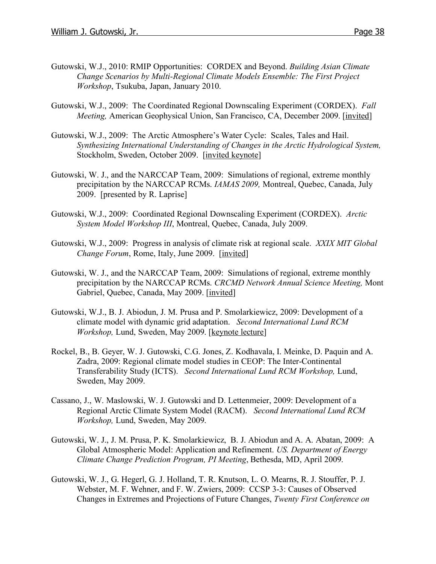- Gutowski, W.J., 2010: RMIP Opportunities: CORDEX and Beyond. *Building Asian Climate Change Scenarios by Multi-Regional Climate Models Ensemble: The First Project Workshop*, Tsukuba, Japan, January 2010.
- Gutowski, W.J., 2009: The Coordinated Regional Downscaling Experiment (CORDEX). *Fall Meeting,* American Geophysical Union, San Francisco, CA, December 2009. [invited]
- Gutowski, W.J., 2009: The Arctic Atmosphere's Water Cycle: Scales, Tales and Hail. *Synthesizing International Understanding of Changes in the Arctic Hydrological System,* Stockholm, Sweden, October 2009. [invited keynote]
- Gutowski, W. J., and the NARCCAP Team, 2009: Simulations of regional, extreme monthly precipitation by the NARCCAP RCMs. *IAMAS 2009,* Montreal, Quebec, Canada, July 2009. [presented by R. Laprise]
- Gutowski, W.J., 2009: Coordinated Regional Downscaling Experiment (CORDEX). *Arctic System Model Workshop III*, Montreal, Quebec, Canada, July 2009.
- Gutowski, W.J., 2009: Progress in analysis of climate risk at regional scale. *XXIX MIT Global Change Forum*, Rome, Italy, June 2009. [invited]
- Gutowski, W. J., and the NARCCAP Team, 2009: Simulations of regional, extreme monthly precipitation by the NARCCAP RCMs. *CRCMD Network Annual Science Meeting,* Mont Gabriel, Quebec, Canada, May 2009. [invited]
- Gutowski, W.J., B. J. Abiodun, J. M. Prusa and P. Smolarkiewicz, 2009: Development of a climate model with dynamic grid adaptation. *Second International Lund RCM Workshop,* Lund, Sweden, May 2009. [keynote lecture]
- Rockel, B., B. Geyer, W. J. Gutowski, C.G. Jones, Z. Kodhavala, I. Meinke, D. Paquin and A. Zadra, 2009: Regional climate model studies in CEOP: The Inter-Continental Transferability Study (ICTS). *Second International Lund RCM Workshop,* Lund, Sweden, May 2009.
- Cassano, J., W. Maslowski, W. J. Gutowski and D. Lettenmeier, 2009: Development of a Regional Arctic Climate System Model (RACM). *Second International Lund RCM Workshop,* Lund, Sweden, May 2009.
- Gutowski, W. J., J. M. Prusa, P. K. Smolarkiewicz, B. J. Abiodun and A. A. Abatan, 2009: A Global Atmospheric Model: Application and Refinement. *US. Department of Energy Climate Change Prediction Program, PI Meeting*, Bethesda, MD, April 2009.
- Gutowski, W. J., G. Hegerl, G. J. Holland, T. R. Knutson, L. O. Mearns, R. J. Stouffer, P. J. Webster, M. F. Wehner, and F. W. Zwiers, 2009: CCSP 3-3: Causes of Observed Changes in Extremes and Projections of Future Changes, *Twenty First Conference on*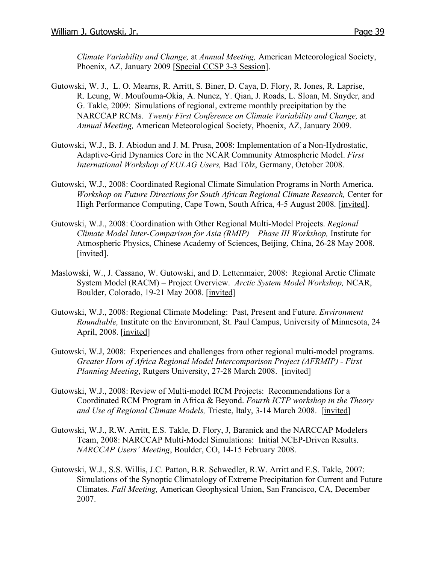*Climate Variability and Change,* at *Annual Meeting,* American Meteorological Society, Phoenix, AZ, January 2009 [Special CCSP 3-3 Session].

- Gutowski, W. J., L. O. Mearns, R. Arritt, S. Biner, D. Caya, D. Flory, R. Jones, R. Laprise, R. Leung, W. Moufouma-Okia, A. Nunez, Y. Qian, J. Roads, L. Sloan, M. Snyder, and G. Takle, 2009: Simulations of regional, extreme monthly precipitation by the NARCCAP RCMs. *Twenty First Conference on Climate Variability and Change,* at *Annual Meeting,* American Meteorological Society, Phoenix, AZ, January 2009.
- Gutowski, W.J., B. J. Abiodun and J. M. Prusa, 2008: Implementation of a Non-Hydrostatic, Adaptive-Grid Dynamics Core in the NCAR Community Atmospheric Model. *First International Workshop of EULAG Users,* Bad Tölz, Germany, October 2008.
- Gutowski, W.J., 2008: Coordinated Regional Climate Simulation Programs in North America. *Workshop on Future Directions for South African Regional Climate Research,* Center for High Performance Computing, Cape Town, South Africa, 4-5 August 2008. [invited].
- Gutowski, W.J., 2008: Coordination with Other Regional Multi-Model Projects. *Regional Climate Model Inter-Comparison for Asia (RMIP) – Phase III Workshop,* Institute for Atmospheric Physics, Chinese Academy of Sciences, Beijing, China, 26-28 May 2008. [invited].
- Maslowski, W., J. Cassano, W. Gutowski, and D. Lettenmaier, 2008: Regional Arctic Climate System Model (RACM) – Project Overview. *Arctic System Model Workshop,* NCAR, Boulder, Colorado, 19-21 May 2008. [invited]
- Gutowski, W.J., 2008: Regional Climate Modeling: Past, Present and Future. *Environment Roundtable,* Institute on the Environment, St. Paul Campus, University of Minnesota, 24 April, 2008. [invited]
- Gutowski, W.J, 2008: Experiences and challenges from other regional multi-model programs. *Greater Horn of Africa Regional Model Intercomparison Project (AFRMIP) - First Planning Meeting*, Rutgers University, 27-28 March 2008. [invited]
- Gutowski, W.J., 2008: Review of Multi-model RCM Projects: Recommendations for a Coordinated RCM Program in Africa & Beyond. *Fourth ICTP workshop in the Theory and Use of Regional Climate Models,* Trieste, Italy, 3-14 March 2008. [invited]
- Gutowski, W.J., R.W. Arritt, E.S. Takle, D. Flory, J, Baranick and the NARCCAP Modelers Team, 2008: NARCCAP Multi-Model Simulations: Initial NCEP-Driven Results. *NARCCAP Users' Meeting*, Boulder, CO, 14-15 February 2008.
- Gutowski, W.J., S.S. Willis, J.C. Patton, B.R. Schwedler, R.W. Arritt and E.S. Takle, 2007: Simulations of the Synoptic Climatology of Extreme Precipitation for Current and Future Climates. *Fall Meeting,* American Geophysical Union, San Francisco, CA, December 2007.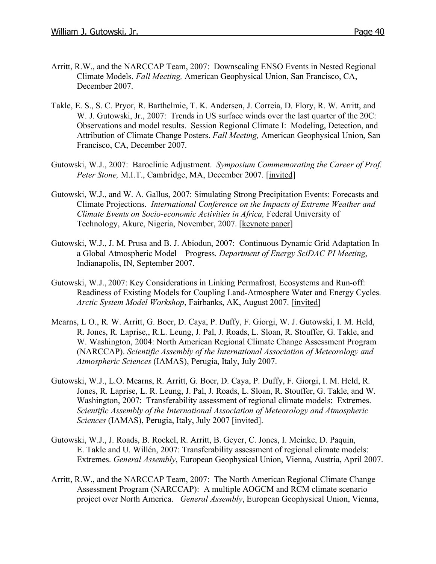- Arritt, R.W., and the NARCCAP Team, 2007: Downscaling ENSO Events in Nested Regional Climate Models. *Fall Meeting,* American Geophysical Union, San Francisco, CA, December 2007.
- Takle, E. S., S. C. Pryor, R. Barthelmie, T. K. Andersen, J. Correia, D. Flory, R. W. Arritt, and W. J. Gutowski, Jr., 2007: Trends in US surface winds over the last quarter of the 20C: Observations and model results. Session Regional Climate I: Modeling, Detection, and Attribution of Climate Change Posters. *Fall Meeting,* American Geophysical Union, San Francisco, CA, December 2007.
- Gutowski, W.J., 2007: Baroclinic Adjustment. *Symposium Commemorating the Career of Prof. Peter Stone,* M.I.T., Cambridge, MA, December 2007. [invited]
- Gutowski, W.J., and W. A. Gallus, 2007: Simulating Strong Precipitation Events: Forecasts and Climate Projections. *International Conference on the Impacts of Extreme Weather and Climate Events on Socio-economic Activities in Africa,* Federal University of Technology, Akure, Nigeria, November, 2007. [keynote paper]
- Gutowski, W.J., J. M. Prusa and B. J. Abiodun, 2007: Continuous Dynamic Grid Adaptation In a Global Atmospheric Model – Progress. *Department of Energy SciDAC PI Meeting*, Indianapolis, IN, September 2007.
- Gutowski, W.J., 2007: Key Considerations in Linking Permafrost, Ecosystems and Run-off: Readiness of Existing Models for Coupling Land-Atmosphere Water and Energy Cycles. *Arctic System Model Workshop*, Fairbanks, AK, August 2007. [invited]
- Mearns, L O., R. W. Arritt, G. Boer, D. Caya, P. Duffy, F. Giorgi, W. J. Gutowski, I. M. Held, R. Jones, R. Laprise,, R.L. Leung, J. Pal, J. Roads, L. Sloan, R. Stouffer, G. Takle, and W. Washington, 2004: North American Regional Climate Change Assessment Program (NARCCAP). *Scientific Assembly of the International Association of Meteorology and Atmospheric Sciences* (IAMAS), Perugia, Italy, July 2007.
- Gutowski, W.J., L.O. Mearns, R. Arritt, G. Boer, D. Caya, P. Duffy, F. Giorgi, I. M. Held, R. Jones, R. Laprise, L. R. Leung, J. Pal, J. Roads, L. Sloan, R. Stouffer, G. Takle, and W. Washington, 2007: Transferability assessment of regional climate models: Extremes. *Scientific Assembly of the International Association of Meteorology and Atmospheric Sciences* (IAMAS), Perugia, Italy, July 2007 [invited].
- Gutowski, W.J., J. Roads, B. Rockel, R. Arritt, B. Geyer, C. Jones, I. Meinke, D. Paquin, E. Takle and U. Willén, 2007: Transferability assessment of regional climate models: Extremes. *General Assembly*, European Geophysical Union, Vienna, Austria, April 2007.
- Arritt, R.W., and the NARCCAP Team, 2007: The North American Regional Climate Change Assessment Program (NARCCAP): A multiple AOGCM and RCM climate scenario project over North America. *General Assembly*, European Geophysical Union, Vienna,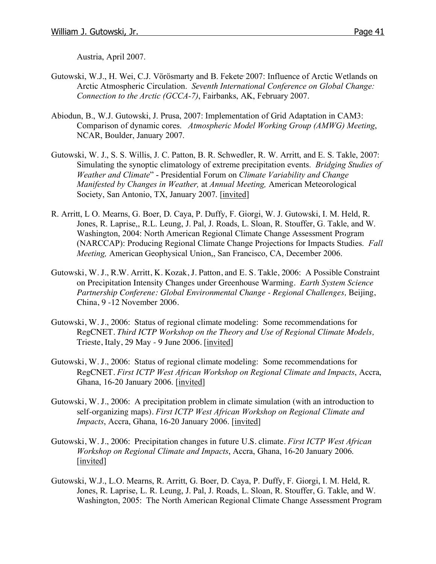Austria, April 2007.

- Gutowski, W.J., H. Wei, C.J. Vörösmarty and B. Fekete, 2007: Influence of Arctic Wetlands on Arctic Atmospheric Circulation. *Seventh International Conference on Global Change: Connection to the Arctic (GCCA-7)*, Fairbanks, AK, February 2007.
- Abiodun, B., W.J. Gutowski, J. Prusa, 2007: Implementation of Grid Adaptation in CAM3: Comparison of dynamic cores. *Atmospheric Model Working Group (AMWG) Meeting*, NCAR, Boulder, January 2007.
- Gutowski, W. J., S. S. Willis, J. C. Patton, B. R. Schwedler, R. W. Arritt, and E. S. Takle, 2007: Simulating the synoptic climatology of extreme precipitation events. *Bridging Studies of Weather and Climate*" - Presidential Forum on *Climate Variability and Change Manifested by Changes in Weather,* at *Annual Meeting,* American Meteorological Society, San Antonio, TX, January 2007. [invited]
- R. Arritt, L O. Mearns, G. Boer, D. Caya, P. Duffy, F. Giorgi, W. J. Gutowski, I. M. Held, R. Jones, R. Laprise,, R.L. Leung, J. Pal, J. Roads, L. Sloan, R. Stouffer, G. Takle, and W. Washington, 2004: North American Regional Climate Change Assessment Program (NARCCAP): Producing Regional Climate Change Projections for Impacts Studies. *Fall Meeting,* American Geophysical Union,, San Francisco, CA, December 2006.
- Gutowski, W. J., R.W. Arritt, K. Kozak, J. Patton, and E. S. Takle, 2006: A Possible Constraint on Precipitation Intensity Changes under Greenhouse Warming. *Earth System Science Partnership Conferene: Global Environmental Change - Regional Challenges,* Beijing, China, 9 -12 November 2006.
- Gutowski, W. J., 2006: Status of regional climate modeling: Some recommendations for RegCNET. *Third ICTP Workshop on the Theory and Use of Regional Climate Models,*  Trieste, Italy, 29 May - 9 June 2006. [invited]
- Gutowski, W. J., 2006: Status of regional climate modeling: Some recommendations for RegCNET. *First ICTP West African Workshop on Regional Climate and Impacts*, Accra, Ghana, 16-20 January 2006. [invited]
- Gutowski, W. J., 2006: A precipitation problem in climate simulation (with an introduction to self-organizing maps). *First ICTP West African Workshop on Regional Climate and Impacts*, Accra, Ghana, 16-20 January 2006. [invited]
- Gutowski, W. J., 2006: Precipitation changes in future U.S. climate. *First ICTP West African Workshop on Regional Climate and Impacts*, Accra, Ghana, 16-20 January 2006. [invited]
- Gutowski, W.J., L.O. Mearns, R. Arritt, G. Boer, D. Caya, P. Duffy, F. Giorgi, I. M. Held, R. Jones, R. Laprise, L. R. Leung, J. Pal, J. Roads, L. Sloan, R. Stouffer, G. Takle, and W. Washington, 2005: The North American Regional Climate Change Assessment Program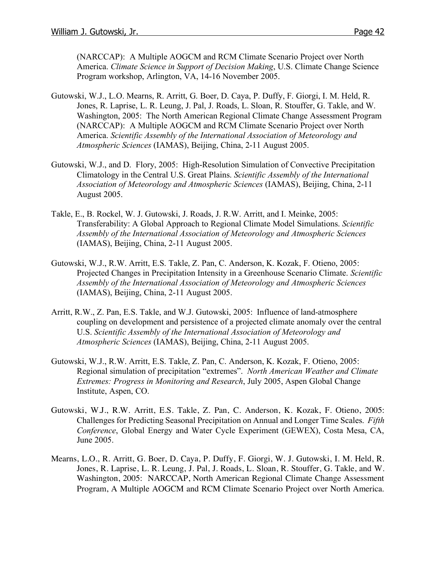(NARCCAP): A Multiple AOGCM and RCM Climate Scenario Project over North America. *Climate Science in Support of Decision Making*, U.S. Climate Change Science Program workshop, Arlington, VA, 14-16 November 2005.

- Gutowski, W.J., L.O. Mearns, R. Arritt, G. Boer, D. Caya, P. Duffy, F. Giorgi, I. M. Held, R. Jones, R. Laprise, L. R. Leung, J. Pal, J. Roads, L. Sloan, R. Stouffer, G. Takle, and W. Washington, 2005: The North American Regional Climate Change Assessment Program (NARCCAP): A Multiple AOGCM and RCM Climate Scenario Project over North America. *Scientific Assembly of the International Association of Meteorology and Atmospheric Sciences* (IAMAS), Beijing, China, 2-11 August 2005.
- Gutowski, W.J., and D. Flory, 2005: High-Resolution Simulation of Convective Precipitation Climatology in the Central U.S. Great Plains. *Scientific Assembly of the International Association of Meteorology and Atmospheric Sciences* (IAMAS), Beijing, China, 2-11 August 2005.
- Takle, E., B. Rockel, W. J. Gutowski, J. Roads, J. R.W. Arritt, and I. Meinke, 2005: Transferability: A Global Approach to Regional Climate Model Simulations. *Scientific Assembly of the International Association of Meteorology and Atmospheric Sciences* (IAMAS), Beijing, China, 2-11 August 2005.
- Gutowski, W.J., R.W. Arritt, E.S. Takle, Z. Pan, C. Anderson, K. Kozak, F. Otieno, 2005: Projected Changes in Precipitation Intensity in a Greenhouse Scenario Climate. *Scientific Assembly of the International Association of Meteorology and Atmospheric Sciences* (IAMAS), Beijing, China, 2-11 August 2005.
- Arritt, R.W., Z. Pan, E.S. Takle, and W.J. Gutowski, 2005: Influence of land-atmosphere coupling on development and persistence of a projected climate anomaly over the central U.S. *Scientific Assembly of the International Association of Meteorology and Atmospheric Sciences* (IAMAS), Beijing, China, 2-11 August 2005.
- Gutowski, W.J., R.W. Arritt, E.S. Takle, Z. Pan, C. Anderson, K. Kozak, F. Otieno, 2005: Regional simulation of precipitation "extremes". *North American Weather and Climate Extremes: Progress in Monitoring and Research*, July 2005, Aspen Global Change Institute, Aspen, CO.
- Gutowski, W.J., R.W. Arritt, E.S. Takle, Z. Pan, C. Anderson, K. Kozak, F. Otieno, 2005: Challenges for Predicting Seasonal Precipitation on Annual and Longer Time Scales. *Fifth Conference*, Global Energy and Water Cycle Experiment (GEWEX), Costa Mesa, CA, June 2005.
- Mearns, L.O., R. Arritt, G. Boer, D. Caya, P. Duffy, F. Giorgi, W. J. Gutowski, I. M. Held, R. Jones, R. Laprise, L. R. Leung, J. Pal, J. Roads, L. Sloan, R. Stouffer, G. Takle, and W. Washington, 2005: NARCCAP, North American Regional Climate Change Assessment Program, A Multiple AOGCM and RCM Climate Scenario Project over North America.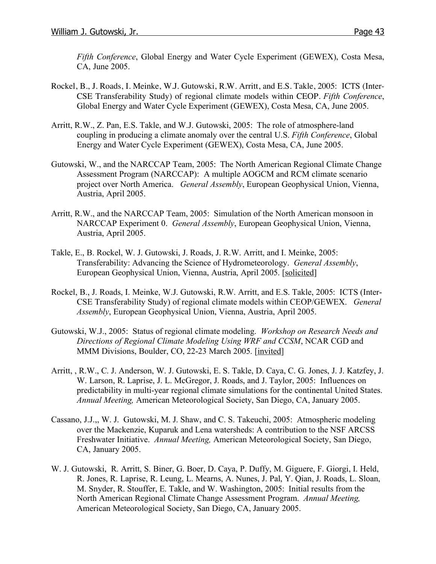*Fifth Conference*, Global Energy and Water Cycle Experiment (GEWEX), Costa Mesa, CA, June 2005.

- Rockel, B., J. Roads, I. Meinke, W.J. Gutowski, R.W. Arritt, and E.S. Takle, 2005: ICTS (Inter-CSE Transferability Study) of regional climate models within CEOP. *Fifth Conference*, Global Energy and Water Cycle Experiment (GEWEX), Costa Mesa, CA, June 2005.
- Arritt, R.W., Z. Pan, E.S. Takle, and W.J. Gutowski, 2005: The role of atmosphere-land coupling in producing a climate anomaly over the central U.S. *Fifth Conference*, Global Energy and Water Cycle Experiment (GEWEX), Costa Mesa, CA, June 2005.
- Gutowski, W., and the NARCCAP Team, 2005: The North American Regional Climate Change Assessment Program (NARCCAP): A multiple AOGCM and RCM climate scenario project over North America. *General Assembly*, European Geophysical Union, Vienna, Austria, April 2005.
- Arritt, R.W., and the NARCCAP Team, 2005: Simulation of the North American monsoon in NARCCAP Experiment 0. *General Assembly*, European Geophysical Union, Vienna, Austria, April 2005.
- Takle, E., B. Rockel, W. J. Gutowski, J. Roads, J. R.W. Arritt, and I. Meinke, 2005: Transferability: Advancing the Science of Hydrometeorology. *General Assembly*, European Geophysical Union, Vienna, Austria, April 2005. [solicited]
- Rockel, B., J. Roads, I. Meinke, W.J. Gutowski, R.W. Arritt, and E.S. Takle, 2005: ICTS (Inter-CSE Transferability Study) of regional climate models within CEOP/GEWEX. *General Assembly*, European Geophysical Union, Vienna, Austria, April 2005.
- Gutowski, W.J., 2005: Status of regional climate modeling. *Workshop on Research Needs and Directions of Regional Climate Modeling Using WRF and CCSM*, NCAR CGD and MMM Divisions, Boulder, CO, 22-23 March 2005. [invited]
- Arritt, , R.W., C. J. Anderson, W. J. Gutowski, E. S. Takle, D. Caya, C. G. Jones, J. J. Katzfey, J. W. Larson, R. Laprise, J. L. McGregor, J. Roads, and J. Taylor, 2005: Influences on predictability in multi-year regional climate simulations for the continental United States. *Annual Meeting,* American Meteorological Society, San Diego, CA, January 2005.
- Cassano, J.J.,, W. J. Gutowski, M. J. Shaw, and C. S. Takeuchi, 2005: Atmospheric modeling over the Mackenzie, Kuparuk and Lena watersheds: A contribution to the NSF ARCSS Freshwater Initiative. *Annual Meeting,* American Meteorological Society, San Diego, CA, January 2005.
- W. J. Gutowski, R. Arritt, S. Biner, G. Boer, D. Caya, P. Duffy, M. Giguere, F. Giorgi, I. Held, R. Jones, R. Laprise, R. Leung, L. Mearns, A. Nunes, J. Pal, Y. Qian, J. Roads, L. Sloan, M. Snyder, R. Stouffer, E. Takle, and W. Washington, 2005: Initial results from the North American Regional Climate Change Assessment Program. *Annual Meeting,* American Meteorological Society, San Diego, CA, January 2005.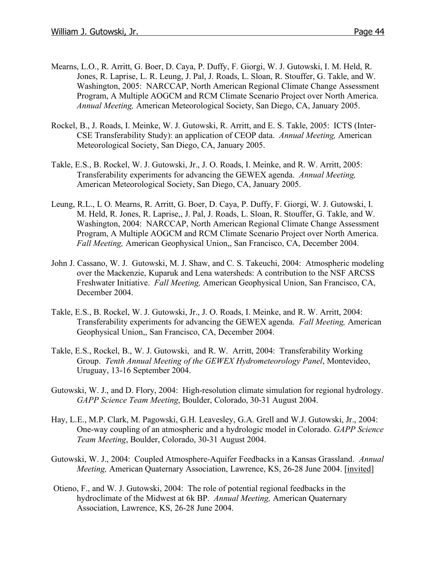- Mearns, L.O., R. Arritt, G. Boer, D. Caya, P. Duffy, F. Giorgi, W. J. Gutowski, I. M. Held, R. Jones, R. Laprise, L. R. Leung, J. Pal, J. Roads, L. Sloan, R. Stouffer, G. Takle, and W. Washington, 2005: NARCCAP, North American Regional Climate Change Assessment Program, A Multiple AOGCM and RCM Climate Scenario Project over North America. *Annual Meeting,* American Meteorological Society, San Diego, CA, January 2005.
- Rockel, B., J. Roads, I. Meinke, W. J. Gutowski, R. Arritt, and E. S. Takle, 2005: ICTS (Inter-CSE Transferability Study): an application of CEOP data. *Annual Meeting,* American Meteorological Society, San Diego, CA, January 2005.
- Takle, E.S., B. Rockel, W. J. Gutowski, Jr., J. O. Roads, I. Meinke, and R. W. Arritt, 2005: Transferability experiments for advancing the GEWEX agenda. *Annual Meeting,*  American Meteorological Society, San Diego, CA, January 2005.
- Leung, R.L., L O. Mearns, R. Arritt, G. Boer, D. Caya, P. Duffy, F. Giorgi, W. J. Gutowski, I. M. Held, R. Jones, R. Laprise,, J. Pal, J. Roads, L. Sloan, R. Stouffer, G. Takle, and W. Washington, 2004: NARCCAP, North American Regional Climate Change Assessment Program, A Multiple AOGCM and RCM Climate Scenario Project over North America. *Fall Meeting,* American Geophysical Union,, San Francisco, CA, December 2004.
- John J. Cassano, W. J. Gutowski, M. J. Shaw, and C. S. Takeuchi, 2004: Atmospheric modeling over the Mackenzie, Kuparuk and Lena watersheds: A contribution to the NSF ARCSS Freshwater Initiative. *Fall Meeting,* American Geophysical Union, San Francisco, CA, December 2004.
- Takle, E.S., B. Rockel, W. J. Gutowski, Jr., J. O. Roads, I. Meinke, and R. W. Arritt, 2004: Transferability experiments for advancing the GEWEX agenda. *Fall Meeting,* American Geophysical Union,, San Francisco, CA, December 2004.
- Takle, E.S., Rockel, B., W. J. Gutowski, and R. W. Arritt, 2004: Transferability Working Group. *Tenth Annual Meeting of the GEWEX Hydrometeorology Panel*, Montevideo, Uruguay, 13-16 September 2004.
- Gutowski, W. J., and D. Flory, 2004: High-resolution climate simulation for regional hydrology. *GAPP Science Team Meeting*, Boulder, Colorado, 30-31 August 2004.
- Hay, L.E., M.P. Clark, M. Pagowski, G.H. Leavesley, G.A. Grell and W.J. Gutowski, Jr., 2004: One-way coupling of an atmospheric and a hydrologic model in Colorado. *GAPP Science Team Meeting*, Boulder, Colorado, 30-31 August 2004.
- Gutowski, W. J., 2004: Coupled Atmosphere-Aquifer Feedbacks in a Kansas Grassland. *Annual Meeting,* American Quaternary Association, Lawrence, KS, 26-28 June 2004. [invited]
- Otieno, F., and W. J. Gutowski, 2004: The role of potential regional feedbacks in the hydroclimate of the Midwest at 6k BP. *Annual Meeting,* American Quaternary Association, Lawrence, KS, 26-28 June 2004.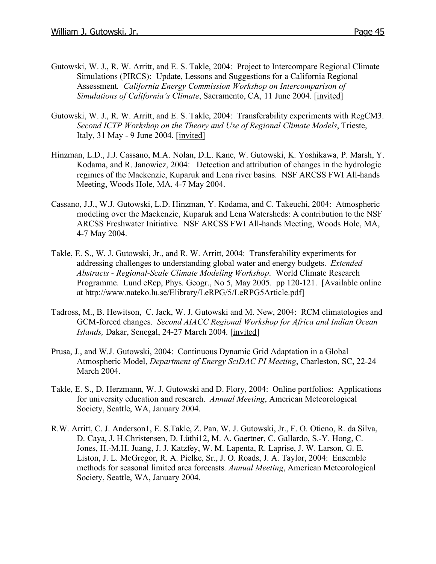- Gutowski, W. J., R. W. Arritt, and E. S. Takle, 2004: Project to Intercompare Regional Climate Simulations (PIRCS): Update, Lessons and Suggestions for a California Regional Assessment*. California Energy Commission Workshop on Intercomparison of Simulations of California's Climate*, Sacramento, CA, 11 June 2004. [invited]
- Gutowski, W. J., R. W. Arritt, and E. S. Takle, 2004: Transferability experiments with RegCM3. *Second ICTP Workshop on the Theory and Use of Regional Climate Models*, Trieste, Italy, 31 May - 9 June 2004. [invited]
- Hinzman, L.D., J.J. Cassano, M.A. Nolan, D.L. Kane, W. Gutowski, K. Yoshikawa, P. Marsh, Y. Kodama, and R. Janowicz, 2004: Detection and attribution of changes in the hydrologic regimes of the Mackenzie, Kuparuk and Lena river basins. NSF ARCSS FWI All-hands Meeting, Woods Hole, MA, 4-7 May 2004.
- Cassano, J.J., W.J. Gutowski, L.D. Hinzman, Y. Kodama, and C. Takeuchi, 2004: Atmospheric modeling over the Mackenzie, Kuparuk and Lena Watersheds: A contribution to the NSF ARCSS Freshwater Initiative. NSF ARCSS FWI All-hands Meeting, Woods Hole, MA, 4-7 May 2004.
- Takle, E. S., W. J. Gutowski, Jr., and R. W. Arritt, 2004: Transferability experiments for addressing challenges to understanding global water and energy budgets. *Extended Abstracts - Regional-Scale Climate Modeling Workshop*. World Climate Research Programme. Lund eRep, Phys. Geogr., No 5, May 2005. pp 120-121. [Available online at http://www.nateko.lu.se/Elibrary/LeRPG/5/LeRPG5Article.pdf]
- Tadross, M., B. Hewitson, C. Jack, W. J. Gutowski and M. New, 2004: RCM climatologies and GCM-forced changes. *Second AIACC Regional Workshop for Africa and Indian Ocean Islands,* Dakar, Senegal, 24-27 March 2004. [invited]
- Prusa, J., and W.J. Gutowski, 2004: Continuous Dynamic Grid Adaptation in a Global Atmospheric Model, *Department of Energy SciDAC PI Meeting*, Charleston, SC, 22-24 March 2004.
- Takle, E. S., D. Herzmann, W. J. Gutowski and D. Flory, 2004: Online portfolios: Applications for university education and research. *Annual Meeting*, American Meteorological Society, Seattle, WA, January 2004.
- R.W. Arritt, C. J. Anderson1, E. S.Takle, Z. Pan, W. J. Gutowski, Jr., F. O. Otieno, R. da Silva, D. Caya, J. H.Christensen, D. Lüthi12, M. A. Gaertner, C. Gallardo, S.-Y. Hong, C. Jones, H.-M.H. Juang, J. J. Katzfey, W. M. Lapenta, R. Laprise, J. W. Larson, G. E. Liston, J. L. McGregor, R. A. Pielke, Sr., J. O. Roads, J. A. Taylor, 2004: Ensemble methods for seasonal limited area forecasts. *Annual Meeting*, American Meteorological Society, Seattle, WA, January 2004.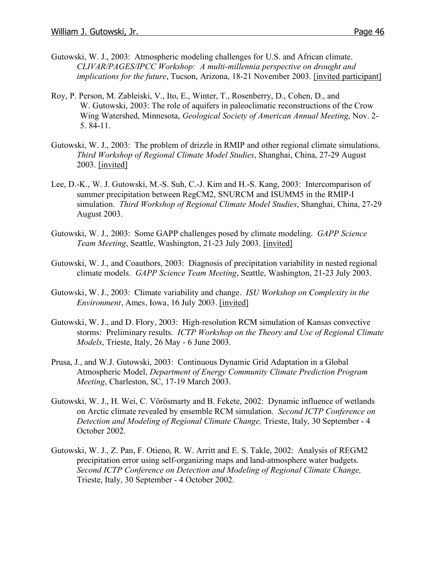- Gutowski, W. J., 2003: Atmospheric modeling challenges for U.S. and African climate. *CLIVAR/PAGES/IPCC Workshop: A multi-millennia perspective on drought and implications for the future*, Tucson, Arizona, 18-21 November 2003. [invited participant]
- Roy, P. Person, M. Zableiski, V., Ito, E., Winter, T., Rosenberry, D., Cohen, D., and W. Gutowski, 2003: The role of aquifers in paleoclimatic reconstructions of the Crow Wing Watershed, Minnesota, *Geological Society of American Annual Meeting*, Nov. 2- 5. 84-11.
- Gutowski, W. J., 2003: The problem of drizzle in RMIP and other regional climate simulations. *Third Workshop of Regional Climate Model Studies*, Shanghai, China, 27-29 August 2003. [invited]
- Lee, D.-K., W. J. Gutowski, M.-S. Suh, C.-J. Kim and H.-S. Kang, 2003: Intercomparison of summer precipitation between RegCM2, SNURCM and ISUMM5 in the RMIP-I simulation. *Third Workshop of Regional Climate Model Studies*, Shanghai, China, 27-29 August 2003.
- Gutowski, W. J., 2003: Some GAPP challenges posed by climate modeling. *GAPP Science Team Meeting*, Seattle, Washington, 21-23 July 2003. [invited]
- Gutowski, W. J., and Coauthors, 2003: Diagnosis of precipitation variability in nested regional climate models. *GAPP Science Team Meeting*, Seattle, Washington, 21-23 July 2003.
- Gutowski, W. J., 2003: Climate variability and change. *ISU Workshop on Complexity in the Environment*, Ames, Iowa, 16 July 2003. [invited]
- Gutowski, W. J., and D. Flory, 2003: High-resolution RCM simulation of Kansas convective storms: Preliminary results. *ICTP Workshop on the Theory and Use of Regional Climate Models*, Trieste, Italy, 26 May - 6 June 2003.
- Prusa, J., and W.J. Gutowski, 2003: Continuous Dynamic Grid Adaptation in a Global Atmospheric Model, *Department of Energy Community Climate Prediction Program Meeting*, Charleston, SC, 17-19 March 2003.
- Gutowski, W. J., H. Wei, C. Vörösmarty and B. Fekete, 2002: Dynamic influence of wetlands on Arctic climate revealed by ensemble RCM simulation. *Second ICTP Conference on Detection and Modeling of Regional Climate Change,* Trieste, Italy, 30 September - 4 October 2002.
- Gutowski, W. J., Z. Pan, F. Otieno, R. W. Arritt and E. S. Takle, 2002: Analysis of REGM2 precipitation error using self-organizing maps and land-atmosphere water budgets. *Second ICTP Conference on Detection and Modeling of Regional Climate Change,*  Trieste, Italy, 30 September - 4 October 2002.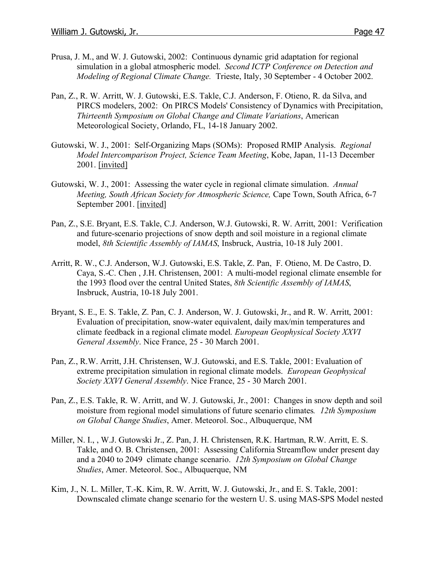- Prusa, J. M., and W. J. Gutowski, 2002: Continuous dynamic grid adaptation for regional simulation in a global atmospheric model. *Second ICTP Conference on Detection and Modeling of Regional Climate Change.* Trieste, Italy, 30 September - 4 October 2002.
- Pan, Z., R. W. Arritt, W. J. Gutowski, E.S. Takle, C.J. Anderson, F. Otieno, R. da Silva, and PIRCS modelers, 2002: On PIRCS Models' Consistency of Dynamics with Precipitation, *Thirteenth Symposium on Global Change and Climate Variations*, American Meteorological Society, Orlando, FL, 14-18 January 2002.
- Gutowski, W. J., 2001: Self-Organizing Maps (SOMs): Proposed RMIP Analysis. *Regional Model Intercomparison Project, Science Team Meeting*, Kobe, Japan, 11-13 December 2001. [invited]
- Gutowski, W. J., 2001: Assessing the water cycle in regional climate simulation. *Annual Meeting, South African Society for Atmospheric Science,* Cape Town, South Africa, 6-7 September 2001. [invited]
- Pan, Z., S.E. Bryant, E.S. Takle, C.J. Anderson, W.J. Gutowski, R. W. Arritt, 2001: Verification and future-scenario projections of snow depth and soil moisture in a regional climate model, *8th Scientific Assembly of IAMAS*, Insbruck, Austria, 10-18 July 2001.
- Arritt, R. W., C.J. Anderson, W.J. Gutowski, E.S. Takle, Z. Pan, F. Otieno, M. De Castro, D. Caya, S.-C. Chen , J.H. Christensen, 2001: A multi-model regional climate ensemble for the 1993 flood over the central United States, *8th Scientific Assembly of IAMAS*, Insbruck, Austria, 10-18 July 2001.
- Bryant, S. E., E. S. Takle, Z. Pan, C. J. Anderson, W. J. Gutowski, Jr., and R. W. Arritt, 2001: Evaluation of precipitation, snow-water equivalent, daily max/min temperatures and climate feedback in a regional climate model*. European Geophysical Society XXVI General Assembly*. Nice France, 25 - 30 March 2001.
- Pan, Z., R.W. Arritt, J.H. Christensen, W.J. Gutowski, and E.S. Takle, 2001: Evaluation of extreme precipitation simulation in regional climate models. *European Geophysical Society XXVI General Assembly*. Nice France, 25 - 30 March 2001.
- Pan, Z., E.S. Takle, R. W. Arritt, and W. J. Gutowski, Jr., 2001: Changes in snow depth and soil moisture from regional model simulations of future scenario climates*. 12th Symposium on Global Change Studies*, Amer. Meteorol. Soc., Albuquerque, NM
- Miller, N. I., , W.J. Gutowski Jr., Z. Pan, J. H. Christensen, R.K. Hartman, R.W. Arritt, E. S. Takle, and O. B. Christensen, 2001: Assessing California Streamflow under present day and a 2040 to 2049 climate change scenario. *12th Symposium on Global Change Studies*, Amer. Meteorol. Soc., Albuquerque, NM
- Kim, J., N. L. Miller, T.-K. Kim, R. W. Arritt, W. J. Gutowski, Jr., and E. S. Takle, 2001: Downscaled climate change scenario for the western U. S. using MAS-SPS Model nested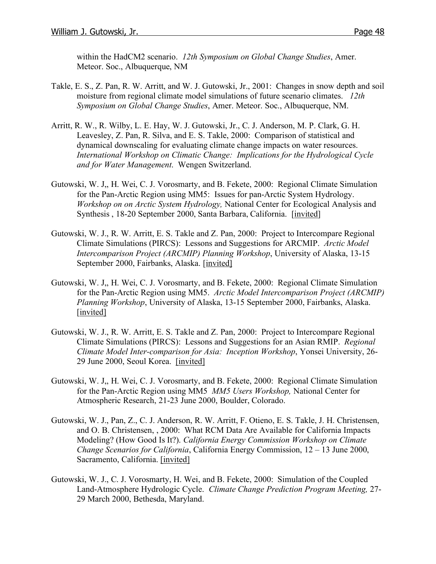within the HadCM2 scenario. *12th Symposium on Global Change Studies*, Amer. Meteor. Soc., Albuquerque, NM

- Takle, E. S., Z. Pan, R. W. Arritt, and W. J. Gutowski, Jr., 2001: Changes in snow depth and soil moisture from regional climate model simulations of future scenario climates. *12th Symposium on Global Change Studies*, Amer. Meteor. Soc., Albuquerque, NM.
- Arritt, R. W., R. Wilby, L. E. Hay, W. J. Gutowski, Jr., C. J. Anderson, M. P. Clark, G. H. Leavesley, Z. Pan, R. Silva, and E. S. Takle, 2000: Comparison of statistical and dynamical downscaling for evaluating climate change impacts on water resources. *International Workshop on Climatic Change: Implications for the Hydrological Cycle and for Water Management*. Wengen Switzerland.
- Gutowski, W. J,, H. Wei, C. J. Vorosmarty, and B. Fekete, 2000: Regional Climate Simulation for the Pan-Arctic Region using MM5: Issues for pan-Arctic System Hydrology. *Workshop on on Arctic System Hydrology,* National Center for Ecological Analysis and Synthesis , 18-20 September 2000, Santa Barbara, California. [invited]
- Gutowski, W. J., R. W. Arritt, E. S. Takle and Z. Pan, 2000: Project to Intercompare Regional Climate Simulations (PIRCS): Lessons and Suggestions for ARCMIP. *Arctic Model Intercomparison Project (ARCMIP) Planning Workshop*, University of Alaska, 13-15 September 2000, Fairbanks, Alaska. [invited]
- Gutowski, W. J,, H. Wei, C. J. Vorosmarty, and B. Fekete, 2000: Regional Climate Simulation for the Pan-Arctic Region using MM5. *Arctic Model Intercomparison Project (ARCMIP) Planning Workshop*, University of Alaska, 13-15 September 2000, Fairbanks, Alaska. [invited]
- Gutowski, W. J., R. W. Arritt, E. S. Takle and Z. Pan, 2000: Project to Intercompare Regional Climate Simulations (PIRCS): Lessons and Suggestions for an Asian RMIP. *Regional Climate Model Inter-comparison for Asia: Inception Workshop*, Yonsei University, 26- 29 June 2000, Seoul Korea. [invited]
- Gutowski, W. J,, H. Wei, C. J. Vorosmarty, and B. Fekete, 2000: Regional Climate Simulation for the Pan-Arctic Region using MM5 *MM5 Users Workshop,* National Center for Atmospheric Research, 21-23 June 2000, Boulder, Colorado.
- Gutowski, W. J., Pan, Z., C. J. Anderson, R. W. Arritt, F. Otieno, E. S. Takle, J. H. Christensen, and O. B. Christensen, , 2000: What RCM Data Are Available for California Impacts Modeling? (How Good Is It?). *California Energy Commission Workshop on Climate Change Scenarios for California*, California Energy Commission, 12 – 13 June 2000, Sacramento, California. [invited]
- Gutowski, W. J., C. J. Vorosmarty, H. Wei, and B. Fekete, 2000: Simulation of the Coupled Land-Atmosphere Hydrologic Cycle. *Climate Change Prediction Program Meeting,* 27- 29 March 2000, Bethesda, Maryland.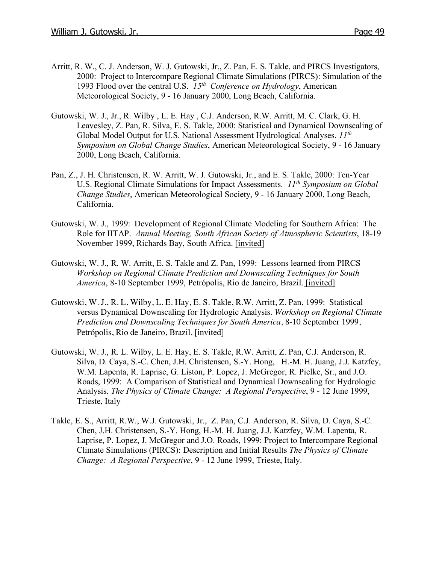- Arritt, R. W., C. J. Anderson, W. J. Gutowski, Jr., Z. Pan, E. S. Takle, and PIRCS Investigators, 2000: Project to Intercompare Regional Climate Simulations (PIRCS): Simulation of the 1993 Flood over the central U.S. *15th Conference on Hydrology*, American Meteorological Society, 9 - 16 January 2000, Long Beach, California.
- Gutowski, W. J., Jr., R. Wilby , L. E. Hay , C.J. Anderson, R.W. Arritt, M. C. Clark, G. H. Leavesley, Z. Pan, R. Silva, E. S. Takle, 2000: Statistical and Dynamical Downscaling of Global Model Output for U.S. National Assessment Hydrological Analyses. *11th Symposium on Global Change Studies*, American Meteorological Society, 9 - 16 January 2000, Long Beach, California.
- Pan, Z., J. H. Christensen, R. W. Arritt, W. J. Gutowski, Jr., and E. S. Takle, 2000: Ten-Year U.S. Regional Climate Simulations for Impact Assessments. *11th Symposium on Global Change Studies*, American Meteorological Society, 9 - 16 January 2000, Long Beach, California.
- Gutowski, W. J., 1999: Development of Regional Climate Modeling for Southern Africa: The Role for IITAP. *Annual Meeting, South African Society of Atmospheric Scientists*, 18-19 November 1999, Richards Bay, South Africa. [invited]
- Gutowski, W. J., R. W. Arritt, E. S. Takle and Z. Pan, 1999: Lessons learned from PIRCS *Workshop on Regional Climate Prediction and Downscaling Techniques for South America*, 8-10 September 1999, Petrópolis, Rio de Janeiro, Brazil. [invited]
- Gutowski, W. J., R. L. Wilby, L. E. Hay, E. S. Takle, R.W. Arritt, Z. Pan, 1999: Statistical versus Dynamical Downscaling for Hydrologic Analysis. *Workshop on Regional Climate Prediction and Downscaling Techniques for South America*, 8-10 September 1999, Petrópolis, Rio de Janeiro, Brazil. [invited]
- Gutowski, W. J., R. L. Wilby, L. E. Hay, E. S. Takle, R.W. Arritt, Z. Pan, C.J. Anderson, R. Silva, D. Caya, S.-C. Chen, J.H. Christensen, S.-Y. Hong, H.-M. H. Juang, J.J. Katzfey, W.M. Lapenta, R. Laprise, G. Liston, P. Lopez, J. McGregor, R. Pielke, Sr., and J.O. Roads, 1999: A Comparison of Statistical and Dynamical Downscaling for Hydrologic Analysis. *The Physics of Climate Change: A Regional Perspective*, 9 - 12 June 1999, Trieste, Italy
- Takle, E. S., Arritt, R.W., W.J. Gutowski, Jr., Z. Pan, C.J. Anderson, R. Silva, D. Caya, S.-C. Chen, J.H. Christensen, S.-Y. Hong, H.-M. H. Juang, J.J. Katzfey, W.M. Lapenta, R. Laprise, P. Lopez, J. McGregor and J.O. Roads, 1999: Project to Intercompare Regional Climate Simulations (PIRCS): Description and Initial Results *The Physics of Climate Change: A Regional Perspective*, 9 - 12 June 1999, Trieste, Italy.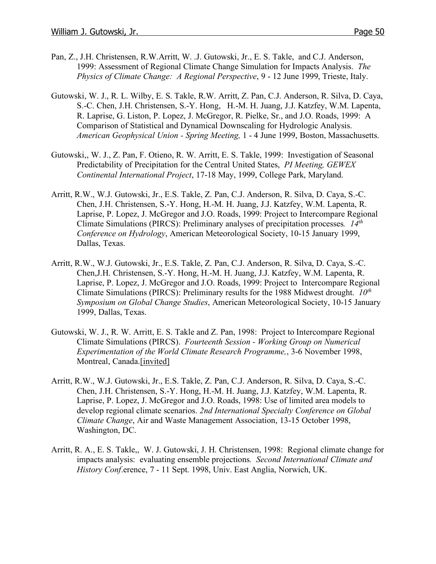- Pan, Z., J.H. Christensen, R.W.Arritt, W. .J. Gutowski, Jr., E. S. Takle, and C.J. Anderson, 1999: Assessment of Regional Climate Change Simulation for Impacts Analysis. *The Physics of Climate Change: A Regional Perspective*, 9 - 12 June 1999, Trieste, Italy.
- Gutowski, W. J., R. L. Wilby, E. S. Takle, R.W. Arritt, Z. Pan, C.J. Anderson, R. Silva, D. Caya, S.-C. Chen, J.H. Christensen, S.-Y. Hong, H.-M. H. Juang, J.J. Katzfey, W.M. Lapenta, R. Laprise, G. Liston, P. Lopez, J. McGregor, R. Pielke, Sr., and J.O. Roads, 1999: A Comparison of Statistical and Dynamical Downscaling for Hydrologic Analysis. *American Geophysical Union - Spring Meeting,* 1 - 4 June 1999, Boston, Massachusetts.
- Gutowski,, W. J., Z. Pan, F. Otieno, R. W. Arritt, E. S. Takle, 1999: Investigation of Seasonal Predictability of Precipitation for the Central United States, *PI Meeting, GEWEX Continental International Project*, 17-18 May, 1999, College Park, Maryland.
- Arritt, R.W., W.J. Gutowski, Jr., E.S. Takle, Z. Pan, C.J. Anderson, R. Silva, D. Caya, S.-C. Chen, J.H. Christensen, S.-Y. Hong, H.-M. H. Juang, J.J. Katzfey, W.M. Lapenta, R. Laprise, P. Lopez, J. McGregor and J.O. Roads, 1999: Project to Intercompare Regional Climate Simulations (PIRCS): Preliminary analyses of precipitation processes*. 14th Conference on Hydrology*, American Meteorological Society, 10-15 January 1999, Dallas, Texas.
- Arritt, R.W., W.J. Gutowski, Jr., E.S. Takle, Z. Pan, C.J. Anderson, R. Silva, D. Caya, S.-C. Chen,J.H. Christensen, S.-Y. Hong, H.-M. H. Juang, J.J. Katzfey, W.M. Lapenta, R. Laprise, P. Lopez, J. McGregor and J.O. Roads, 1999: Project to Intercompare Regional Climate Simulations (PIRCS): Preliminary results for the 1988 Midwest drought. *10<sup>th</sup> Symposium on Global Change Studies*, American Meteorological Society, 10-15 January 1999, Dallas, Texas.
- Gutowski, W. J., R. W. Arritt, E. S. Takle and Z. Pan, 1998: Project to Intercompare Regional Climate Simulations (PIRCS). *Fourteenth Session - Working Group on Numerical Experimentation of the World Climate Research Programme,*, 3-6 November 1998, Montreal, Canada.[invited]
- Arritt, R.W., W.J. Gutowski, Jr., E.S. Takle, Z. Pan, C.J. Anderson, R. Silva, D. Caya, S.-C. Chen, J.H. Christensen, S.-Y. Hong, H.-M. H. Juang, J.J. Katzfey, W.M. Lapenta, R. Laprise, P. Lopez, J. McGregor and J.O. Roads, 1998: Use of limited area models to develop regional climate scenarios. *2nd International Specialty Conference on Global Climate Change*, Air and Waste Management Association, 13-15 October 1998, Washington, DC.
- Arritt, R. A., E. S. Takle,, W. J. Gutowski, J. H. Christensen, 1998: Regional climate change for impacts analysis: evaluating ensemble projections*. Second International Climate and History Conf*.erence, 7 - 11 Sept. 1998, Univ. East Anglia, Norwich, UK.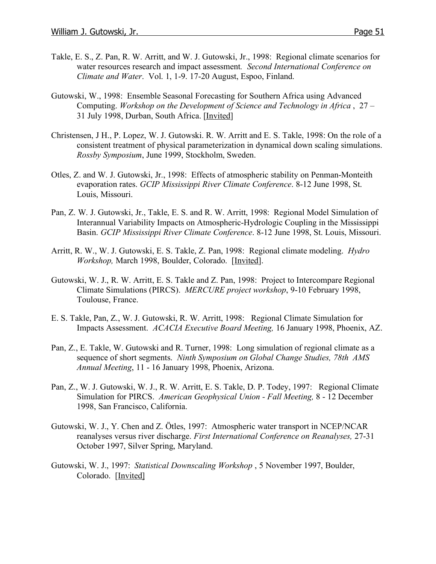- Takle, E. S., Z. Pan, R. W. Arritt, and W. J. Gutowski, Jr., 1998: Regional climate scenarios for water resources research and impact assessment*. Second International Conference on Climate and Water*. Vol. 1, 1-9. 17-20 August, Espoo, Finland.
- Gutowski, W., 1998: Ensemble Seasonal Forecasting for Southern Africa using Advanced Computing. *Workshop on the Development of Science and Technology in Africa* , 27 – 31 July 1998, Durban, South Africa. [Invited]
- Christensen, J H., P. Lopez, W. J. Gutowski. R. W. Arritt and E. S. Takle, 1998: On the role of a consistent treatment of physical parameterization in dynamical down scaling simulations. *Rossby Symposium*, June 1999, Stockholm, Sweden.
- Otles, Z. and W. J. Gutowski, Jr., 1998: Effects of atmospheric stability on Penman-Monteith evaporation rates. *GCIP Mississippi River Climate Conference*. 8-12 June 1998, St. Louis, Missouri.
- Pan, Z. W. J. Gutowski, Jr., Takle, E. S. and R. W. Arritt, 1998: Regional Model Simulation of Interannual Variability Impacts on Atmospheric-Hydrologic Coupling in the Mississippi Basin. *GCIP Mississippi River Climate Conference*. 8-12 June 1998, St. Louis, Missouri.
- Arritt, R. W., W. J. Gutowski, E. S. Takle, Z. Pan, 1998: Regional climate modeling. *Hydro Workshop,* March 1998, Boulder, Colorado. [Invited].
- Gutowski, W. J., R. W. Arritt, E. S. Takle and Z. Pan, 1998: Project to Intercompare Regional Climate Simulations (PIRCS). *MERCURE project workshop*, 9-10 February 1998, Toulouse, France.
- E. S. Takle, Pan, Z., W. J. Gutowski, R. W. Arritt, 1998: Regional Climate Simulation for Impacts Assessment. *ACACIA Executive Board Meeting,* 16 January 1998, Phoenix, AZ.
- Pan, Z., E. Takle, W. Gutowski and R. Turner, 1998: Long simulation of regional climate as a sequence of short segments. *Ninth Symposium on Global Change Studies, 78th AMS Annual Meeting*, 11 - 16 January 1998, Phoenix, Arizona.
- Pan, Z., W. J. Gutowski, W. J., R. W. Arritt, E. S. Takle, D. P. Todey, 1997: Regional Climate Simulation for PIRCS. *American Geophysical Union - Fall Meeting,* 8 - 12 December 1998, San Francisco, California.
- Gutowski, W. J., Y. Chen and Z. Ötles, 1997: Atmospheric water transport in NCEP/NCAR reanalyses versus river discharge. *First International Conference on Reanalyses,* 27-31 October 1997, Silver Spring, Maryland.
- Gutowski, W. J., 1997: *Statistical Downscaling Workshop* , 5 November 1997, Boulder, Colorado. [Invited]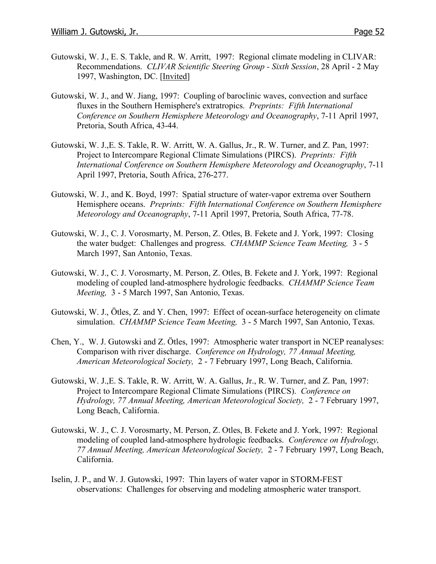- Gutowski, W. J., E. S. Takle, and R. W. Arritt, 1997: Regional climate modeling in CLIVAR: Recommendations. *CLIVAR Scientific Steering Group - Sixth Session*, 28 April - 2 May 1997, Washington, DC. [Invited]
- Gutowski, W. J., and W. Jiang, 1997: Coupling of baroclinic waves, convection and surface fluxes in the Southern Hemisphere's extratropics. *Preprints: Fifth International Conference on Southern Hemisphere Meteorology and Oceanography*, 7-11 April 1997, Pretoria, South Africa, 43-44.
- Gutowski, W. J.,E. S. Takle, R. W. Arritt, W. A. Gallus, Jr., R. W. Turner, and Z. Pan, 1997: Project to Intercompare Regional Climate Simulations (PIRCS). *Preprints: Fifth International Conference on Southern Hemisphere Meteorology and Oceanography*, 7-11 April 1997, Pretoria, South Africa, 276-277.
- Gutowski, W. J., and K. Boyd, 1997: Spatial structure of water-vapor extrema over Southern Hemisphere oceans. *Preprints: Fifth International Conference on Southern Hemisphere Meteorology and Oceanography*, 7-11 April 1997, Pretoria, South Africa, 77-78.
- Gutowski, W. J., C. J. Vorosmarty, M. Person, Z. Otles, B. Fekete and J. York, 1997: Closing the water budget: Challenges and progress. *CHAMMP Science Team Meeting,* 3 - 5 March 1997, San Antonio, Texas.
- Gutowski, W. J., C. J. Vorosmarty, M. Person, Z. Otles, B. Fekete and J. York, 1997: Regional modeling of coupled land-atmosphere hydrologic feedbacks. *CHAMMP Science Team Meeting,* 3 - 5 March 1997, San Antonio, Texas.
- Gutowski, W. J., Ötles, Z. and Y. Chen, 1997: Effect of ocean-surface heterogeneity on climate simulation. *CHAMMP Science Team Meeting,* 3 - 5 March 1997, San Antonio, Texas.
- Chen, Y., W. J. Gutowski and Z. Ötles, 1997: Atmospheric water transport in NCEP reanalyses: Comparison with river discharge. *Conference on Hydrology, 77 Annual Meeting, American Meteorological Society,* 2 - 7 February 1997, Long Beach, California.
- Gutowski, W. J.,E. S. Takle, R. W. Arritt, W. A. Gallus, Jr., R. W. Turner, and Z. Pan, 1997: Project to Intercompare Regional Climate Simulations (PIRCS). *Conference on Hydrology, 77 Annual Meeting, American Meteorological Society,* 2 - 7 February 1997, Long Beach, California.
- Gutowski, W. J., C. J. Vorosmarty, M. Person, Z. Otles, B. Fekete and J. York, 1997: Regional modeling of coupled land-atmosphere hydrologic feedbacks. *Conference on Hydrology, 77 Annual Meeting, American Meteorological Society,* 2 - 7 February 1997, Long Beach, California.
- Iselin, J. P., and W. J. Gutowski, 1997: Thin layers of water vapor in STORM-FEST observations: Challenges for observing and modeling atmospheric water transport.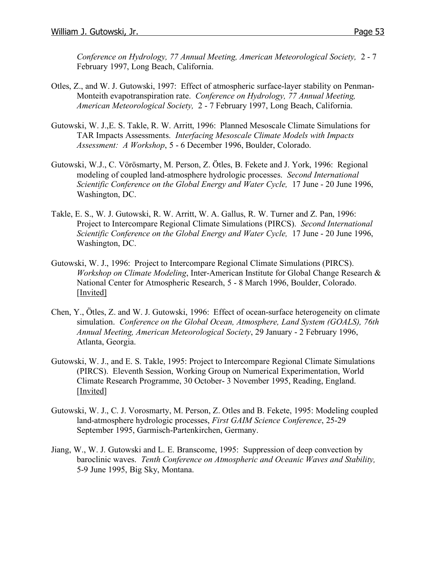*Conference on Hydrology, 77 Annual Meeting, American Meteorological Society,* 2 - 7 February 1997, Long Beach, California.

- Otles, Z., and W. J. Gutowski, 1997: Effect of atmospheric surface-layer stability on Penman-Monteith evapotranspiration rate. *Conference on Hydrology, 77 Annual Meeting, American Meteorological Society,* 2 - 7 February 1997, Long Beach, California.
- Gutowski, W. J.,E. S. Takle, R. W. Arritt, 1996: Planned Mesoscale Climate Simulations for TAR Impacts Assessments. *Interfacing Mesoscale Climate Models with Impacts Assessment: A Workshop*, 5 - 6 December 1996, Boulder, Colorado.
- Gutowski, W.J., C. Vörösmarty, M. Person, Z. Ötles, B. Fekete and J. York, 1996: Regional modeling of coupled land-atmosphere hydrologic processes. *Second International Scientific Conference on the Global Energy and Water Cycle,* 17 June - 20 June 1996, Washington, DC.
- Takle, E. S., W. J. Gutowski, R. W. Arritt, W. A. Gallus, R. W. Turner and Z. Pan, 1996: Project to Intercompare Regional Climate Simulations (PIRCS). *Second International Scientific Conference on the Global Energy and Water Cycle,* 17 June - 20 June 1996, Washington, DC.
- Gutowski, W. J., 1996: Project to Intercompare Regional Climate Simulations (PIRCS). *Workshop on Climate Modeling*, Inter-American Institute for Global Change Research & National Center for Atmospheric Research, 5 - 8 March 1996, Boulder, Colorado. [Invited]
- Chen, Y., Ötles, Z. and W. J. Gutowski, 1996: Effect of ocean-surface heterogeneity on climate simulation. *Conference on the Global Ocean, Atmosphere, Land System (GOALS), 76th Annual Meeting, American Meteorological Society*, 29 January - 2 February 1996, Atlanta, Georgia.
- Gutowski, W. J., and E. S. Takle, 1995: Project to Intercompare Regional Climate Simulations (PIRCS). Eleventh Session, Working Group on Numerical Experimentation, World Climate Research Programme, 30 October- 3 November 1995, Reading, England. [Invited]
- Gutowski, W. J., C. J. Vorosmarty, M. Person, Z. Otles and B. Fekete, 1995: Modeling coupled land-atmosphere hydrologic processes, *First GAIM Science Conference*, 25-29 September 1995, Garmisch-Partenkirchen, Germany.
- Jiang, W., W. J. Gutowski and L. E. Branscome, 1995: Suppression of deep convection by baroclinic waves. *Tenth Conference on Atmospheric and Oceanic Waves and Stability,* 5-9 June 1995, Big Sky, Montana.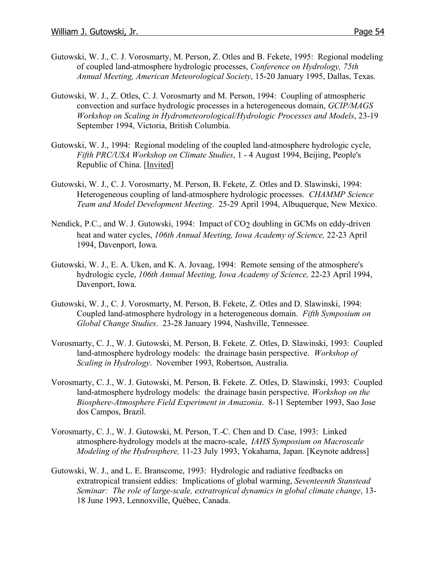- Gutowski, W. J., C. J. Vorosmarty, M. Person, Z. Otles and B. Fekete, 1995: Regional modeling of coupled land-atmosphere hydrologic processes, *Conference on Hydrology, 75th Annual Meeting, American Meteorological Society*, 15-20 January 1995, Dallas, Texas.
- Gutowski, W. J., Z. Otles, C. J. Vorosmarty and M. Person, 1994: Coupling of atmospheric convection and surface hydrologic processes in a heterogeneous domain, *GCIP/MAGS Workshop on Scaling in Hydrometeorological/Hydrologic Processes and Models*, 23-19 September 1994, Victoria, British Columbia.
- Gutowski, W. J., 1994: Regional modeling of the coupled land-atmosphere hydrologic cycle, *Fifth PRC/USA Workshop on Climate Studies*, 1 - 4 August 1994, Beijing, People's Republic of China. [Invited]
- Gutowski, W. J., C. J. Vorosmarty, M. Person, B. Fekete, Z. Otles and D. Slawinski, 1994: Heterogeneous coupling of land-atmosphere hydrologic processes. *CHAMMP Science Team and Model Development Meeting*. 25-29 April 1994, Albuquerque, New Mexico.
- Nendick, P.C., and W. J. Gutowski, 1994: Impact of CO<sub>2</sub> doubling in GCMs on eddy-driven heat and water cycles, *106th Annual Meeting, Iowa Academy of Science,* 22-23 April 1994, Davenport, Iowa.
- Gutowski, W. J., E. A. Uken, and K. A. Jovaag, 1994: Remote sensing of the atmosphere's hydrologic cycle, *106th Annual Meeting, Iowa Academy of Science,* 22-23 April 1994, Davenport, Iowa.
- Gutowski, W. J., C. J. Vorosmarty, M. Person, B. Fekete, Z. Otles and D. Slawinski, 1994: Coupled land-atmosphere hydrology in a heterogeneous domain. *Fifth Symposium on Global Change Studies*. 23-28 January 1994, Nashville, Tennessee.
- Vorosmarty, C. J., W. J. Gutowski, M. Person, B. Fekete. Z. Otles, D. Slawinski, 1993: Coupled land-atmosphere hydrology models: the drainage basin perspective. *Workshop of Scaling in Hydrology*. November 1993, Robertson, Australia.
- Vorosmarty, C. J., W. J. Gutowski, M. Person, B. Fekete. Z. Otles, D. Slawinski, 1993: Coupled land-atmosphere hydrology models: the drainage basin perspective. *Workshop on the Biosphere-Atmosphere Field Experiment in Amazonia*. 8-11 September 1993, Sao Jose dos Campos, Brazil.
- Vorosmarty, C. J., W. J. Gutowski, M. Person, T.-C. Chen and D. Case, 1993: Linked atmosphere-hydrology models at the macro-scale, *IAHS Symposium on Macroscale Modeling of the Hydrosphere,* 11-23 July 1993, Yokahama, Japan. [Keynote address]
- Gutowski, W. J., and L. E. Branscome, 1993: Hydrologic and radiative feedbacks on extratropical transient eddies: Implications of global warming, *Seventeenth Stanstead Seminar: The role of large-scale, extratropical dynamics in global climate change*, 13- 18 June 1993, Lennoxville, Québec, Canada.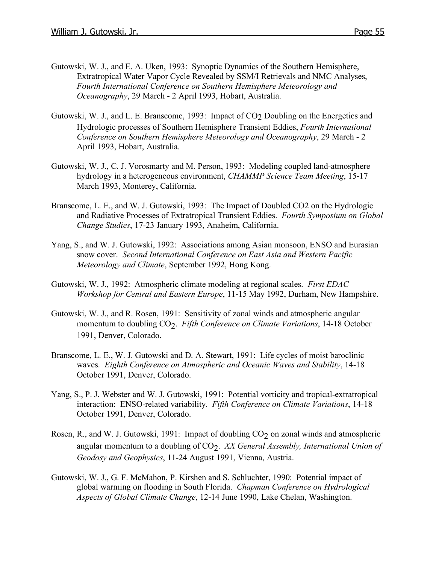- Gutowski, W. J., and E. A. Uken, 1993: Synoptic Dynamics of the Southern Hemisphere, Extratropical Water Vapor Cycle Revealed by SSM/I Retrievals and NMC Analyses, *Fourth International Conference on Southern Hemisphere Meteorology and Oceanography*, 29 March - 2 April 1993, Hobart, Australia.
- Gutowski, W. J., and L. E. Branscome, 1993: Impact of CO<sub>2</sub> Doubling on the Energetics and Hydrologic processes of Southern Hemisphere Transient Eddies, *Fourth International Conference on Southern Hemisphere Meteorology and Oceanography*, 29 March - 2 April 1993, Hobart, Australia.
- Gutowski, W. J., C. J. Vorosmarty and M. Person, 1993: Modeling coupled land-atmosphere hydrology in a heterogeneous environment, *CHAMMP Science Team Meeting*, 15-17 March 1993, Monterey, California.
- Branscome, L. E., and W. J. Gutowski, 1993: The Impact of Doubled CO2 on the Hydrologic and Radiative Processes of Extratropical Transient Eddies. *Fourth Symposium on Global Change Studies*, 17-23 January 1993, Anaheim, California.
- Yang, S., and W. J. Gutowski, 1992: Associations among Asian monsoon, ENSO and Eurasian snow cover. *Second International Conference on East Asia and Western Pacific Meteorology and Climate*, September 1992, Hong Kong.
- Gutowski, W. J., 1992: Atmospheric climate modeling at regional scales. *First EDAC Workshop for Central and Eastern Europe*, 11-15 May 1992, Durham, New Hampshire.
- Gutowski, W. J., and R. Rosen, 1991: Sensitivity of zonal winds and atmospheric angular momentum to doubling CO<sub>2</sub>. *Fifth Conference on Climate Variations*, 14-18 October 1991, Denver, Colorado.
- Branscome, L. E., W. J. Gutowski and D. A. Stewart, 1991: Life cycles of moist baroclinic waves. *Eighth Conference on Atmospheric and Oceanic Waves and Stability*, 14-18 October 1991, Denver, Colorado.
- Yang, S., P. J. Webster and W. J. Gutowski, 1991: Potential vorticity and tropical-extratropical interaction: ENSO-related variability. *Fifth Conference on Climate Variations*, 14-18 October 1991, Denver, Colorado.
- Rosen, R., and W. J. Gutowski, 1991: Impact of doubling  $CO<sub>2</sub>$  on zonal winds and atmospheric angular momentum to a doubling of CO<sub>2</sub>. *XX General Assembly, International Union of Geodosy and Geophysics*, 11-24 August 1991, Vienna, Austria.
- Gutowski, W. J., G. F. McMahon, P. Kirshen and S. Schluchter, 1990: Potential impact of global warming on flooding in South Florida. *Chapman Conference on Hydrological Aspects of Global Climate Change*, 12-14 June 1990, Lake Chelan, Washington.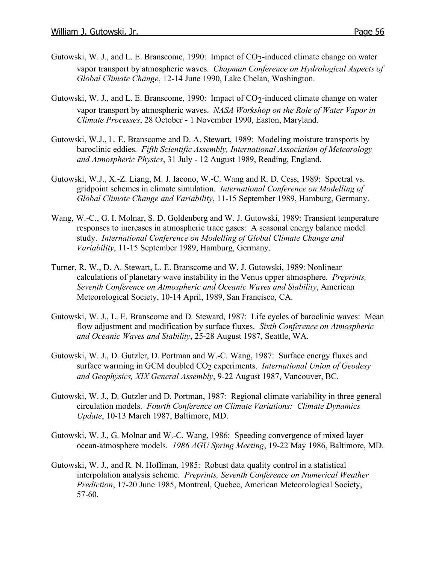- Gutowski, W. J., and L. E. Branscome, 1990: Impact of  $CO<sub>2</sub>$ -induced climate change on water vapor transport by atmospheric waves. *Chapman Conference on Hydrological Aspects of Global Climate Change*, 12-14 June 1990, Lake Chelan, Washington.
- Gutowski, W. J., and L. E. Branscome, 1990: Impact of  $CO<sub>2</sub>$ -induced climate change on water vapor transport by atmospheric waves. *NASA Workshop on the Role of Water Vapor in Climate Processes*, 28 October - 1 November 1990, Easton, Maryland.
- Gutowski, W.J., L. E. Branscome and D. A. Stewart, 1989: Modeling moisture transports by baroclinic eddies. *Fifth Scientific Assembly, International Association of Meteorology and Atmospheric Physics*, 31 July - 12 August 1989, Reading, England.
- Gutowski, W.J., X.-Z. Liang, M. J. Iacono, W.-C. Wang and R. D. Cess, 1989: Spectral vs. gridpoint schemes in climate simulation. *International Conference on Modelling of Global Climate Change and Variability*, 11-15 September 1989, Hamburg, Germany.
- Wang, W.-C., G. I. Molnar, S. D. Goldenberg and W. J. Gutowski, 1989: Transient temperature responses to increases in atmospheric trace gases: A seasonal energy balance model study. *International Conference on Modelling of Global Climate Change and Variability*, 11-15 September 1989, Hamburg, Germany.
- Turner, R. W., D. A. Stewart, L. E. Branscome and W. J. Gutowski, 1989: Nonlinear calculations of planetary wave instability in the Venus upper atmosphere. *Preprints, Seventh Conference on Atmospheric and Oceanic Waves and Stability*, American Meteorological Society, 10-14 April, 1989, San Francisco, CA.
- Gutowski, W. J., L. E. Branscome and D. Steward, 1987: Life cycles of baroclinic waves: Mean flow adjustment and modification by surface fluxes. *Sixth Conference on Atmospheric and Oceanic Waves and Stability*, 25-28 August 1987, Seattle, WA.
- Gutowski, W. J., D. Gutzler, D. Portman and W.-C. Wang, 1987: Surface energy fluxes and surface warming in GCM doubled CO<sub>2</sub> experiments. *International Union of Geodesy and Geophysics, XIX General Assembly*, 9-22 August 1987, Vancouver, BC.
- Gutowski, W. J., D. Gutzler and D. Portman, 1987: Regional climate variability in three general circulation models. *Fourth Conference on Climate Variations: Climate Dynamics Update*, 10-13 March 1987, Baltimore, MD.
- Gutowski, W. J., G. Molnar and W.-C. Wang, 1986: Speeding convergence of mixed layer ocean-atmosphere models. *1986 AGU Spring Meeting*, 19-22 May 1986, Baltimore, MD.
- Gutowski, W. J., and R. N. Hoffman, 1985: Robust data quality control in a statistical interpolation analysis scheme. *Preprints, Seventh Conference on Numerical Weather Prediction*, 17-20 June 1985, Montreal, Quebec, American Meteorological Society, 57-60.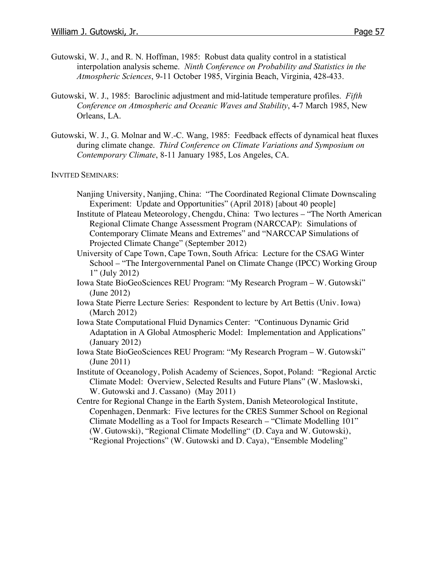- Gutowski, W. J., and R. N. Hoffman, 1985: Robust data quality control in a statistical interpolation analysis scheme. *Ninth Conference on Probability and Statistics in the Atmospheric Sciences*, 9-11 October 1985, Virginia Beach, Virginia, 428-433.
- Gutowski, W. J., 1985: Baroclinic adjustment and mid-latitude temperature profiles. *Fifth Conference on Atmospheric and Oceanic Waves and Stability*, 4-7 March 1985, New Orleans, LA.
- Gutowski, W. J., G. Molnar and W.-C. Wang, 1985: Feedback effects of dynamical heat fluxes during climate change. *Third Conference on Climate Variations and Symposium on Contemporary Climate*, 8-11 January 1985, Los Angeles, CA.

INVITED SEMINARS:

- Nanjing University, Nanjing, China: "The Coordinated Regional Climate Downscaling Experiment: Update and Opportunities" (April 2018) [about 40 people]
- Institute of Plateau Meteorology, Chengdu, China: Two lectures "The North American Regional Climate Change Assessment Program (NARCCAP): Simulations of Contemporary Climate Means and Extremes" and "NARCCAP Simulations of Projected Climate Change" (September 2012)
- University of Cape Town, Cape Town, South Africa: Lecture for the CSAG Winter School – "The Intergovernmental Panel on Climate Change (IPCC) Working Group 1" (July 2012)
- Iowa State BioGeoSciences REU Program: "My Research Program W. Gutowski" (June 2012)
- Iowa State Pierre Lecture Series: Respondent to lecture by Art Bettis (Univ. Iowa) (March 2012)
- Iowa State Computational Fluid Dynamics Center: "Continuous Dynamic Grid Adaptation in A Global Atmospheric Model: Implementation and Applications" (January 2012)
- Iowa State BioGeoSciences REU Program: "My Research Program W. Gutowski" (June 2011)
- Institute of Oceanology, Polish Academy of Sciences, Sopot, Poland: "Regional Arctic Climate Model: Overview, Selected Results and Future Plans" (W. Maslowski, W. Gutowski and J. Cassano) (May 2011)
- Centre for Regional Change in the Earth System, Danish Meteorological Institute, Copenhagen, Denmark: Five lectures for the CRES Summer School on Regional Climate Modelling as a Tool for Impacts Research – "Climate Modelling 101" (W. Gutowski), "Regional Climate Modelling" (D. Caya and W. Gutowski), "Regional Projections" (W. Gutowski and D. Caya), "Ensemble Modeling"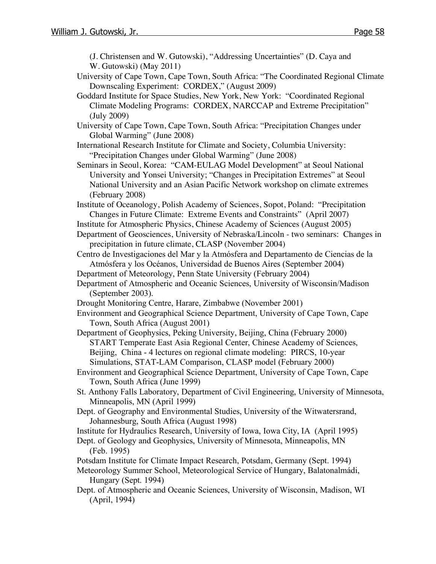(J. Christensen and W. Gutowski), "Addressing Uncertainties" (D. Caya and W. Gutowski) (May 2011)

- University of Cape Town, Cape Town, South Africa: "The Coordinated Regional Climate Downscaling Experiment: CORDEX," (August 2009)
- Goddard Institute for Space Studies, New York, New York: "Coordinated Regional Climate Modeling Programs: CORDEX, NARCCAP and Extreme Precipitation" (July 2009)
- University of Cape Town, Cape Town, South Africa: "Precipitation Changes under Global Warming" (June 2008)
- International Research Institute for Climate and Society, Columbia University: "Precipitation Changes under Global Warming" (June 2008)
- Seminars in Seoul, Korea: "CAM-EULAG Model Development" at Seoul National University and Yonsei University; "Changes in Precipitation Extremes" at Seoul National University and an Asian Pacific Network workshop on climate extremes (February 2008)

Institute of Oceanology, Polish Academy of Sciences, Sopot, Poland: "Precipitation Changes in Future Climate: Extreme Events and Constraints" (April 2007)

- Institute for Atmospheric Physics, Chinese Academy of Sciences (August 2005)
- Department of Geosciences, University of Nebraska/Lincoln two seminars: Changes in precipitation in future climate, CLASP (November 2004)
- Centro de Investigaciones del Mar y la Atmósfera and Departamento de Ciencias de la Atmósfera y los Océanos, Universidad de Buenos Aires (September 2004)

Department of Meteorology, Penn State University (February 2004)

- Department of Atmospheric and Oceanic Sciences, University of Wisconsin/Madison (September 2003).
- Drought Monitoring Centre, Harare, Zimbabwe (November 2001)
- Environment and Geographical Science Department, University of Cape Town, Cape Town, South Africa (August 2001)
- Department of Geophysics, Peking University, Beijing, China (February 2000) START Temperate East Asia Regional Center, Chinese Academy of Sciences, Beijing, China - 4 lectures on regional climate modeling: PIRCS, 10-year Simulations, STAT-LAM Comparison, CLASP model (February 2000)
- Environment and Geographical Science Department, University of Cape Town, Cape Town, South Africa (June 1999)
- St. Anthony Falls Laboratory, Department of Civil Engineering, University of Minnesota, Minneapolis, MN (April 1999)
- Dept. of Geography and Environmental Studies, University of the Witwatersrand, Johannesburg, South Africa (August 1998)
- Institute for Hydraulics Research, University of Iowa, Iowa City, IA (April 1995)
- Dept. of Geology and Geophysics, University of Minnesota, Minneapolis, MN (Feb. 1995)
- Potsdam Institute for Climate Impact Research, Potsdam, Germany (Sept. 1994)
- Meteorology Summer School, Meteorological Service of Hungary, Balatonalmádi, Hungary (Sept. 1994)
- Dept. of Atmospheric and Oceanic Sciences, University of Wisconsin, Madison, WI (April, 1994)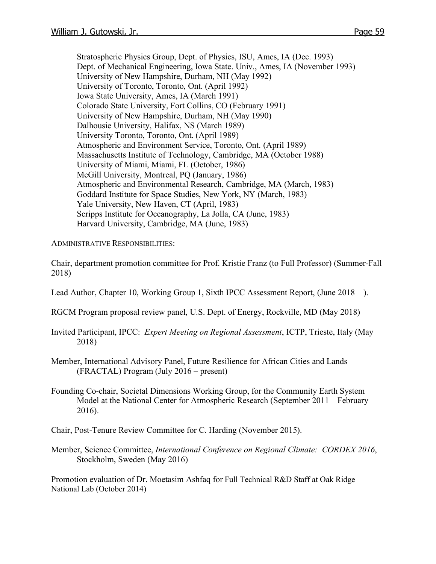Stratospheric Physics Group, Dept. of Physics, ISU, Ames, IA (Dec. 1993) Dept. of Mechanical Engineering, Iowa State. Univ., Ames, IA (November 1993) University of New Hampshire, Durham, NH (May 1992) University of Toronto, Toronto, Ont. (April 1992) Iowa State University, Ames, IA (March 1991) Colorado State University, Fort Collins, CO (February 1991) University of New Hampshire, Durham, NH (May 1990) Dalhousie University, Halifax, NS (March 1989) University Toronto, Toronto, Ont. (April 1989) Atmospheric and Environment Service, Toronto, Ont. (April 1989) Massachusetts Institute of Technology, Cambridge, MA (October 1988) University of Miami, Miami, FL (October, 1986) McGill University, Montreal, PQ (January, 1986) Atmospheric and Environmental Research, Cambridge, MA (March, 1983) Goddard Institute for Space Studies, New York, NY (March, 1983) Yale University, New Haven, CT (April, 1983) Scripps Institute for Oceanography, La Jolla, CA (June, 1983) Harvard University, Cambridge, MA (June, 1983)

ADMINISTRATIVE RESPONSIBILITIES:

Chair, department promotion committee for Prof. Kristie Franz (to Full Professor) (Summer-Fall 2018)

Lead Author, Chapter 10, Working Group 1, Sixth IPCC Assessment Report, (June 2018 – ).

RGCM Program proposal review panel, U.S. Dept. of Energy, Rockville, MD (May 2018)

- Invited Participant, IPCC: *Expert Meeting on Regional Assessment*, ICTP, Trieste, Italy (May 2018)
- Member, International Advisory Panel, Future Resilience for African Cities and Lands (FRACTAL) Program (July 2016 – present)
- Founding Co-chair, Societal Dimensions Working Group, for the Community Earth System Model at the National Center for Atmospheric Research (September 2011 – February 2016).
- Chair, Post-Tenure Review Committee for C. Harding (November 2015).
- Member, Science Committee, *International Conference on Regional Climate: CORDEX 2016*, Stockholm, Sweden (May 2016)

Promotion evaluation of Dr. Moetasim Ashfaq for Full Technical R&D Staff at Oak Ridge National Lab (October 2014)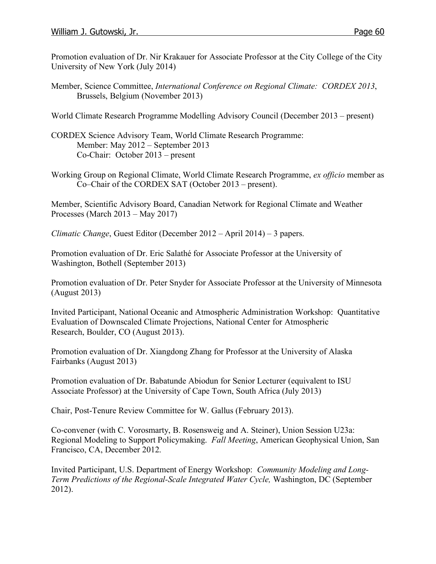Promotion evaluation of Dr. Nir Krakauer for Associate Professor at the City College of the City University of New York (July 2014)

Member, Science Committee, *International Conference on Regional Climate: CORDEX 2013*, Brussels, Belgium (November 2013)

World Climate Research Programme Modelling Advisory Council (December 2013 – present)

- CORDEX Science Advisory Team, World Climate Research Programme: Member: May 2012 – September 2013 Co-Chair: October 2013 – present
- Working Group on Regional Climate, World Climate Research Programme, *ex officio* member as Co–Chair of the CORDEX SAT (October 2013 – present).

Member, Scientific Advisory Board, Canadian Network for Regional Climate and Weather Processes (March 2013 – May 2017)

*Climatic Change*, Guest Editor (December 2012 – April 2014) – 3 papers.

Promotion evaluation of Dr. Eric Salathé for Associate Professor at the University of Washington, Bothell (September 2013)

Promotion evaluation of Dr. Peter Snyder for Associate Professor at the University of Minnesota (August 2013)

Invited Participant, National Oceanic and Atmospheric Administration Workshop: Quantitative Evaluation of Downscaled Climate Projections, National Center for Atmospheric Research, Boulder, CO (August 2013).

Promotion evaluation of Dr. Xiangdong Zhang for Professor at the University of Alaska Fairbanks (August 2013)

Promotion evaluation of Dr. Babatunde Abiodun for Senior Lecturer (equivalent to ISU Associate Professor) at the University of Cape Town, South Africa (July 2013)

Chair, Post-Tenure Review Committee for W. Gallus (February 2013).

Co-convener (with C. Vorosmarty, B. Rosensweig and A. Steiner), Union Session U23a: Regional Modeling to Support Policymaking. *Fall Meeting*, American Geophysical Union, San Francisco, CA, December 2012.

Invited Participant, U.S. Department of Energy Workshop: *Community Modeling and Long-Term Predictions of the Regional-Scale Integrated Water Cycle,* Washington, DC (September 2012).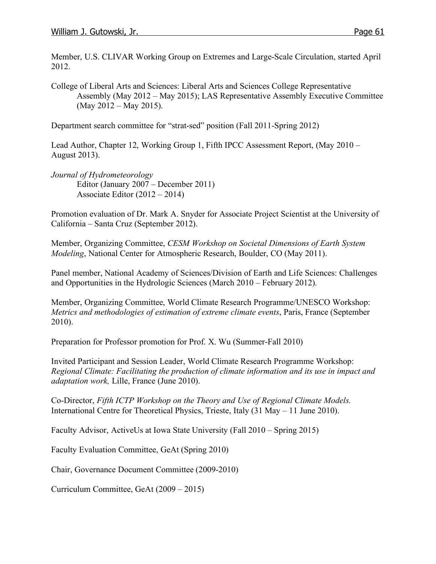Member, U.S. CLIVAR Working Group on Extremes and Large-Scale Circulation, started April 2012.

College of Liberal Arts and Sciences: Liberal Arts and Sciences College Representative Assembly (May 2012 – May 2015); LAS Representative Assembly Executive Committee (May 2012 – May 2015).

Department search committee for "strat-sed" position (Fall 2011-Spring 2012)

Lead Author, Chapter 12, Working Group 1, Fifth IPCC Assessment Report, (May 2010 – August 2013).

*Journal of Hydrometeorology*  Editor (January 2007 – December 2011) Associate Editor (2012 – 2014)

Promotion evaluation of Dr. Mark A. Snyder for Associate Project Scientist at the University of California – Santa Cruz (September 2012).

Member, Organizing Committee, *CESM Workshop on Societal Dimensions of Earth System Modeling*, National Center for Atmospheric Research, Boulder, CO (May 2011).

Panel member, National Academy of Sciences/Division of Earth and Life Sciences: Challenges and Opportunities in the Hydrologic Sciences (March 2010 – February 2012).

Member, Organizing Committee, World Climate Research Programme/UNESCO Workshop: *Metrics and methodologies of estimation of extreme climate events*, Paris, France (September 2010).

Preparation for Professor promotion for Prof. X. Wu (Summer-Fall 2010)

Invited Participant and Session Leader, World Climate Research Programme Workshop: *Regional Climate: Facilitating the production of climate information and its use in impact and adaptation work,* Lille, France (June 2010).

Co-Director, *Fifth ICTP Workshop on the Theory and Use of Regional Climate Models.* International Centre for Theoretical Physics, Trieste, Italy (31 May – 11 June 2010).

Faculty Advisor, ActiveUs at Iowa State University (Fall 2010 – Spring 2015)

Faculty Evaluation Committee, GeAt (Spring 2010)

Chair, Governance Document Committee (2009-2010)

Curriculum Committee, GeAt (2009 – 2015)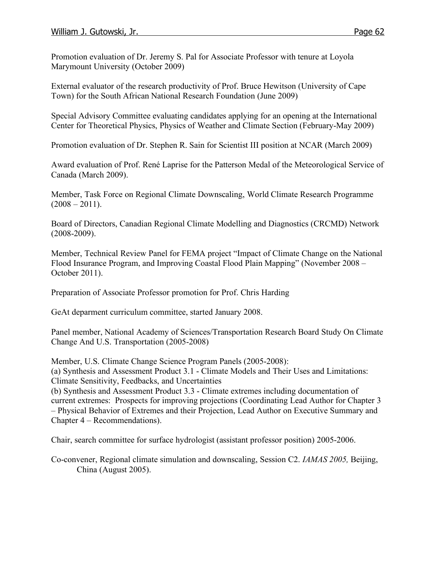Promotion evaluation of Dr. Jeremy S. Pal for Associate Professor with tenure at Loyola Marymount University (October 2009)

External evaluator of the research productivity of Prof. Bruce Hewitson (University of Cape Town) for the South African National Research Foundation (June 2009)

Special Advisory Committee evaluating candidates applying for an opening at the International Center for Theoretical Physics, Physics of Weather and Climate Section (February-May 2009)

Promotion evaluation of Dr. Stephen R. Sain for Scientist III position at NCAR (March 2009)

Award evaluation of Prof. René Laprise for the Patterson Medal of the Meteorological Service of Canada (March 2009).

Member, Task Force on Regional Climate Downscaling, World Climate Research Programme  $(2008 - 2011)$ .

Board of Directors, Canadian Regional Climate Modelling and Diagnostics (CRCMD) Network (2008-2009).

Member, Technical Review Panel for FEMA project "Impact of Climate Change on the National Flood Insurance Program, and Improving Coastal Flood Plain Mapping" (November 2008 – October 2011).

Preparation of Associate Professor promotion for Prof. Chris Harding

GeAt deparment curriculum committee, started January 2008.

Panel member, National Academy of Sciences/Transportation Research Board Study On Climate Change And U.S. Transportation (2005-2008)

Member, U.S. Climate Change Science Program Panels (2005-2008): (a) Synthesis and Assessment Product 3.1 - Climate Models and Their Uses and Limitations: Climate Sensitivity, Feedbacks, and Uncertainties

(b) Synthesis and Assessment Product 3.3 - Climate extremes including documentation of current extremes: Prospects for improving projections (Coordinating Lead Author for Chapter 3 – Physical Behavior of Extremes and their Projection, Lead Author on Executive Summary and Chapter 4 – Recommendations).

Chair, search committee for surface hydrologist (assistant professor position) 2005-2006.

Co-convener, Regional climate simulation and downscaling, Session C2. *IAMAS 2005,* Beijing, China (August 2005).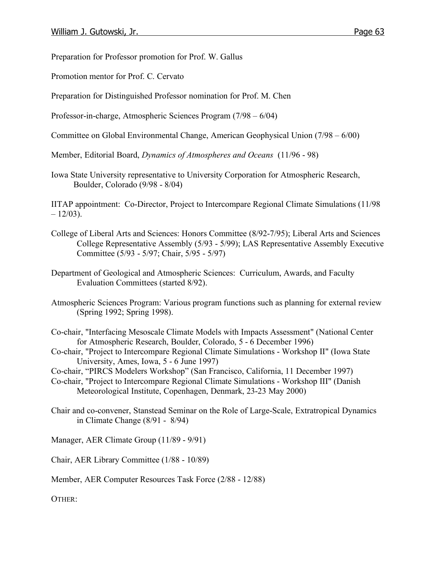Preparation for Professor promotion for Prof. W. Gallus

Promotion mentor for Prof. C. Cervato

Preparation for Distinguished Professor nomination for Prof. M. Chen

Professor-in-charge, Atmospheric Sciences Program (7/98 – 6/04)

Committee on Global Environmental Change, American Geophysical Union (7/98 – 6/00)

Member, Editorial Board, *Dynamics of Atmospheres and Oceans* (11/96 - 98)

Iowa State University representative to University Corporation for Atmospheric Research, Boulder, Colorado (9/98 - 8/04)

IITAP appointment: Co-Director, Project to Intercompare Regional Climate Simulations (11/98  $-12/03$ ).

- College of Liberal Arts and Sciences: Honors Committee (8/92-7/95); Liberal Arts and Sciences College Representative Assembly (5/93 - 5/99); LAS Representative Assembly Executive Committee (5/93 - 5/97; Chair, 5/95 - 5/97)
- Department of Geological and Atmospheric Sciences: Curriculum, Awards, and Faculty Evaluation Committees (started 8/92).
- Atmospheric Sciences Program: Various program functions such as planning for external review (Spring 1992; Spring 1998).

Co-chair, "Interfacing Mesoscale Climate Models with Impacts Assessment" (National Center for Atmospheric Research, Boulder, Colorado, 5 - 6 December 1996)

- Co-chair, "Project to Intercompare Regional Climate Simulations Workshop II" (Iowa State University, Ames, Iowa, 5 - 6 June 1997)
- Co-chair, "PIRCS Modelers Workshop" (San Francisco, California, 11 December 1997)
- Co-chair, "Project to Intercompare Regional Climate Simulations Workshop III" (Danish Meteorological Institute, Copenhagen, Denmark, 23-23 May 2000)
- Chair and co-convener, Stanstead Seminar on the Role of Large-Scale, Extratropical Dynamics in Climate Change (8/91 - 8/94)

Manager, AER Climate Group (11/89 - 9/91)

Chair, AER Library Committee (1/88 - 10/89)

Member, AER Computer Resources Task Force (2/88 - 12/88)

OTHER: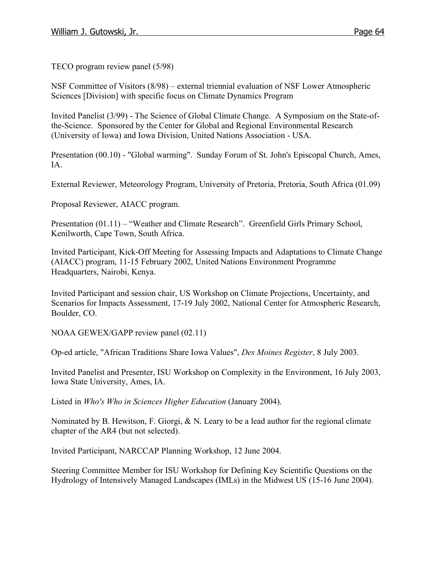TECO program review panel (5/98)

NSF Committee of Visitors (8/98) – external triennial evaluation of NSF Lower Atmospheric Sciences [Division] with specific focus on Climate Dynamics Program

Invited Panelist (3/99) - The Science of Global Climate Change. A Symposium on the State-ofthe-Science. Sponsored by the Center for Global and Regional Environmental Research (University of Iowa) and Iowa Division, United Nations Association - USA.

Presentation (00.10) - "Global warming". Sunday Forum of St. John's Episcopal Church, Ames, IA.

External Reviewer, Meteorology Program, University of Pretoria, Pretoria, South Africa (01.09)

Proposal Reviewer, AIACC program.

Presentation (01.11) – "Weather and Climate Research". Greenfield Girls Primary School, Kenilworth, Cape Town, South Africa.

Invited Participant, Kick-Off Meeting for Assessing Impacts and Adaptations to Climate Change (AIACC) program, 11-15 February 2002, United Nations Environment Programme Headquarters, Nairobi, Kenya.

Invited Participant and session chair, US Workshop on Climate Projections, Uncertainty, and Scenarios for Impacts Assessment, 17-19 July 2002, National Center for Atmospheric Research, Boulder, CO.

NOAA GEWEX/GAPP review panel (02.11)

Op-ed article, "African Traditions Share Iowa Values", *Des Moines Register*, 8 July 2003.

Invited Panelist and Presenter, ISU Workshop on Complexity in the Environment, 16 July 2003, Iowa State University, Ames, IA.

Listed in *Who's Who in Sciences Higher Education* (January 2004).

Nominated by B. Hewitson, F. Giorgi, & N. Leary to be a lead author for the regional climate chapter of the AR4 (but not selected).

Invited Participant, NARCCAP Planning Workshop, 12 June 2004.

Steering Committee Member for ISU Workshop for Defining Key Scientific Questions on the Hydrology of Intensively Managed Landscapes (IMLs) in the Midwest US (15-16 June 2004).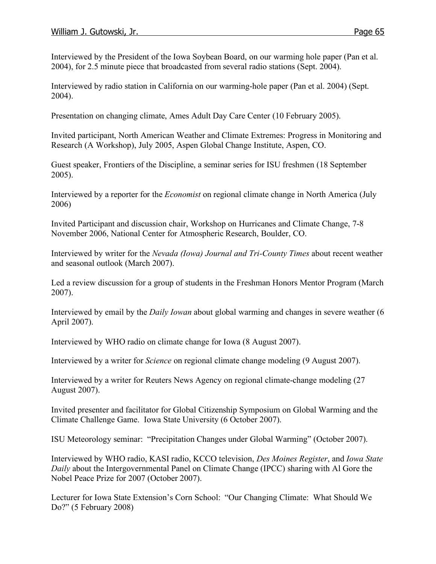Interviewed by the President of the Iowa Soybean Board, on our warming hole paper (Pan et al. 2004), for 2.5 minute piece that broadcasted from several radio stations (Sept. 2004).

Interviewed by radio station in California on our warming-hole paper (Pan et al. 2004) (Sept. 2004).

Presentation on changing climate, Ames Adult Day Care Center (10 February 2005).

Invited participant, North American Weather and Climate Extremes: Progress in Monitoring and Research (A Workshop), July 2005, Aspen Global Change Institute, Aspen, CO.

Guest speaker, Frontiers of the Discipline, a seminar series for ISU freshmen (18 September 2005).

Interviewed by a reporter for the *Economist* on regional climate change in North America (July 2006)

Invited Participant and discussion chair, Workshop on Hurricanes and Climate Change, 7-8 November 2006, National Center for Atmospheric Research, Boulder, CO.

Interviewed by writer for the *Nevada (Iowa) Journal and Tri-County Times* about recent weather and seasonal outlook (March 2007).

Led a review discussion for a group of students in the Freshman Honors Mentor Program (March 2007).

Interviewed by email by the *Daily Iowan* about global warming and changes in severe weather (6 April 2007).

Interviewed by WHO radio on climate change for Iowa (8 August 2007).

Interviewed by a writer for *Science* on regional climate change modeling (9 August 2007).

Interviewed by a writer for Reuters News Agency on regional climate-change modeling (27 August 2007).

Invited presenter and facilitator for Global Citizenship Symposium on Global Warming and the Climate Challenge Game. Iowa State University (6 October 2007).

ISU Meteorology seminar: "Precipitation Changes under Global Warming" (October 2007).

Interviewed by WHO radio, KASI radio, KCCO television, *Des Moines Register*, and *Iowa State Daily* about the Intergovernmental Panel on Climate Change (IPCC) sharing with Al Gore the Nobel Peace Prize for 2007 (October 2007).

Lecturer for Iowa State Extension's Corn School: "Our Changing Climate: What Should We Do?" (5 February 2008)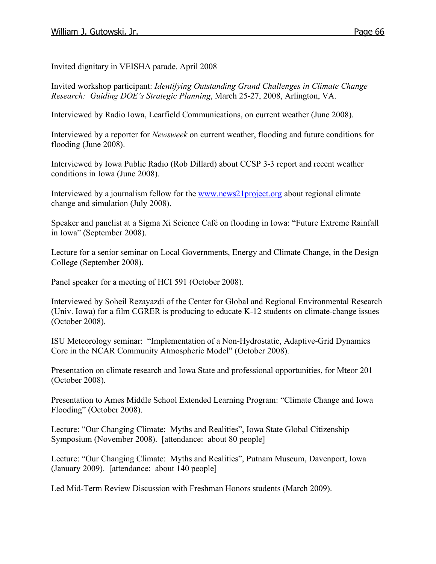Invited dignitary in VEISHA parade. April 2008

Invited workshop participant: *Identifying Outstanding Grand Challenges in Climate Change Research: Guiding DOE's Strategic Planning*, March 25-27, 2008, Arlington, VA.

Interviewed by Radio Iowa, Learfield Communications, on current weather (June 2008).

Interviewed by a reporter for *Newsweek* on current weather, flooding and future conditions for flooding (June 2008).

Interviewed by Iowa Public Radio (Rob Dillard) about CCSP 3-3 report and recent weather conditions in Iowa (June 2008).

Interviewed by a journalism fellow for the www.news21project.org about regional climate change and simulation (July 2008).

Speaker and panelist at a Sigma Xi Science Café on flooding in Iowa: "Future Extreme Rainfall in Iowa" (September 2008).

Lecture for a senior seminar on Local Governments, Energy and Climate Change, in the Design College (September 2008).

Panel speaker for a meeting of HCI 591 (October 2008).

Interviewed by Soheil Rezayazdi of the Center for Global and Regional Environmental Research (Univ. Iowa) for a film CGRER is producing to educate K-12 students on climate-change issues (October 2008).

ISU Meteorology seminar: "Implementation of a Non-Hydrostatic, Adaptive-Grid Dynamics Core in the NCAR Community Atmospheric Model" (October 2008).

Presentation on climate research and Iowa State and professional opportunities, for Mteor 201 (October 2008).

Presentation to Ames Middle School Extended Learning Program: "Climate Change and Iowa Flooding" (October 2008).

Lecture: "Our Changing Climate: Myths and Realities", Iowa State Global Citizenship Symposium (November 2008). [attendance: about 80 people]

Lecture: "Our Changing Climate: Myths and Realities", Putnam Museum, Davenport, Iowa (January 2009). [attendance: about 140 people]

Led Mid-Term Review Discussion with Freshman Honors students (March 2009).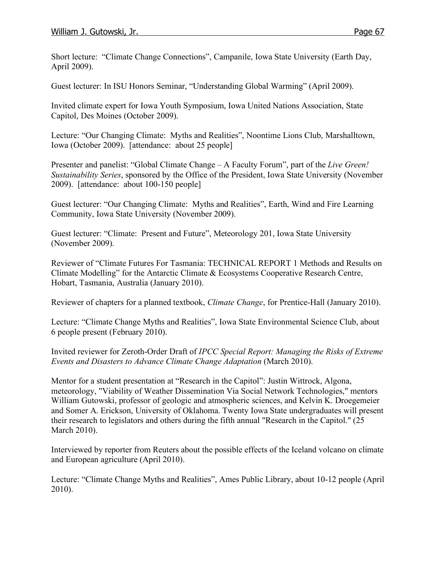Short lecture: "Climate Change Connections", Campanile, Iowa State University (Earth Day, April 2009).

Guest lecturer: In ISU Honors Seminar, "Understanding Global Warming" (April 2009).

Invited climate expert for Iowa Youth Symposium, Iowa United Nations Association, State Capitol, Des Moines (October 2009).

Lecture: "Our Changing Climate: Myths and Realities", Noontime Lions Club, Marshalltown, Iowa (October 2009). [attendance: about 25 people]

Presenter and panelist: "Global Climate Change – A Faculty Forum", part of the *Live Green! Sustainability Series*, sponsored by the Office of the President, Iowa State University (November 2009). [attendance: about 100-150 people]

Guest lecturer: "Our Changing Climate: Myths and Realities", Earth, Wind and Fire Learning Community, Iowa State University (November 2009).

Guest lecturer: "Climate: Present and Future", Meteorology 201, Iowa State University (November 2009).

Reviewer of "Climate Futures For Tasmania: TECHNICAL REPORT 1 Methods and Results on Climate Modelling" for the Antarctic Climate & Ecosystems Cooperative Research Centre, Hobart, Tasmania, Australia (January 2010).

Reviewer of chapters for a planned textbook, *Climate Change*, for Prentice-Hall (January 2010).

Lecture: "Climate Change Myths and Realities", Iowa State Environmental Science Club, about 6 people present (February 2010).

Invited reviewer for Zeroth-Order Draft of *IPCC Special Report: Managing the Risks of Extreme Events and Disasters to Advance Climate Change Adaptation* (March 2010).

Mentor for a student presentation at "Research in the Capitol": Justin Wittrock, Algona, meteorology, "Viability of Weather Dissemination Via Social Network Technologies," mentors William Gutowski, professor of geologic and atmospheric sciences, and Kelvin K. Droegemeier and Somer A. Erickson, University of Oklahoma. Twenty Iowa State undergraduates will present their research to legislators and others during the fifth annual "Research in the Capitol." (25 March 2010).

Interviewed by reporter from Reuters about the possible effects of the Iceland volcano on climate and European agriculture (April 2010).

Lecture: "Climate Change Myths and Realities", Ames Public Library, about 10-12 people (April 2010).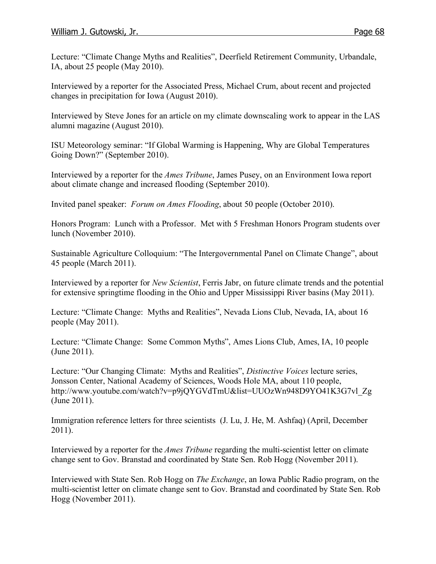Lecture: "Climate Change Myths and Realities", Deerfield Retirement Community, Urbandale, IA, about 25 people (May 2010).

Interviewed by a reporter for the Associated Press, Michael Crum, about recent and projected changes in precipitation for Iowa (August 2010).

Interviewed by Steve Jones for an article on my climate downscaling work to appear in the LAS alumni magazine (August 2010).

ISU Meteorology seminar: "If Global Warming is Happening, Why are Global Temperatures Going Down?" (September 2010).

Interviewed by a reporter for the *Ames Tribune*, James Pusey, on an Environment Iowa report about climate change and increased flooding (September 2010).

Invited panel speaker: *Forum on Ames Flooding*, about 50 people (October 2010).

Honors Program: Lunch with a Professor. Met with 5 Freshman Honors Program students over lunch (November 2010).

Sustainable Agriculture Colloquium: "The Intergovernmental Panel on Climate Change", about 45 people (March 2011).

Interviewed by a reporter for *New Scientist*, Ferris Jabr, on future climate trends and the potential for extensive springtime flooding in the Ohio and Upper Mississippi River basins (May 2011).

Lecture: "Climate Change: Myths and Realities", Nevada Lions Club, Nevada, IA, about 16 people (May 2011).

Lecture: "Climate Change: Some Common Myths", Ames Lions Club, Ames, IA, 10 people (June 2011).

Lecture: "Our Changing Climate: Myths and Realities", *Distinctive Voices* lecture series, Jonsson Center, National Academy of Sciences, Woods Hole MA, about 110 people, http://www.youtube.com/watch?v=p9jQYGVdTmU&list=UUOzWn948D9YO41K3G7vl\_Zg (June 2011).

Immigration reference letters for three scientists (J. Lu, J. He, M. Ashfaq) (April, December 2011).

Interviewed by a reporter for the *Ames Tribune* regarding the multi-scientist letter on climate change sent to Gov. Branstad and coordinated by State Sen. Rob Hogg (November 2011).

Interviewed with State Sen. Rob Hogg on *The Exchange*, an Iowa Public Radio program, on the multi-scientist letter on climate change sent to Gov. Branstad and coordinated by State Sen. Rob Hogg (November 2011).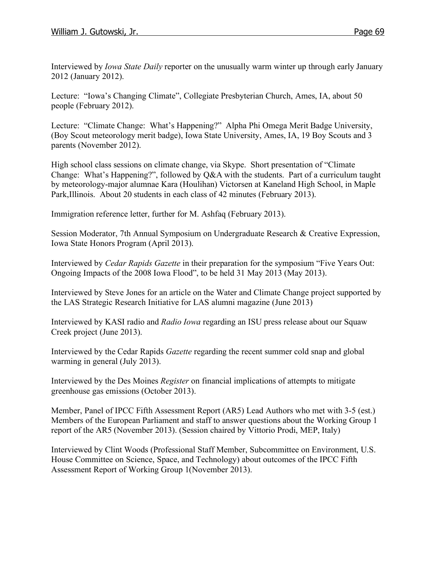Interviewed by *Iowa State Daily* reporter on the unusually warm winter up through early January 2012 (January 2012).

Lecture: "Iowa's Changing Climate", Collegiate Presbyterian Church, Ames, IA, about 50 people (February 2012).

Lecture: "Climate Change: What's Happening?" Alpha Phi Omega Merit Badge University, (Boy Scout meteorology merit badge), Iowa State University, Ames, IA, 19 Boy Scouts and 3 parents (November 2012).

High school class sessions on climate change, via Skype. Short presentation of "Climate Change: What's Happening?", followed by Q&A with the students. Part of a curriculum taught by meteorology-major alumnae Kara (Houlihan) Victorsen at Kaneland High School, in Maple Park,Illinois. About 20 students in each class of 42 minutes (February 2013).

Immigration reference letter, further for M. Ashfaq (February 2013).

Session Moderator, 7th Annual Symposium on Undergraduate Research & Creative Expression, Iowa State Honors Program (April 2013).

Interviewed by *Cedar Rapids Gazette* in their preparation for the symposium "Five Years Out: Ongoing Impacts of the 2008 Iowa Flood", to be held 31 May 2013 (May 2013).

Interviewed by Steve Jones for an article on the Water and Climate Change project supported by the LAS Strategic Research Initiative for LAS alumni magazine (June 2013)

Interviewed by KASI radio and *Radio Iowa* regarding an ISU press release about our Squaw Creek project (June 2013).

Interviewed by the Cedar Rapids *Gazette* regarding the recent summer cold snap and global warming in general (July 2013).

Interviewed by the Des Moines *Register* on financial implications of attempts to mitigate greenhouse gas emissions (October 2013).

Member, Panel of IPCC Fifth Assessment Report (AR5) Lead Authors who met with 3-5 (est.) Members of the European Parliament and staff to answer questions about the Working Group 1 report of the AR5 (November 2013). (Session chaired by Vittorio Prodi, MEP, Italy)

Interviewed by Clint Woods (Professional Staff Member, Subcommittee on Environment, U.S. House Committee on Science, Space, and Technology) about outcomes of the IPCC Fifth Assessment Report of Working Group 1(November 2013).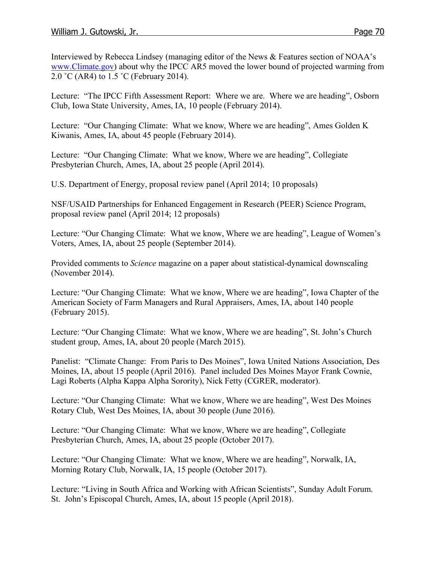Interviewed by Rebecca Lindsey (managing editor of the News & Features section of NOAA's www.Climate.gov) about why the IPCC AR5 moved the lower bound of projected warming from 2.0 ˚C (AR4) to 1.5 ˚C (February 2014).

Lecture: "The IPCC Fifth Assessment Report: Where we are. Where we are heading", Osborn Club, Iowa State University, Ames, IA, 10 people (February 2014).

Lecture: "Our Changing Climate: What we know, Where we are heading", Ames Golden K Kiwanis, Ames, IA, about 45 people (February 2014).

Lecture: "Our Changing Climate: What we know, Where we are heading", Collegiate Presbyterian Church, Ames, IA, about 25 people (April 2014).

U.S. Department of Energy, proposal review panel (April 2014; 10 proposals)

NSF/USAID Partnerships for Enhanced Engagement in Research (PEER) Science Program, proposal review panel (April 2014; 12 proposals)

Lecture: "Our Changing Climate: What we know, Where we are heading", League of Women's Voters, Ames, IA, about 25 people (September 2014).

Provided comments to *Science* magazine on a paper about statistical-dynamical downscaling (November 2014).

Lecture: "Our Changing Climate: What we know, Where we are heading", Iowa Chapter of the American Society of Farm Managers and Rural Appraisers, Ames, IA, about 140 people (February 2015).

Lecture: "Our Changing Climate: What we know, Where we are heading", St. John's Church student group, Ames, IA, about 20 people (March 2015).

Panelist: "Climate Change: From Paris to Des Moines", Iowa United Nations Association, Des Moines, IA, about 15 people (April 2016). Panel included Des Moines Mayor Frank Cownie, Lagi Roberts (Alpha Kappa Alpha Sorority), Nick Fetty (CGRER, moderator).

Lecture: "Our Changing Climate: What we know, Where we are heading", West Des Moines Rotary Club, West Des Moines, IA, about 30 people (June 2016).

Lecture: "Our Changing Climate: What we know, Where we are heading", Collegiate Presbyterian Church, Ames, IA, about 25 people (October 2017).

Lecture: "Our Changing Climate: What we know, Where we are heading", Norwalk, IA, Morning Rotary Club, Norwalk, IA, 15 people (October 2017).

Lecture: "Living in South Africa and Working with African Scientists", Sunday Adult Forum. St. John's Episcopal Church, Ames, IA, about 15 people (April 2018).